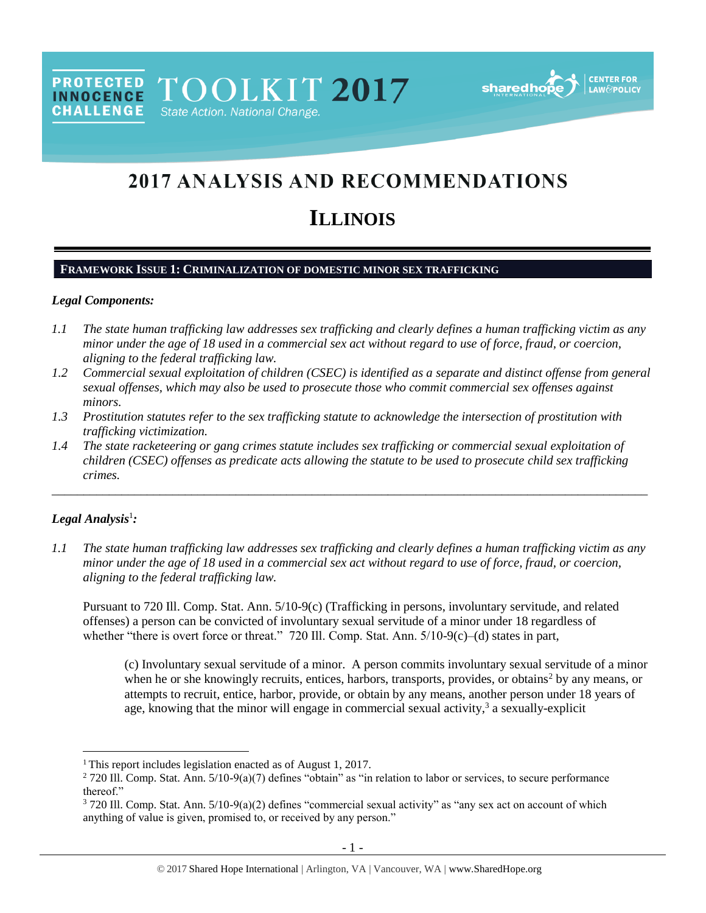PROTECTED TOOLKIT 2017 State Action. National Change.



# 2017 ANALYSIS AND RECOMMENDATIONS

# **ILLINOIS**

## **FRAMEWORK ISSUE 1: CRIMINALIZATION OF DOMESTIC MINOR SEX TRAFFICKING**

#### *Legal Components:*

**CHALLENGE** 

- *1.1 The state human trafficking law addresses sex trafficking and clearly defines a human trafficking victim as any minor under the age of 18 used in a commercial sex act without regard to use of force, fraud, or coercion, aligning to the federal trafficking law.*
- *1.2 Commercial sexual exploitation of children (CSEC) is identified as a separate and distinct offense from general sexual offenses, which may also be used to prosecute those who commit commercial sex offenses against minors.*
- *1.3 Prostitution statutes refer to the sex trafficking statute to acknowledge the intersection of prostitution with trafficking victimization.*
- *1.4 The state racketeering or gang crimes statute includes sex trafficking or commercial sexual exploitation of children (CSEC) offenses as predicate acts allowing the statute to be used to prosecute child sex trafficking crimes.*

\_\_\_\_\_\_\_\_\_\_\_\_\_\_\_\_\_\_\_\_\_\_\_\_\_\_\_\_\_\_\_\_\_\_\_\_\_\_\_\_\_\_\_\_\_\_\_\_\_\_\_\_\_\_\_\_\_\_\_\_\_\_\_\_\_\_\_\_\_\_\_\_\_\_\_\_\_\_\_\_\_\_\_\_\_\_\_\_\_\_\_\_\_\_

## *Legal Analysis*<sup>1</sup> *:*

 $\overline{a}$ 

*1.1 The state human trafficking law addresses sex trafficking and clearly defines a human trafficking victim as any minor under the age of 18 used in a commercial sex act without regard to use of force, fraud, or coercion, aligning to the federal trafficking law.*

Pursuant to 720 Ill. Comp. Stat. Ann. 5/10-9(c) (Trafficking in persons, involuntary servitude, and related offenses) a person can be convicted of involuntary sexual servitude of a minor under 18 regardless of whether "there is overt force or threat." 720 Ill. Comp. Stat. Ann.  $5/10-9(c)$ —(d) states in part,

(c) Involuntary sexual servitude of a minor. A person commits involuntary sexual servitude of a minor when he or she knowingly recruits, entices, harbors, transports, provides, or obtains<sup>2</sup> by any means, or attempts to recruit, entice, harbor, provide, or obtain by any means, another person under 18 years of age, knowing that the minor will engage in commercial sexual activity,<sup>3</sup> a sexually-explicit

<sup>&</sup>lt;sup>1</sup> This report includes legislation enacted as of August 1, 2017.

 $2720$  Ill. Comp. Stat. Ann.  $5/10-9(a)(7)$  defines "obtain" as "in relation to labor or services, to secure performance thereof."

<sup>3</sup> 720 Ill. Comp. Stat. Ann. 5/10-9(a)(2) defines "commercial sexual activity" as "any sex act on account of which anything of value is given, promised to, or received by any person."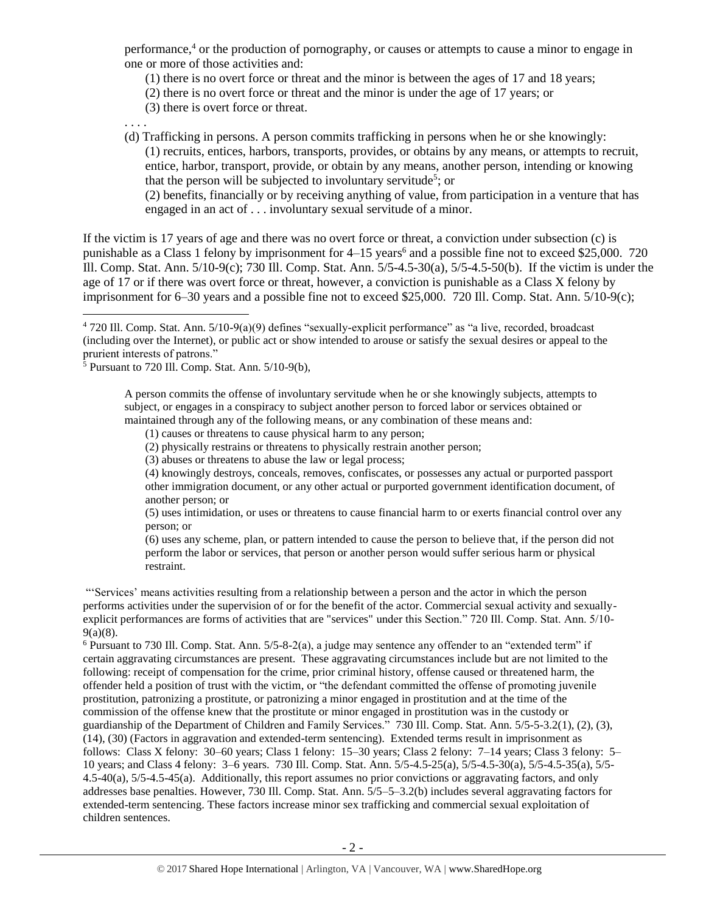performance,<sup>4</sup> or the production of pornography, or causes or attempts to cause a minor to engage in one or more of those activities and:

(1) there is no overt force or threat and the minor is between the ages of 17 and 18 years;

- (2) there is no overt force or threat and the minor is under the age of 17 years; or
- (3) there is overt force or threat.

. . . .

 $\overline{a}$ 

(d) Trafficking in persons. A person commits trafficking in persons when he or she knowingly: (1) recruits, entices, harbors, transports, provides, or obtains by any means, or attempts to recruit, entice, harbor, transport, provide, or obtain by any means, another person, intending or knowing that the person will be subjected to involuntary servitude<sup>5</sup>; or

<span id="page-1-0"></span>(2) benefits, financially or by receiving anything of value, from participation in a venture that has engaged in an act of . . . involuntary sexual servitude of a minor.

If the victim is 17 years of age and there was no overt force or threat, a conviction under subsection (c) is punishable as a Class 1 felony by imprisonment for 4–15 years<sup>6</sup> and a possible fine not to exceed \$25,000. 720 Ill. Comp. Stat. Ann. 5/10-9(c); 730 Ill. Comp. Stat. Ann. 5/5-4.5-30(a), 5/5-4.5-50(b). If the victim is under the age of 17 or if there was overt force or threat, however, a conviction is punishable as a Class X felony by imprisonment for 6–30 years and a possible fine not to exceed \$25,000. 720 Ill. Comp. Stat. Ann. 5/10-9(c);

- (1) causes or threatens to cause physical harm to any person;
- (2) physically restrains or threatens to physically restrain another person;
- (3) abuses or threatens to abuse the law or legal process;

(4) knowingly destroys, conceals, removes, confiscates, or possesses any actual or purported passport other immigration document, or any other actual or purported government identification document, of another person; or

(5) uses intimidation, or uses or threatens to cause financial harm to or exerts financial control over any person; or

(6) uses any scheme, plan, or pattern intended to cause the person to believe that, if the person did not perform the labor or services, that person or another person would suffer serious harm or physical restraint.

"'Services' means activities resulting from a relationship between a person and the actor in which the person performs activities under the supervision of or for the benefit of the actor. Commercial sexual activity and sexuallyexplicit performances are forms of activities that are "services" under this Section." 720 Ill. Comp. Stat. Ann. 5/10- 9(a)(8).

 $6$  Pursuant to 730 Ill. Comp. Stat. Ann.  $5/5$ -8-2(a), a judge may sentence any offender to an "extended term" if certain aggravating circumstances are present. These aggravating circumstances include but are not limited to the following: receipt of compensation for the crime, prior criminal history, offense caused or threatened harm, the offender held a position of trust with the victim, or "the defendant committed the offense of promoting juvenile prostitution, patronizing a prostitute, or patronizing a minor engaged in prostitution and at the time of the commission of the offense knew that the prostitute or minor engaged in prostitution was in the custody or guardianship of the Department of Children and Family Services." 730 Ill. Comp. Stat. Ann. 5/5-5-3.2(1), (2), (3), (14), (30) (Factors in aggravation and extended-term sentencing). Extended terms result in imprisonment as follows: Class X felony: 30–60 years; Class 1 felony: 15–30 years; Class 2 felony: 7–14 years; Class 3 felony: 5– 10 years; and Class 4 felony: 3–6 years. 730 Ill. Comp. Stat. Ann. 5/5-4.5-25(a), 5/5-4.5-30(a), 5/5-4.5-35(a), 5/5- 4.5-40(a), 5/5-4.5-45(a). Additionally, this report assumes no prior convictions or aggravating factors, and only addresses base penalties. However, 730 Ill. Comp. Stat. Ann. 5/5–5–3.2(b) includes several aggravating factors for extended-term sentencing. These factors increase minor sex trafficking and commercial sexual exploitation of children sentences.

<sup>4</sup> 720 Ill. Comp. Stat. Ann. 5/10-9(a)(9) defines "sexually-explicit performance" as "a live, recorded, broadcast (including over the Internet), or public act or show intended to arouse or satisfy the sexual desires or appeal to the prurient interests of patrons."

 $\frac{5}{5}$  Pursuant to 720 Ill. Comp. Stat. Ann.  $5/10-9(b)$ ,

A person commits the offense of involuntary servitude when he or she knowingly subjects, attempts to subject, or engages in a conspiracy to subject another person to forced labor or services obtained or maintained through any of the following means, or any combination of these means and: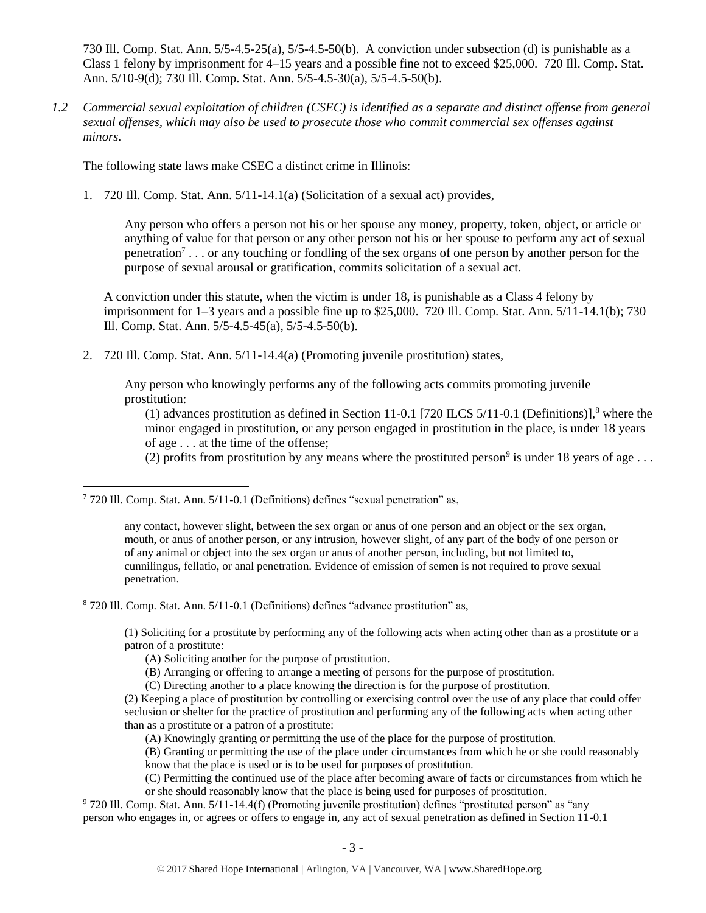730 Ill. Comp. Stat. Ann. 5/5-4.5-25(a), 5/5-4.5-50(b). A conviction under subsection (d) is punishable as a Class 1 felony by imprisonment for 4–15 years and a possible fine not to exceed \$25,000. 720 Ill. Comp. Stat. Ann. 5/10-9(d); 730 Ill. Comp. Stat. Ann. 5/5-4.5-30(a), 5/5-4.5-50(b).

*1.2 Commercial sexual exploitation of children (CSEC) is identified as a separate and distinct offense from general sexual offenses, which may also be used to prosecute those who commit commercial sex offenses against minors.*

The following state laws make CSEC a distinct crime in Illinois:

1. 720 Ill. Comp. Stat. Ann. 5/11-14.1(a) (Solicitation of a sexual act) provides,

<span id="page-2-0"></span>Any person who offers a person not his or her spouse any money, property, token, object, or article or anything of value for that person or any other person not his or her spouse to perform any act of sexual penetration<sup>7</sup>... or any touching or fondling of the sex organs of one person by another person for the purpose of sexual arousal or gratification, commits solicitation of a sexual act.

A conviction under this statute, when the victim is under 18, is punishable as a Class 4 felony by imprisonment for  $1-3$  years and a possible fine up to \$25,000.  $\overline{720}$  Ill. Comp. Stat. Ann.  $5/11-14.1(b)$ ; 730 Ill. Comp. Stat. Ann. 5/5-4.5-45(a), 5/5-4.5-50(b).

2. 720 Ill. Comp. Stat. Ann. 5/11-14.4(a) (Promoting juvenile prostitution) states,

Any person who knowingly performs any of the following acts commits promoting juvenile prostitution:

(1) advances prostitution as defined in Section 11-0.1 [720 ILCS  $5/11$ -0.1 (Definitions)],<sup>8</sup> where the minor engaged in prostitution, or any person engaged in prostitution in the place, is under 18 years of age . . . at the time of the offense;

(2) profits from prostitution by any means where the prostituted person<sup>9</sup> is under 18 years of age ...

 $\overline{a}$ 

<sup>8</sup> 720 Ill. Comp. Stat. Ann. 5/11-0.1 (Definitions) defines "advance prostitution" as,

(1) Soliciting for a prostitute by performing any of the following acts when acting other than as a prostitute or a patron of a prostitute:

- (A) Soliciting another for the purpose of prostitution.
- (B) Arranging or offering to arrange a meeting of persons for the purpose of prostitution.

(C) Directing another to a place knowing the direction is for the purpose of prostitution.

(A) Knowingly granting or permitting the use of the place for the purpose of prostitution.

(B) Granting or permitting the use of the place under circumstances from which he or she could reasonably know that the place is used or is to be used for purposes of prostitution.

(C) Permitting the continued use of the place after becoming aware of facts or circumstances from which he or she should reasonably know that the place is being used for purposes of prostitution.

<sup>9</sup> 720 Ill. Comp. Stat. Ann. 5/11-14.4(f) (Promoting juvenile prostitution) defines "prostituted person" as "any person who engages in, or agrees or offers to engage in, any act of sexual penetration as defined in Section 11-0.1

 $7720$  Ill. Comp. Stat. Ann.  $5/11$ -0.1 (Definitions) defines "sexual penetration" as,

any contact, however slight, between the sex organ or anus of one person and an object or the sex organ, mouth, or anus of another person, or any intrusion, however slight, of any part of the body of one person or of any animal or object into the sex organ or anus of another person, including, but not limited to, cunnilingus, fellatio, or anal penetration. Evidence of emission of semen is not required to prove sexual penetration.

<sup>(2)</sup> Keeping a place of prostitution by controlling or exercising control over the use of any place that could offer seclusion or shelter for the practice of prostitution and performing any of the following acts when acting other than as a prostitute or a patron of a prostitute: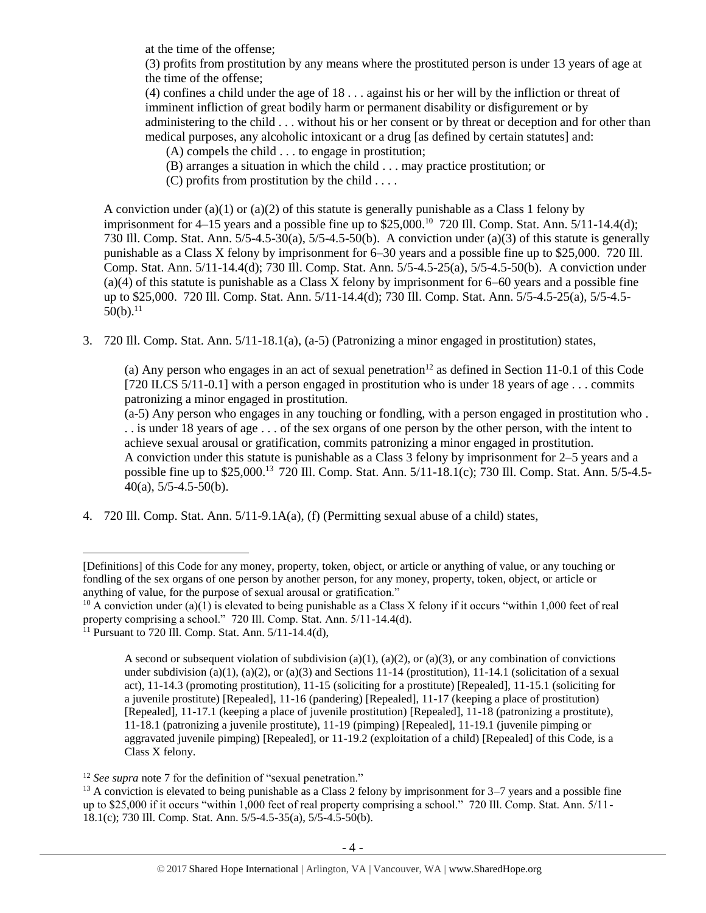at the time of the offense;

(3) profits from prostitution by any means where the prostituted person is under 13 years of age at the time of the offense;

(4) confines a child under the age of 18 . . . against his or her will by the infliction or threat of imminent infliction of great bodily harm or permanent disability or disfigurement or by administering to the child . . . without his or her consent or by threat or deception and for other than medical purposes, any alcoholic intoxicant or a drug [as defined by certain statutes] and:

(A) compels the child . . . to engage in prostitution;

- (B) arranges a situation in which the child . . . may practice prostitution; or
- $(C)$  profits from prostitution by the child ...

A conviction under (a)(1) or (a)(2) of this statute is generally punishable as a Class 1 felony by imprisonment for  $4-15$  years and a possible fine up to \$25,000.<sup>10</sup> 720 Ill. Comp. Stat. Ann. 5/11-14.4(d); 730 Ill. Comp. Stat. Ann. 5/5-4.5-30(a), 5/5-4.5-50(b). A conviction under (a)(3) of this statute is generally punishable as a Class X felony by imprisonment for 6–30 years and a possible fine up to \$25,000. 720 Ill. Comp. Stat. Ann. 5/11-14.4(d); 730 Ill. Comp. Stat. Ann. 5/5-4.5-25(a), 5/5-4.5-50(b). A conviction under (a)(4) of this statute is punishable as a Class X felony by imprisonment for 6–60 years and a possible fine up to \$25,000. 720 Ill. Comp. Stat. Ann. 5/11-14.4(d); 730 Ill. Comp. Stat. Ann. 5/5-4.5-25(a), 5/5-4.5-  $50(b).$ <sup>11</sup>

<span id="page-3-1"></span>3. 720 Ill. Comp. Stat. Ann. 5/11-18.1(a), (a-5) (Patronizing a minor engaged in prostitution) states,

(a) Any person who engages in an act of sexual penetration<sup>12</sup> as defined in Section 11-0.1 of this Code [720 ILCS 5/11-0.1] with a person engaged in prostitution who is under 18 years of age . . . commits patronizing a minor engaged in prostitution.

<span id="page-3-0"></span>(a-5) Any person who engages in any touching or fondling, with a person engaged in prostitution who . . . is under 18 years of age . . . of the sex organs of one person by the other person, with the intent to achieve sexual arousal or gratification, commits patronizing a minor engaged in prostitution. A conviction under this statute is punishable as a Class 3 felony by imprisonment for 2–5 years and a possible fine up to \$25,000.<sup>13</sup> 720 Ill. Comp. Stat. Ann. 5/11-18.1(c); 730 Ill. Comp. Stat. Ann. 5/5-4.5- 40(a),  $5/5-4.5-50(b)$ .

4. 720 Ill. Comp. Stat. Ann. 5/11-9.1A(a), (f) (Permitting sexual abuse of a child) states,

<sup>[</sup>Definitions] of this Code for any money, property, token, object, or article or anything of value, or any touching or fondling of the sex organs of one person by another person, for any money, property, token, object, or article or anything of value, for the purpose of sexual arousal or gratification."

<sup>&</sup>lt;sup>10</sup> A conviction under (a)(1) is elevated to being punishable as a Class X felony if it occurs "within 1,000 feet of real property comprising a school." 720 Ill. Comp. Stat. Ann. 5/11-14.4(d).

<sup>&</sup>lt;sup>11</sup> Pursuant to 720 Ill. Comp. Stat. Ann.  $5/11-14.4(d)$ ,

A second or subsequent violation of subdivision (a)(1), (a)(2), or (a)(3), or any combination of convictions under subdivision (a)(1), (a)(2), or (a)(3) and Sections 11-14 (prostitution), 11-14.1 (solicitation of a sexual act), 11-14.3 (promoting prostitution), 11-15 (soliciting for a prostitute) [Repealed], 11-15.1 (soliciting for a juvenile prostitute) [Repealed], 11-16 (pandering) [Repealed], 11-17 (keeping a place of prostitution) [Repealed], 11-17.1 (keeping a place of juvenile prostitution) [Repealed], 11-18 (patronizing a prostitute), 11-18.1 (patronizing a juvenile prostitute), 11-19 (pimping) [Repealed], 11-19.1 (juvenile pimping or aggravated juvenile pimping) [Repealed], or 11-19.2 (exploitation of a child) [Repealed] of this Code, is a Class X felony.

<sup>&</sup>lt;sup>12</sup> *See supra* note [7](#page-2-0) for the definition of "sexual penetration."

<sup>&</sup>lt;sup>13</sup> A conviction is elevated to being punishable as a Class 2 felony by imprisonment for  $3-7$  years and a possible fine up to \$25,000 if it occurs "within 1,000 feet of real property comprising a school." 720 Ill. Comp. Stat. Ann. 5/11- 18.1(c); 730 Ill. Comp. Stat. Ann. 5/5-4.5-35(a), 5/5-4.5-50(b).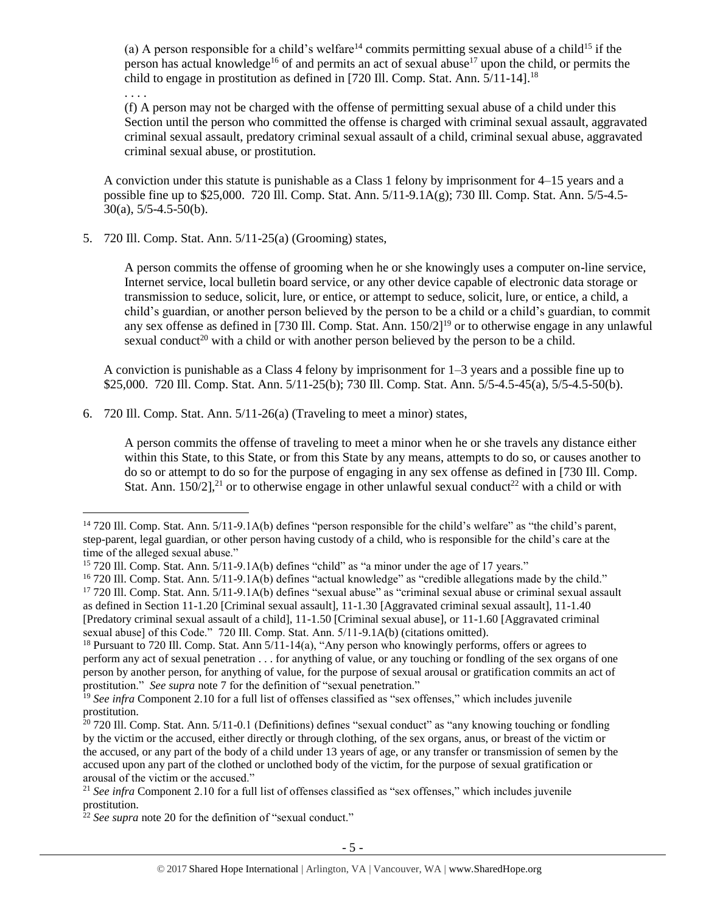(a) A person responsible for a child's welfare<sup>14</sup> commits permitting sexual abuse of a child<sup>15</sup> if the person has actual knowledge<sup>16</sup> of and permits an act of sexual abuse<sup>17</sup> upon the child, or permits the child to engage in prostitution as defined in [720 Ill. Comp. Stat. Ann.  $\frac{5}{11}$ -14].<sup>18</sup>

. . . .

 $\overline{a}$ 

(f) A person may not be charged with the offense of permitting sexual abuse of a child under this Section until the person who committed the offense is charged with criminal sexual assault, aggravated criminal sexual assault, predatory criminal sexual assault of a child, criminal sexual abuse, aggravated criminal sexual abuse, or prostitution.

A conviction under this statute is punishable as a Class 1 felony by imprisonment for 4–15 years and a possible fine up to \$25,000. 720 Ill. Comp. Stat. Ann. 5/11-9.1A(g); 730 Ill. Comp. Stat. Ann. 5/5-4.5-  $30(a)$ , 5/5-4.5-50(b).

5. 720 Ill. Comp. Stat. Ann. 5/11-25(a) (Grooming) states,

A person commits the offense of grooming when he or she knowingly uses a computer on-line service, Internet service, local bulletin board service, or any other device capable of electronic data storage or transmission to seduce, solicit, lure, or entice, or attempt to seduce, solicit, lure, or entice, a child, a child's guardian, or another person believed by the person to be a child or a child's guardian, to commit any sex offense as defined in [730 Ill. Comp. Stat. Ann. 150/2]<sup>19</sup> or to otherwise engage in any unlawful sexual conduct<sup>20</sup> with a child or with another person believed by the person to be a child.

<span id="page-4-0"></span>A conviction is punishable as a Class 4 felony by imprisonment for 1–3 years and a possible fine up to \$25,000. 720 Ill. Comp. Stat. Ann. 5/11-25(b); 730 Ill. Comp. Stat. Ann. 5/5-4.5-45(a), 5/5-4.5-50(b).

6. 720 Ill. Comp. Stat. Ann. 5/11-26(a) (Traveling to meet a minor) states,

A person commits the offense of traveling to meet a minor when he or she travels any distance either within this State, to this State, or from this State by any means, attempts to do so, or causes another to do so or attempt to do so for the purpose of engaging in any sex offense as defined in [730 Ill. Comp. Stat. Ann.  $150/2$ ],<sup>21</sup> or to otherwise engage in other unlawful sexual conduct<sup>22</sup> with a child or with

<sup>&</sup>lt;sup>14</sup> 720 Ill. Comp. Stat. Ann. 5/11-9.1A(b) defines "person responsible for the child's welfare" as "the child's parent, step-parent, legal guardian, or other person having custody of a child, who is responsible for the child's care at the time of the alleged sexual abuse."

<sup>15</sup> 720 Ill. Comp. Stat. Ann. 5/11-9.1A(b) defines "child" as "a minor under the age of 17 years."

<sup>&</sup>lt;sup>16</sup> 720 Ill. Comp. Stat. Ann. 5/11-9.1A(b) defines "actual knowledge" as "credible allegations made by the child." <sup>17</sup> 720 Ill. Comp. Stat. Ann. 5/11-9.1A(b) defines "sexual abuse" as "criminal sexual abuse or criminal sexual assault as defined in Section 11-1.20 [Criminal sexual assault], 11-1.30 [Aggravated criminal sexual assault], 11-1.40 [Predatory criminal sexual assault of a child], 11-1.50 [Criminal sexual abuse], or 11-1.60 [Aggravated criminal sexual abuse] of this Code." 720 Ill. Comp. Stat. Ann. 5/11-9.1A(b) (citations omitted).

<sup>&</sup>lt;sup>18</sup> Pursuant to 720 Ill. Comp. Stat. Ann 5/11-14(a), "Any person who knowingly performs, offers or agrees to perform any act of sexual penetration . . . for anything of value, or any touching or fondling of the sex organs of one person by another person, for anything of value, for the purpose of sexual arousal or gratification commits an act of prostitution." *See supra* note [7](#page-2-0) for the definition of "sexual penetration."

<sup>&</sup>lt;sup>19</sup> See infra Component 2.10 for a full list of offenses classified as "sex offenses," which includes juvenile prostitution.

<sup>&</sup>lt;sup>20</sup> 720 Ill. Comp. Stat. Ann. 5/11-0.1 (Definitions) defines "sexual conduct" as "any knowing touching or fondling by the victim or the accused, either directly or through clothing, of the sex organs, anus, or breast of the victim or the accused, or any part of the body of a child under 13 years of age, or any transfer or transmission of semen by the accused upon any part of the clothed or unclothed body of the victim, for the purpose of sexual gratification or arousal of the victim or the accused."

<sup>&</sup>lt;sup>21</sup> See infra Component 2.10 for a full list of offenses classified as "sex offenses," which includes juvenile prostitution.

<sup>&</sup>lt;sup>22</sup> *See supra* note [20](#page-4-0) for the definition of "sexual conduct."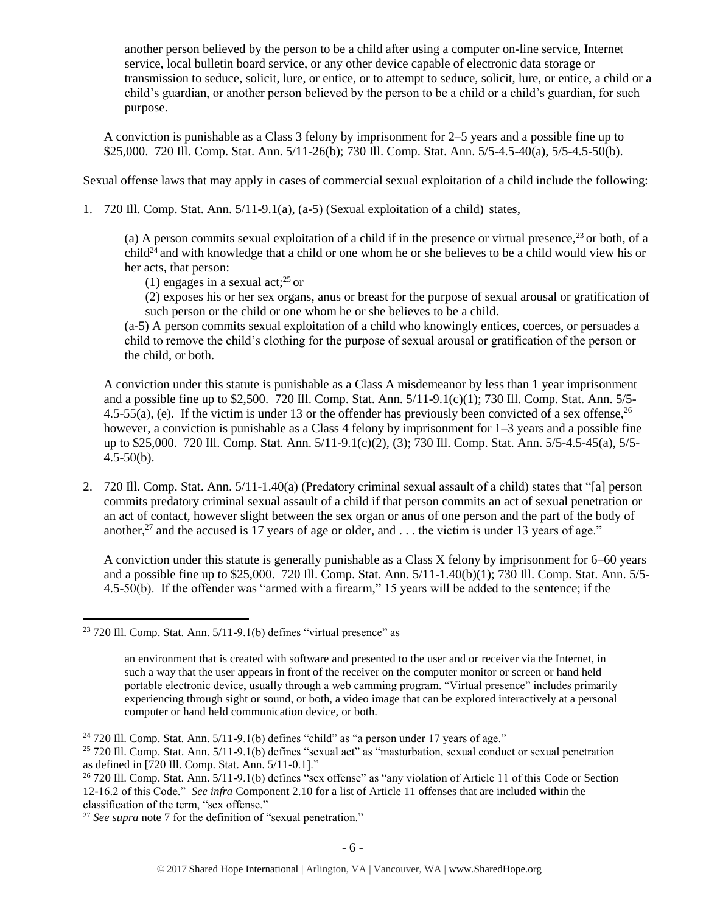another person believed by the person to be a child after using a computer on-line service, Internet service, local bulletin board service, or any other device capable of electronic data storage or transmission to seduce, solicit, lure, or entice, or to attempt to seduce, solicit, lure, or entice, a child or a child's guardian, or another person believed by the person to be a child or a child's guardian, for such purpose.

A conviction is punishable as a Class 3 felony by imprisonment for 2–5 years and a possible fine up to \$25,000. 720 Ill. Comp. Stat. Ann. 5/11-26(b); 730 Ill. Comp. Stat. Ann. 5/5-4.5-40(a), 5/5-4.5-50(b).

Sexual offense laws that may apply in cases of commercial sexual exploitation of a child include the following:

1. 720 Ill. Comp. Stat. Ann. 5/11-9.1(a), (a-5) (Sexual exploitation of a child) states,

(a) A person commits sexual exploitation of a child if in the presence or virtual presence,  $^{23}$  or both, of a  $child^{24}$  and with knowledge that a child or one whom he or she believes to be a child would view his or her acts, that person:

(1) engages in a sexual act;<sup>25</sup> or

(2) exposes his or her sex organs, anus or breast for the purpose of sexual arousal or gratification of such person or the child or one whom he or she believes to be a child.

(a-5) A person commits sexual exploitation of a child who knowingly entices, coerces, or persuades a child to remove the child's clothing for the purpose of sexual arousal or gratification of the person or the child, or both.

A conviction under this statute is punishable as a Class A misdemeanor by less than 1 year imprisonment and a possible fine up to \$2,500. 720 Ill. Comp. Stat. Ann. 5/11-9.1(c)(1); 730 Ill. Comp. Stat. Ann. 5/5- 4.5-55(a), (e). If the victim is under 13 or the offender has previously been convicted of a sex offense,  $^{26}$ however, a conviction is punishable as a Class 4 felony by imprisonment for 1–3 years and a possible fine up to \$25,000. 720 Ill. Comp. Stat. Ann. 5/11-9.1(c)(2), (3); 730 Ill. Comp. Stat. Ann. 5/5-4.5-45(a), 5/5-  $4.5 - 50(b)$ .

2. 720 Ill. Comp. Stat. Ann. 5/11-1.40(a) (Predatory criminal sexual assault of a child) states that "[a] person commits predatory criminal sexual assault of a child if that person commits an act of sexual penetration or an act of contact, however slight between the sex organ or anus of one person and the part of the body of another,<sup>27</sup> and the accused is 17 years of age or older, and  $\dots$  the victim is under 13 years of age."

A conviction under this statute is generally punishable as a Class X felony by imprisonment for 6–60 years and a possible fine up to \$25,000. 720 Ill. Comp. Stat. Ann. 5/11-1.40(b)(1); 730 Ill. Comp. Stat. Ann. 5/5- 4.5-50(b). If the offender was "armed with a firearm," 15 years will be added to the sentence; if the

 $\overline{a}$ 

<sup>27</sup> *See supra* note [7](#page-2-0) for the definition of "sexual penetration."

 $23$  720 Ill. Comp. Stat. Ann.  $5/11-9.1(b)$  defines "virtual presence" as

an environment that is created with software and presented to the user and or receiver via the Internet, in such a way that the user appears in front of the receiver on the computer monitor or screen or hand held portable electronic device, usually through a web camming program. "Virtual presence" includes primarily experiencing through sight or sound, or both, a video image that can be explored interactively at a personal computer or hand held communication device, or both.

<sup>&</sup>lt;sup>24</sup> 720 Ill. Comp. Stat. Ann.  $5/11-9.1(b)$  defines "child" as "a person under 17 years of age."

<sup>25</sup> 720 Ill. Comp. Stat. Ann. 5/11-9.1(b) defines "sexual act" as "masturbation, sexual conduct or sexual penetration as defined in [720 Ill. Comp. Stat. Ann. 5/11-0.1]."

<sup>&</sup>lt;sup>26</sup> 720 Ill. Comp. Stat. Ann. 5/11-9.1(b) defines "sex offense" as "any violation of Article 11 of this Code or Section 12-16.2 of this Code." *See infra* Component 2.10 for a list of Article 11 offenses that are included within the classification of the term, "sex offense."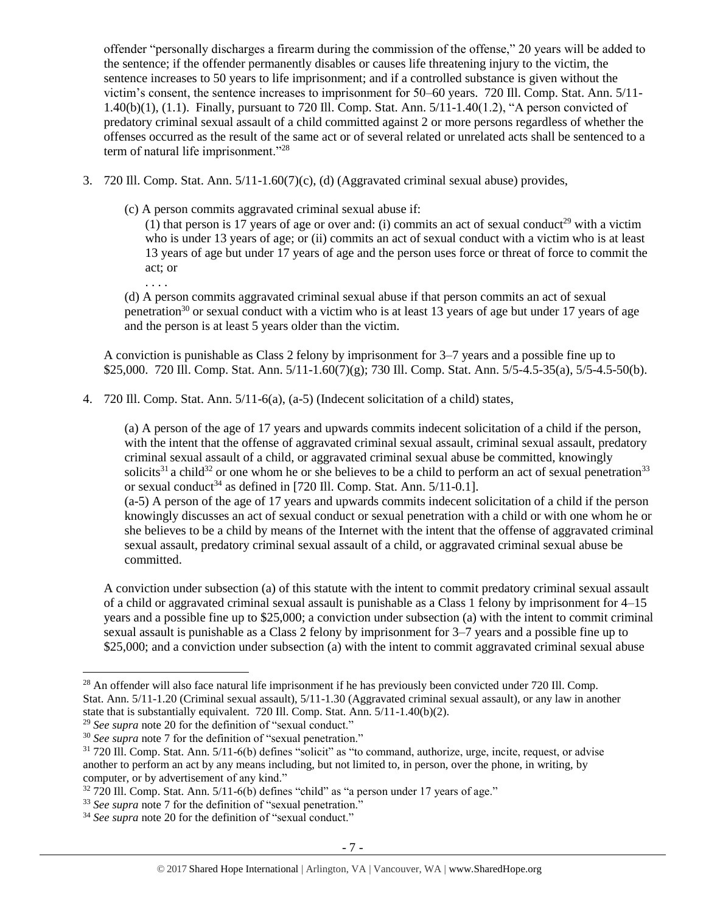offender "personally discharges a firearm during the commission of the offense," 20 years will be added to the sentence; if the offender permanently disables or causes life threatening injury to the victim, the sentence increases to 50 years to life imprisonment; and if a controlled substance is given without the victim's consent, the sentence increases to imprisonment for 50–60 years. 720 Ill. Comp. Stat. Ann. 5/11- 1.40(b)(1), (1.1). Finally, pursuant to 720 Ill. Comp. Stat. Ann. 5/11-1.40(1.2), "A person convicted of predatory criminal sexual assault of a child committed against 2 or more persons regardless of whether the offenses occurred as the result of the same act or of several related or unrelated acts shall be sentenced to a term of natural life imprisonment."<sup>28</sup>

- 3. 720 Ill. Comp. Stat. Ann. 5/11-1.60(7)(c), (d) (Aggravated criminal sexual abuse) provides,
	- (c) A person commits aggravated criminal sexual abuse if:

. . . .

(1) that person is 17 years of age or over and: (i) commits an act of sexual conduct<sup>29</sup> with a victim who is under 13 years of age; or (ii) commits an act of sexual conduct with a victim who is at least 13 years of age but under 17 years of age and the person uses force or threat of force to commit the act; or

(d) A person commits aggravated criminal sexual abuse if that person commits an act of sexual penetration<sup>30</sup> or sexual conduct with a victim who is at least  $13$  years of age but under 17 years of age and the person is at least 5 years older than the victim.

A conviction is punishable as Class 2 felony by imprisonment for 3–7 years and a possible fine up to \$25,000. 720 Ill. Comp. Stat. Ann. 5/11-1.60(7)(g); 730 Ill. Comp. Stat. Ann. 5/5-4.5-35(a), 5/5-4.5-50(b).

4. 720 Ill. Comp. Stat. Ann. 5/11-6(a), (a-5) (Indecent solicitation of a child) states,

(a) A person of the age of 17 years and upwards commits indecent solicitation of a child if the person, with the intent that the offense of aggravated criminal sexual assault, criminal sexual assault, predatory criminal sexual assault of a child, or aggravated criminal sexual abuse be committed, knowingly solicits<sup>31</sup> a child<sup>32</sup> or one whom he or she believes to be a child to perform an act of sexual penetration<sup>33</sup> or sexual conduct<sup>34</sup> as defined in [720 Ill. Comp. Stat. Ann.  $5/11$ -0.1].

(a-5) A person of the age of 17 years and upwards commits indecent solicitation of a child if the person knowingly discusses an act of sexual conduct or sexual penetration with a child or with one whom he or she believes to be a child by means of the Internet with the intent that the offense of aggravated criminal sexual assault, predatory criminal sexual assault of a child, or aggravated criminal sexual abuse be committed.

A conviction under subsection (a) of this statute with the intent to commit predatory criminal sexual assault of a child or aggravated criminal sexual assault is punishable as a Class 1 felony by imprisonment for 4–15 years and a possible fine up to \$25,000; a conviction under subsection (a) with the intent to commit criminal sexual assault is punishable as a Class 2 felony by imprisonment for 3–7 years and a possible fine up to \$25,000; and a conviction under subsection (a) with the intent to commit aggravated criminal sexual abuse

<sup>&</sup>lt;sup>28</sup> An offender will also face natural life imprisonment if he has previously been convicted under 720 Ill. Comp. Stat. Ann. 5/11-1.20 (Criminal sexual assault), 5/11-1.30 (Aggravated criminal sexual assault), or any law in another state that is substantially equivalent. 720 Ill. Comp. Stat. Ann. 5/11-1.40(b)(2).

<sup>&</sup>lt;sup>29</sup> See supra note [20](#page-4-0) for the definition of "sexual conduct."

<sup>30</sup> *See supra* note [7](#page-2-0) for the definition of "sexual penetration."

<sup>31</sup> 720 Ill. Comp. Stat. Ann. 5/11-6(b) defines "solicit" as "to command, authorize, urge, incite, request, or advise another to perform an act by any means including, but not limited to, in person, over the phone, in writing, by computer, or by advertisement of any kind."

 $32$  720 Ill. Comp. Stat. Ann.  $5/11-6(b)$  defines "child" as "a person under 17 years of age."

<sup>33</sup> *See supra* note [7](#page-2-0) for the definition of "sexual penetration."

<sup>&</sup>lt;sup>34</sup> See supra note [20](#page-4-0) for the definition of "sexual conduct."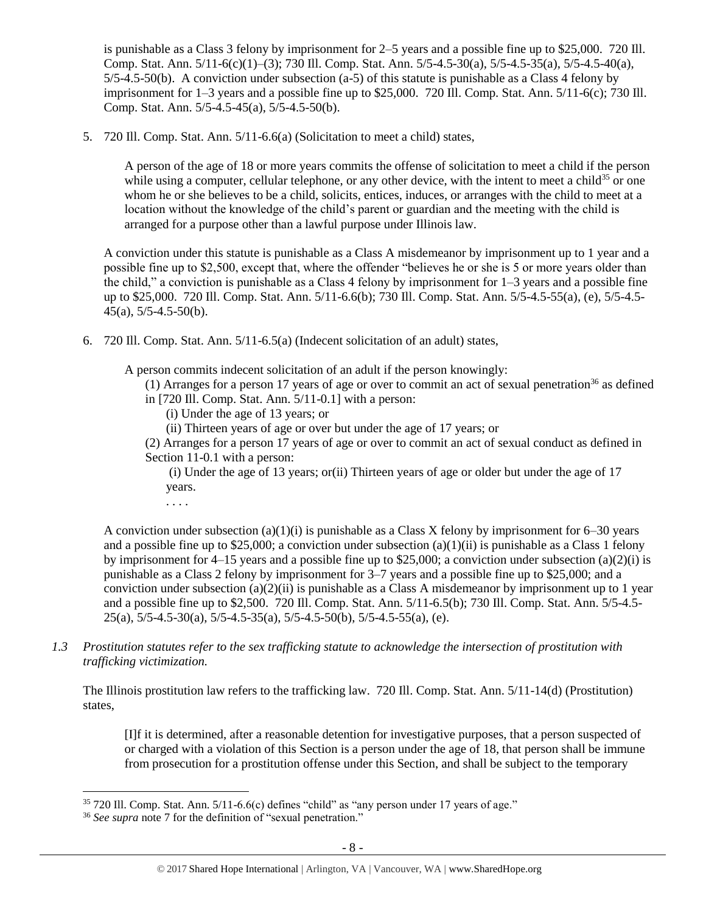is punishable as a Class 3 felony by imprisonment for 2–5 years and a possible fine up to \$25,000. 720 Ill. Comp. Stat. Ann. 5/11-6(c)(1)–(3); 730 Ill. Comp. Stat. Ann. 5/5-4.5-30(a), 5/5-4.5-35(a), 5/5-4.5-40(a), 5/5-4.5-50(b). A conviction under subsection (a-5) of this statute is punishable as a Class 4 felony by imprisonment for 1–3 years and a possible fine up to \$25,000. 720 Ill. Comp. Stat. Ann. 5/11-6(c); 730 Ill. Comp. Stat. Ann. 5/5-4.5-45(a), 5/5-4.5-50(b).

5. 720 Ill. Comp. Stat. Ann. 5/11-6.6(a) (Solicitation to meet a child) states,

A person of the age of 18 or more years commits the offense of solicitation to meet a child if the person while using a computer, cellular telephone, or any other device, with the intent to meet a child<sup>35</sup> or one whom he or she believes to be a child, solicits, entices, induces, or arranges with the child to meet at a location without the knowledge of the child's parent or guardian and the meeting with the child is arranged for a purpose other than a lawful purpose under Illinois law.

A conviction under this statute is punishable as a Class A misdemeanor by imprisonment up to 1 year and a possible fine up to \$2,500, except that, where the offender "believes he or she is 5 or more years older than the child," a conviction is punishable as a Class 4 felony by imprisonment for 1–3 years and a possible fine up to \$25,000. 720 Ill. Comp. Stat. Ann. 5/11-6.6(b); 730 Ill. Comp. Stat. Ann. 5/5-4.5-55(a), (e), 5/5-4.5- 45(a), 5/5-4.5-50(b).

6. 720 Ill. Comp. Stat. Ann. 5/11-6.5(a) (Indecent solicitation of an adult) states,

A person commits indecent solicitation of an adult if the person knowingly:

- (1) Arranges for a person 17 years of age or over to commit an act of sexual penetration<sup>36</sup> as defined in [720 Ill. Comp. Stat. Ann. 5/11-0.1] with a person:
	- (i) Under the age of 13 years; or
	- (ii) Thirteen years of age or over but under the age of 17 years; or

(2) Arranges for a person 17 years of age or over to commit an act of sexual conduct as defined in Section 11-0.1 with a person:

(i) Under the age of 13 years; or(ii) Thirteen years of age or older but under the age of 17 years.

. . . .

A conviction under subsection (a)(1)(i) is punishable as a Class X felony by imprisonment for  $6-30$  years and a possible fine up to \$25,000; a conviction under subsection  $(a)(1)(ii)$  is punishable as a Class 1 felony by imprisonment for  $4-15$  years and a possible fine up to \$25,000; a conviction under subsection (a)(2)(i) is punishable as a Class 2 felony by imprisonment for 3–7 years and a possible fine up to \$25,000; and a conviction under subsection  $(a)(2)(ii)$  is punishable as a Class A misdemeanor by imprisonment up to 1 year and a possible fine up to \$2,500. 720 Ill. Comp. Stat. Ann. 5/11-6.5(b); 730 Ill. Comp. Stat. Ann. 5/5-4.5-  $25(a)$ ,  $5/5-4.5-30(a)$ ,  $5/5-4.5-35(a)$ ,  $5/5-4.5-50(b)$ ,  $5/5-4.5-55(a)$ , (e).

*1.3 Prostitution statutes refer to the sex trafficking statute to acknowledge the intersection of prostitution with trafficking victimization.* 

The Illinois prostitution law refers to the trafficking law. 720 Ill. Comp. Stat. Ann. 5/11-14(d) (Prostitution) states,

[I]f it is determined, after a reasonable detention for investigative purposes, that a person suspected of or charged with a violation of this Section is a person under the age of 18, that person shall be immune from prosecution for a prostitution offense under this Section, and shall be subject to the temporary

 $35720$  Ill. Comp. Stat. Ann.  $5/11-6.6(c)$  defines "child" as "any person under 17 years of age."

<sup>36</sup> *See supra* note [7](#page-2-0) for the definition of "sexual penetration."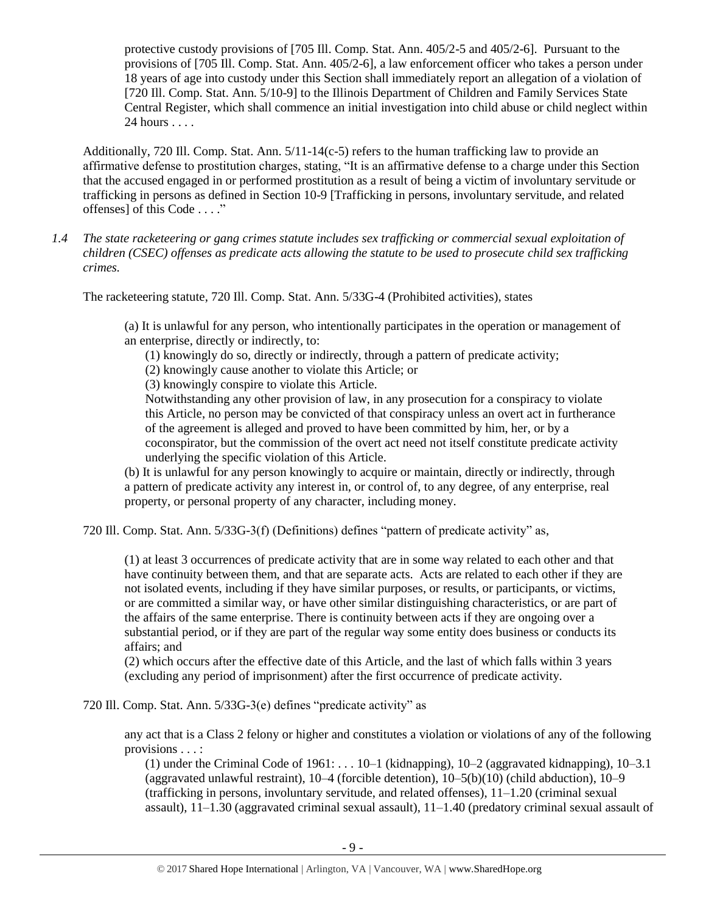protective custody provisions of [705 Ill. Comp. Stat. Ann. 405/2-5 and 405/2-6]. Pursuant to the provisions of [705 Ill. Comp. Stat. Ann. 405/2-6], a law enforcement officer who takes a person under 18 years of age into custody under this Section shall immediately report an allegation of a violation of [720 Ill. Comp. Stat. Ann. 5/10-9] to the Illinois Department of Children and Family Services State Central Register, which shall commence an initial investigation into child abuse or child neglect within 24 hours . . . .

Additionally, 720 Ill. Comp. Stat. Ann. 5/11-14(c-5) refers to the human trafficking law to provide an affirmative defense to prostitution charges, stating, "It is an affirmative defense to a charge under this Section that the accused engaged in or performed prostitution as a result of being a victim of involuntary servitude or trafficking in persons as defined in Section 10-9 [Trafficking in persons, involuntary servitude, and related offenses] of this Code . . . ."

*1.4 The state racketeering or gang crimes statute includes sex trafficking or commercial sexual exploitation of children (CSEC) offenses as predicate acts allowing the statute to be used to prosecute child sex trafficking crimes.* 

The racketeering statute, 720 Ill. Comp. Stat. Ann. 5/33G-4 (Prohibited activities), states

(a) It is unlawful for any person, who intentionally participates in the operation or management of an enterprise, directly or indirectly, to:

(1) knowingly do so, directly or indirectly, through a pattern of predicate activity;

(2) knowingly cause another to violate this Article; or

(3) knowingly conspire to violate this Article.

Notwithstanding any other provision of law, in any prosecution for a conspiracy to violate this Article, no person may be convicted of that conspiracy unless an overt act in furtherance of the agreement is alleged and proved to have been committed by him, her, or by a coconspirator, but the commission of the overt act need not itself constitute predicate activity underlying the specific violation of this Article.

(b) It is unlawful for any person knowingly to acquire or maintain, directly or indirectly, through a pattern of predicate activity any interest in, or control of, to any degree, of any enterprise, real property, or personal property of any character, including money.

720 Ill. Comp. Stat. Ann. 5/33G-3(f) (Definitions) defines "pattern of predicate activity" as,

(1) at least 3 occurrences of predicate activity that are in some way related to each other and that have continuity between them, and that are separate acts. Acts are related to each other if they are not isolated events, including if they have similar purposes, or results, or participants, or victims, or are committed a similar way, or have other similar distinguishing characteristics, or are part of the affairs of the same enterprise. There is continuity between acts if they are ongoing over a substantial period, or if they are part of the regular way some entity does business or conducts its affairs; and

(2) which occurs after the effective date of this Article, and the last of which falls within 3 years (excluding any period of imprisonment) after the first occurrence of predicate activity.

720 Ill. Comp. Stat. Ann. 5/33G-3(e) defines "predicate activity" as

any act that is a Class 2 felony or higher and constitutes a violation or violations of any of the following provisions . . . :

(1) under the Criminal Code of  $1961: \ldots 10-1$  (kidnapping),  $10-2$  (aggravated kidnapping),  $10-3.1$ (aggravated unlawful restraint), 10–4 (forcible detention), 10–5(b)(10) (child abduction), 10–9 (trafficking in persons, involuntary servitude, and related offenses), 11–1.20 (criminal sexual assault), 11–1.30 (aggravated criminal sexual assault), 11–1.40 (predatory criminal sexual assault of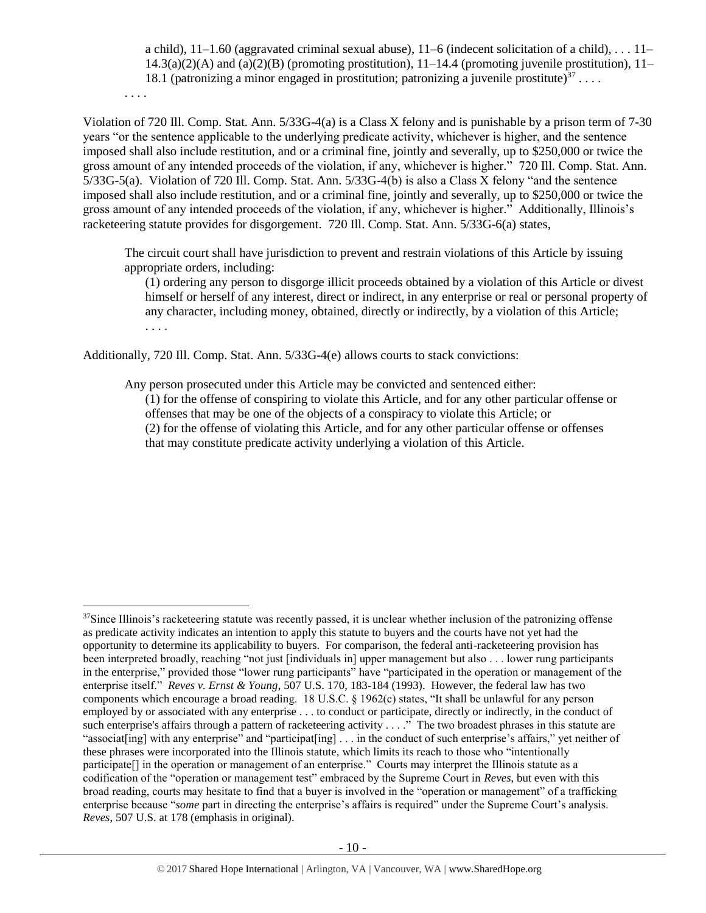a child),  $11-1.60$  (aggravated criminal sexual abuse),  $11-6$  (indecent solicitation of a child), ...  $11 14.3(a)(2)(A)$  and  $(a)(2)(B)$  (promoting prostitution),  $11-14.4$  (promoting juvenile prostitution),  $11-$ 18.1 (patronizing a minor engaged in prostitution; patronizing a juvenile prostitute)<sup>37</sup>...

. . . .

 $\overline{a}$ 

Violation of 720 Ill. Comp. Stat. Ann. 5/33G-4(a) is a Class X felony and is punishable by a prison term of 7-30 years "or the sentence applicable to the underlying predicate activity, whichever is higher, and the sentence imposed shall also include restitution, and or a criminal fine, jointly and severally, up to \$250,000 or twice the gross amount of any intended proceeds of the violation, if any, whichever is higher." 720 Ill. Comp. Stat. Ann. 5/33G-5(a). Violation of 720 Ill. Comp. Stat. Ann. 5/33G-4(b) is also a Class X felony "and the sentence imposed shall also include restitution, and or a criminal fine, jointly and severally, up to \$250,000 or twice the gross amount of any intended proceeds of the violation, if any, whichever is higher." Additionally, Illinois's racketeering statute provides for disgorgement. 720 Ill. Comp. Stat. Ann. 5/33G-6(a) states,

The circuit court shall have jurisdiction to prevent and restrain violations of this Article by issuing appropriate orders, including:

(1) ordering any person to disgorge illicit proceeds obtained by a violation of this Article or divest himself or herself of any interest, direct or indirect, in any enterprise or real or personal property of any character, including money, obtained, directly or indirectly, by a violation of this Article; . . . .

Additionally, 720 Ill. Comp. Stat. Ann. 5/33G-4(e) allows courts to stack convictions:

Any person prosecuted under this Article may be convicted and sentenced either:

(1) for the offense of conspiring to violate this Article, and for any other particular offense or offenses that may be one of the objects of a conspiracy to violate this Article; or

(2) for the offense of violating this Article, and for any other particular offense or offenses that may constitute predicate activity underlying a violation of this Article.

 $37$ Since Illinois's racketeering statute was recently passed, it is unclear whether inclusion of the patronizing offense as predicate activity indicates an intention to apply this statute to buyers and the courts have not yet had the opportunity to determine its applicability to buyers. For comparison, the federal anti-racketeering provision has been interpreted broadly, reaching "not just [individuals in] upper management but also . . . lower rung participants in the enterprise," provided those "lower rung participants" have "participated in the operation or management of the enterprise itself." *Reves v. Ernst & Young*, 507 U.S. 170, 183-184 (1993). However, the federal law has two components which encourage a broad reading. 18 U.S.C. § 1962(c) states, "It shall be unlawful for any person employed by or associated with any enterprise . . . to conduct or participate, directly or indirectly, in the conduct of such enterprise's affairs through a pattern of racketeering activity . . . ." The two broadest phrases in this statute are "associat[ing] with any enterprise" and "participat[ing] . . . in the conduct of such enterprise's affairs," yet neither of these phrases were incorporated into the Illinois statute, which limits its reach to those who "intentionally participate[] in the operation or management of an enterprise." Courts may interpret the Illinois statute as a codification of the "operation or management test" embraced by the Supreme Court in *Reves*, but even with this broad reading, courts may hesitate to find that a buyer is involved in the "operation or management" of a trafficking enterprise because "*some* part in directing the enterprise's affairs is required" under the Supreme Court's analysis. *Reves*, 507 U.S. at 178 (emphasis in original).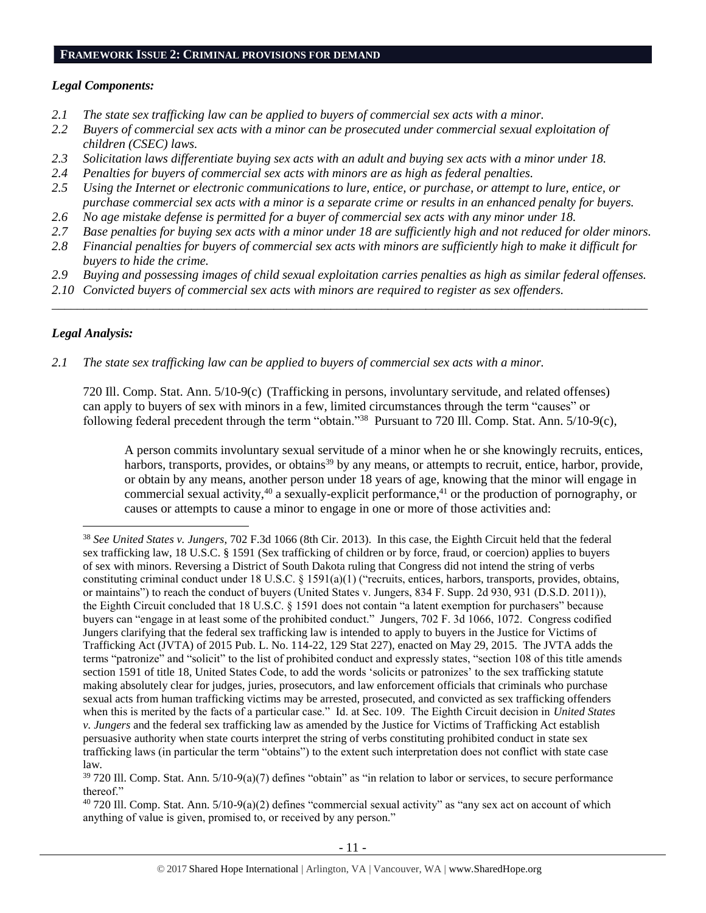#### **FRAMEWORK ISSUE 2: CRIMINAL PROVISIONS FOR DEMAND**

## *Legal Components:*

- *2.1 The state sex trafficking law can be applied to buyers of commercial sex acts with a minor.*
- *2.2 Buyers of commercial sex acts with a minor can be prosecuted under commercial sexual exploitation of children (CSEC) laws.*
- *2.3 Solicitation laws differentiate buying sex acts with an adult and buying sex acts with a minor under 18.*
- *2.4 Penalties for buyers of commercial sex acts with minors are as high as federal penalties.*
- *2.5 Using the Internet or electronic communications to lure, entice, or purchase, or attempt to lure, entice, or purchase commercial sex acts with a minor is a separate crime or results in an enhanced penalty for buyers.*
- *2.6 No age mistake defense is permitted for a buyer of commercial sex acts with any minor under 18.*
- *2.7 Base penalties for buying sex acts with a minor under 18 are sufficiently high and not reduced for older minors.*
- *2.8 Financial penalties for buyers of commercial sex acts with minors are sufficiently high to make it difficult for buyers to hide the crime.*
- *2.9 Buying and possessing images of child sexual exploitation carries penalties as high as similar federal offenses.*

\_\_\_\_\_\_\_\_\_\_\_\_\_\_\_\_\_\_\_\_\_\_\_\_\_\_\_\_\_\_\_\_\_\_\_\_\_\_\_\_\_\_\_\_\_\_\_\_\_\_\_\_\_\_\_\_\_\_\_\_\_\_\_\_\_\_\_\_\_\_\_\_\_\_\_\_\_\_\_\_\_\_\_\_\_\_\_\_\_\_\_\_\_\_

*2.10 Convicted buyers of commercial sex acts with minors are required to register as sex offenders.* 

# *Legal Analysis:*

 $\overline{a}$ 

*2.1 The state sex trafficking law can be applied to buyers of commercial sex acts with a minor.*

720 Ill. Comp. Stat. Ann. 5/10-9(c) (Trafficking in persons, involuntary servitude, and related offenses) can apply to buyers of sex with minors in a few, limited circumstances through the term "causes" or following federal precedent through the term "obtain."<sup>38</sup> Pursuant to 720 Ill. Comp. Stat. Ann. 5/10-9(c),

A person commits involuntary sexual servitude of a minor when he or she knowingly recruits, entices, harbors, transports, provides, or obtains<sup>39</sup> by any means, or attempts to recruit, entice, harbor, provide, or obtain by any means, another person under 18 years of age, knowing that the minor will engage in commercial sexual activity,  $40$  a sexually-explicit performance,  $41$  or the production of pornography, or causes or attempts to cause a minor to engage in one or more of those activities and:

<sup>38</sup> *See United States v. Jungers*, 702 F.3d 1066 (8th Cir. 2013). In this case, the Eighth Circuit held that the federal sex trafficking law, 18 U.S.C. § 1591 (Sex trafficking of children or by force, fraud, or coercion) applies to buyers of sex with minors. Reversing a District of South Dakota ruling that Congress did not intend the string of verbs constituting criminal conduct under 18 U.S.C. § 1591(a)(1) ("recruits, entices, harbors, transports, provides, obtains, or maintains") to reach the conduct of buyers (United States v. Jungers, 834 F. Supp. 2d 930, 931 (D.S.D. 2011)), the Eighth Circuit concluded that 18 U.S.C. § 1591 does not contain "a latent exemption for purchasers" because buyers can "engage in at least some of the prohibited conduct." Jungers, 702 F. 3d 1066, 1072. Congress codified Jungers clarifying that the federal sex trafficking law is intended to apply to buyers in the Justice for Victims of Trafficking Act (JVTA) of 2015 Pub. L. No. 114-22, 129 Stat 227), enacted on May 29, 2015. The JVTA adds the terms "patronize" and "solicit" to the list of prohibited conduct and expressly states, "section 108 of this title amends section 1591 of title 18, United States Code, to add the words 'solicits or patronizes' to the sex trafficking statute making absolutely clear for judges, juries, prosecutors, and law enforcement officials that criminals who purchase sexual acts from human trafficking victims may be arrested, prosecuted, and convicted as sex trafficking offenders when this is merited by the facts of a particular case." Id. at Sec. 109. The Eighth Circuit decision in *United States v. Jungers* and the federal sex trafficking law as amended by the Justice for Victims of Trafficking Act establish persuasive authority when state courts interpret the string of verbs constituting prohibited conduct in state sex trafficking laws (in particular the term "obtains") to the extent such interpretation does not conflict with state case law.

 $39$  720 III. Comp. Stat. Ann.  $5/10-9(a)(7)$  defines "obtain" as "in relation to labor or services, to secure performance thereof."

 $40$  720 Ill. Comp. Stat. Ann.  $5/10-9(a)(2)$  defines "commercial sexual activity" as "any sex act on account of which anything of value is given, promised to, or received by any person."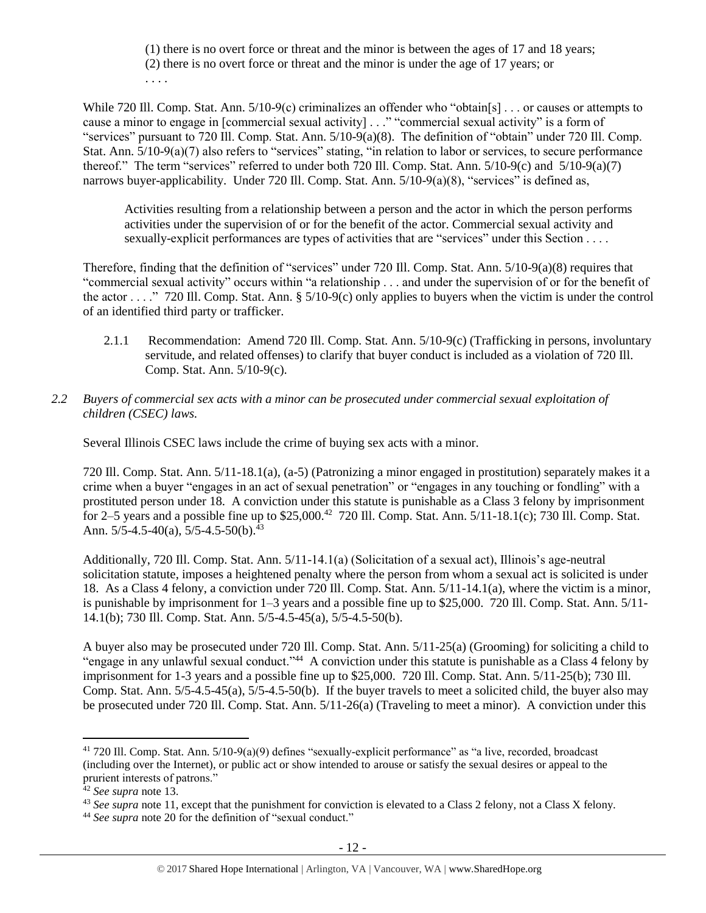(1) there is no overt force or threat and the minor is between the ages of 17 and 18 years; (2) there is no overt force or threat and the minor is under the age of 17 years; or . . . .

While 720 Ill. Comp. Stat. Ann. 5/10-9(c) criminalizes an offender who "obtain[s] . . . or causes or attempts to cause a minor to engage in [commercial sexual activity] . . ." "commercial sexual activity" is a form of "services" pursuant to 720 Ill. Comp. Stat. Ann. 5/10-9(a)(8). The definition of "obtain" under 720 Ill. Comp. Stat. Ann.  $5/10-9(a)(7)$  also refers to "services" stating, "in relation to labor or services, to secure performance thereof." The term "services" referred to under both 720 Ill. Comp. Stat. Ann. 5/10-9(c) and 5/10-9(a)(7) narrows buyer-applicability. Under 720 Ill. Comp. Stat. Ann. 5/10-9(a)(8), "services" is defined as,

Activities resulting from a relationship between a person and the actor in which the person performs activities under the supervision of or for the benefit of the actor. Commercial sexual activity and sexually-explicit performances are types of activities that are "services" under this Section . . . .

Therefore, finding that the definition of "services" under 720 Ill. Comp. Stat. Ann. 5/10-9(a)(8) requires that "commercial sexual activity" occurs within "a relationship . . . and under the supervision of or for the benefit of the actor . . . ." 720 Ill. Comp. Stat. Ann. § 5/10-9(c) only applies to buyers when the victim is under the control of an identified third party or trafficker.

- 2.1.1 Recommendation: Amend 720 Ill. Comp. Stat. Ann. 5/10-9(c) (Trafficking in persons, involuntary servitude, and related offenses) to clarify that buyer conduct is included as a violation of 720 Ill. Comp. Stat. Ann. 5/10-9(c).
- *2.2 Buyers of commercial sex acts with a minor can be prosecuted under commercial sexual exploitation of children (CSEC) laws.*

Several Illinois CSEC laws include the crime of buying sex acts with a minor.

720 Ill. Comp. Stat. Ann. 5/11-18.1(a), (a-5) (Patronizing a minor engaged in prostitution) separately makes it a crime when a buyer "engages in an act of sexual penetration" or "engages in any touching or fondling" with a prostituted person under 18. A conviction under this statute is punishable as a Class 3 felony by imprisonment for 2–5 years and a possible fine up to  $$25,000.<sup>42</sup>$  720 Ill. Comp. Stat. Ann.  $5/11-18.1(c)$ ; 730 Ill. Comp. Stat. Ann.  $5/5-4.5-40(a)$ ,  $5/5-4.5-50(b)$ .<sup>43</sup>

Additionally, 720 Ill. Comp. Stat. Ann. 5/11-14.1(a) (Solicitation of a sexual act), Illinois's age-neutral solicitation statute, imposes a heightened penalty where the person from whom a sexual act is solicited is under 18. As a Class 4 felony, a conviction under 720 Ill. Comp. Stat. Ann. 5/11-14.1(a), where the victim is a minor, is punishable by imprisonment for 1–3 years and a possible fine up to \$25,000. 720 Ill. Comp. Stat. Ann. 5/11- 14.1(b); 730 Ill. Comp. Stat. Ann. 5/5-4.5-45(a), 5/5-4.5-50(b).

A buyer also may be prosecuted under 720 Ill. Comp. Stat. Ann. 5/11-25(a) (Grooming) for soliciting a child to "engage in any unlawful sexual conduct."<sup>44</sup> A conviction under this statute is punishable as a Class 4 felony by imprisonment for 1-3 years and a possible fine up to \$25,000. 720 Ill. Comp. Stat. Ann. 5/11-25(b); 730 Ill. Comp. Stat. Ann. 5/5-4.5-45(a), 5/5-4.5-50(b). If the buyer travels to meet a solicited child, the buyer also may be prosecuted under 720 Ill. Comp. Stat. Ann. 5/11-26(a) (Traveling to meet a minor). A conviction under this

<sup>41</sup> 720 Ill. Comp. Stat. Ann. 5/10-9(a)(9) defines "sexually-explicit performance" as "a live, recorded, broadcast (including over the Internet), or public act or show intended to arouse or satisfy the sexual desires or appeal to the prurient interests of patrons."

<sup>42</sup> *See supra* note [13.](#page-3-0)

<sup>&</sup>lt;sup>43</sup> See supra note [11,](#page-3-1) except that the punishment for conviction is elevated to a Class 2 felony, not a Class X felony.

<sup>&</sup>lt;sup>44</sup> See supra note [20](#page-4-0) for the definition of "sexual conduct."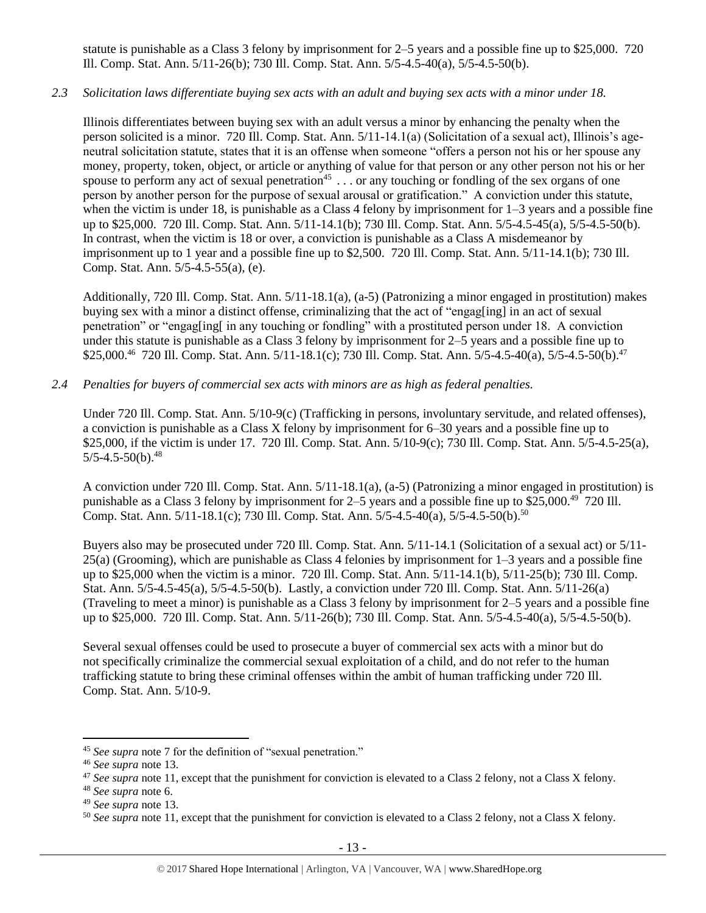statute is punishable as a Class 3 felony by imprisonment for 2–5 years and a possible fine up to \$25,000. 720 Ill. Comp. Stat. Ann. 5/11-26(b); 730 Ill. Comp. Stat. Ann. 5/5-4.5-40(a), 5/5-4.5-50(b).

## *2.3 Solicitation laws differentiate buying sex acts with an adult and buying sex acts with a minor under 18.*

Illinois differentiates between buying sex with an adult versus a minor by enhancing the penalty when the person solicited is a minor. 720 Ill. Comp. Stat. Ann. 5/11-14.1(a) (Solicitation of a sexual act), Illinois's ageneutral solicitation statute, states that it is an offense when someone "offers a person not his or her spouse any money, property, token, object, or article or anything of value for that person or any other person not his or her spouse to perform any act of sexual penetration<sup>45</sup> . . . or any touching or fondling of the sex organs of one person by another person for the purpose of sexual arousal or gratification." A conviction under this statute, when the victim is under 18, is punishable as a Class 4 felony by imprisonment for  $1-3$  years and a possible fine up to \$25,000. 720 Ill. Comp. Stat. Ann. 5/11-14.1(b); 730 Ill. Comp. Stat. Ann. 5/5-4.5-45(a), 5/5-4.5-50(b). In contrast, when the victim is 18 or over, a conviction is punishable as a Class A misdemeanor by imprisonment up to 1 year and a possible fine up to \$2,500. 720 Ill. Comp. Stat. Ann. 5/11-14.1(b); 730 Ill. Comp. Stat. Ann. 5/5-4.5-55(a), (e).

Additionally, 720 Ill. Comp. Stat. Ann. 5/11-18.1(a), (a-5) (Patronizing a minor engaged in prostitution) makes buying sex with a minor a distinct offense, criminalizing that the act of "engag[ing] in an act of sexual penetration" or "engag[ing[ in any touching or fondling" with a prostituted person under 18. A conviction under this statute is punishable as a Class 3 felony by imprisonment for 2–5 years and a possible fine up to \$25,000.<sup>46</sup> 720 Ill. Comp. Stat. Ann. 5/11-18.1(c); 730 Ill. Comp. Stat. Ann. 5/5-4.5-40(a), 5/5-4.5-50(b).<sup>47</sup>

## *2.4 Penalties for buyers of commercial sex acts with minors are as high as federal penalties.*

Under 720 Ill. Comp. Stat. Ann. 5/10-9(c) (Trafficking in persons, involuntary servitude, and related offenses), a conviction is punishable as a Class X felony by imprisonment for 6–30 years and a possible fine up to \$25,000, if the victim is under 17. 720 Ill. Comp. Stat. Ann. 5/10-9(c); 730 Ill. Comp. Stat. Ann. 5/5-4.5-25(a),  $5/5-4.5-50(b).$ <sup>48</sup>

A conviction under 720 Ill. Comp. Stat. Ann. 5/11-18.1(a), (a-5) (Patronizing a minor engaged in prostitution) is punishable as a Class 3 felony by imprisonment for 2–5 years and a possible fine up to \$25,000.<sup>49</sup> 720 Ill. Comp. Stat. Ann. 5/11-18.1(c); 730 Ill. Comp. Stat. Ann. 5/5-4.5-40(a), 5/5-4.5-50(b).<sup>50</sup>

Buyers also may be prosecuted under 720 Ill. Comp. Stat. Ann. 5/11-14.1 (Solicitation of a sexual act) or 5/11- 25(a) (Grooming), which are punishable as Class 4 felonies by imprisonment for 1–3 years and a possible fine up to \$25,000 when the victim is a minor. 720 Ill. Comp. Stat. Ann. 5/11-14.1(b), 5/11-25(b); 730 Ill. Comp. Stat. Ann. 5/5-4.5-45(a), 5/5-4.5-50(b). Lastly, a conviction under 720 Ill. Comp. Stat. Ann. 5/11-26(a) (Traveling to meet a minor) is punishable as a Class 3 felony by imprisonment for 2–5 years and a possible fine up to \$25,000. 720 Ill. Comp. Stat. Ann. 5/11-26(b); 730 Ill. Comp. Stat. Ann. 5/5-4.5-40(a), 5/5-4.5-50(b).

Several sexual offenses could be used to prosecute a buyer of commercial sex acts with a minor but do not specifically criminalize the commercial sexual exploitation of a child, and do not refer to the human trafficking statute to bring these criminal offenses within the ambit of human trafficking under 720 Ill. Comp. Stat. Ann. 5/10-9.

<sup>45</sup> *See supra* note [7](#page-2-0) for the definition of "sexual penetration."

<sup>46</sup> *See supra* note [13.](#page-3-0)

<sup>&</sup>lt;sup>47</sup> See supra note [11,](#page-3-1) except that the punishment for conviction is elevated to a Class 2 felony, not a Class X felony.

<sup>48</sup> *See supra* note [6.](#page-1-0)

<sup>49</sup> *See supra* note [13.](#page-3-0)

<sup>&</sup>lt;sup>50</sup> See supra note [11,](#page-3-1) except that the punishment for conviction is elevated to a Class 2 felony, not a Class X felony.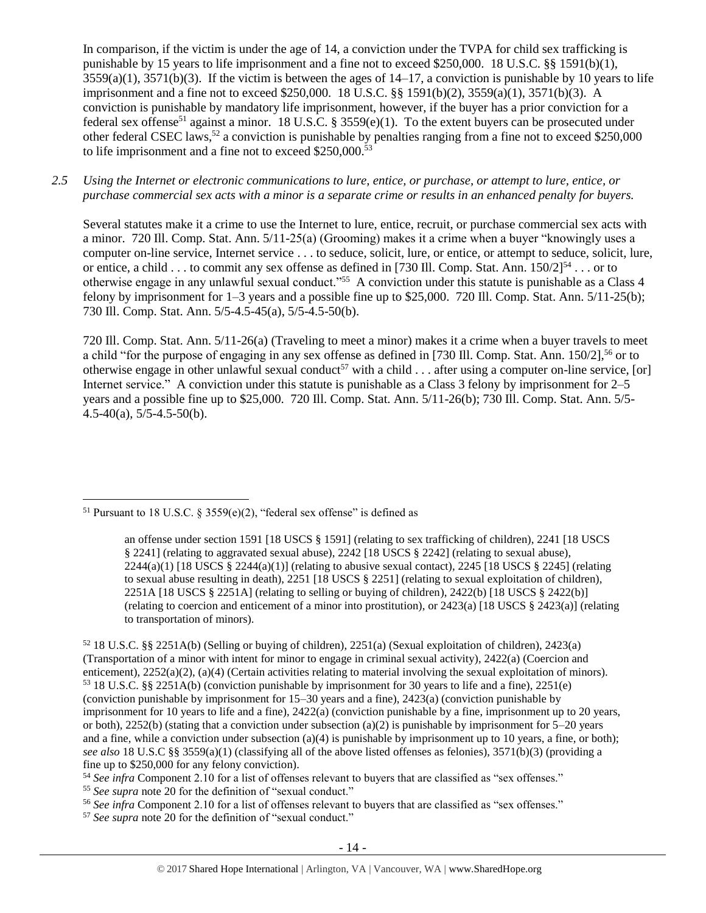<span id="page-13-0"></span>In comparison, if the victim is under the age of 14, a conviction under the TVPA for child sex trafficking is punishable by 15 years to life imprisonment and a fine not to exceed \$250,000. 18 U.S.C. §§ 1591(b)(1),  $3559(a)(1)$ ,  $3571(b)(3)$ . If the victim is between the ages of  $14-17$ , a conviction is punishable by 10 years to life imprisonment and a fine not to exceed \$250,000. 18 U.S.C. §§ 1591(b)(2), 3559(a)(1), 3571(b)(3). A conviction is punishable by mandatory life imprisonment, however, if the buyer has a prior conviction for a federal sex offense<sup>51</sup> against a minor. 18 U.S.C. § 3559(e)(1). To the extent buyers can be prosecuted under other federal CSEC laws,<sup>52</sup> a conviction is punishable by penalties ranging from a fine not to exceed \$250,000 to life imprisonment and a fine not to exceed \$250,000.<sup>53</sup>

*2.5 Using the Internet or electronic communications to lure, entice, or purchase, or attempt to lure, entice, or purchase commercial sex acts with a minor is a separate crime or results in an enhanced penalty for buyers.*

Several statutes make it a crime to use the Internet to lure, entice, recruit, or purchase commercial sex acts with a minor. 720 Ill. Comp. Stat. Ann. 5/11-25(a) (Grooming) makes it a crime when a buyer "knowingly uses a computer on-line service, Internet service . . . to seduce, solicit, lure, or entice, or attempt to seduce, solicit, lure, or entice, a child . . . to commit any sex offense as defined in [730 Ill. Comp. Stat. Ann. 150/2]<sup>54</sup> . . . or to otherwise engage in any unlawful sexual conduct."<sup>55</sup> A conviction under this statute is punishable as a Class 4 felony by imprisonment for  $1-3$  years and a possible fine up to \$25,000. 720 Ill. Comp. Stat. Ann. 5/11-25(b); 730 Ill. Comp. Stat. Ann. 5/5-4.5-45(a), 5/5-4.5-50(b).

720 Ill. Comp. Stat. Ann. 5/11-26(a) (Traveling to meet a minor) makes it a crime when a buyer travels to meet a child "for the purpose of engaging in any sex offense as defined in [730 Ill. Comp. Stat. Ann. 150/2],<sup>56</sup> or to otherwise engage in other unlawful sexual conduct<sup>57</sup> with a child  $\dots$  after using a computer on-line service, [or] Internet service." A conviction under this statute is punishable as a Class 3 felony by imprisonment for 2–5 years and a possible fine up to \$25,000. 720 Ill. Comp. Stat. Ann. 5/11-26(b); 730 Ill. Comp. Stat. Ann. 5/5-  $4.5-40(a)$ ,  $5/5-4.5-50(b)$ .

 $\overline{a}$ 

<sup>55</sup> *See supra* note [20](#page-4-0) for the definition of "sexual conduct."

<sup>&</sup>lt;sup>51</sup> Pursuant to 18 U.S.C. § 3559(e)(2), "federal sex offense" is defined as

an offense under section 1591 [18 USCS § 1591] (relating to sex trafficking of children), 2241 [18 USCS § 2241] (relating to aggravated sexual abuse), 2242 [18 USCS § 2242] (relating to sexual abuse),  $2244(a)(1)$  [18 USCS §  $2244(a)(1)$ ] (relating to abusive sexual contact),  $2245$  [18 USCS §  $2245$ ] (relating to sexual abuse resulting in death), 2251 [18 USCS § 2251] (relating to sexual exploitation of children), 2251A [18 USCS § 2251A] (relating to selling or buying of children), 2422(b) [18 USCS § 2422(b)] (relating to coercion and enticement of a minor into prostitution), or 2423(a) [18 USCS § 2423(a)] (relating to transportation of minors).

<sup>52</sup> 18 U.S.C. §§ 2251A(b) (Selling or buying of children), 2251(a) (Sexual exploitation of children), 2423(a) (Transportation of a minor with intent for minor to engage in criminal sexual activity), 2422(a) (Coercion and enticement), 2252(a)(2), (a)(4) (Certain activities relating to material involving the sexual exploitation of minors). <sup>53</sup> 18 U.S.C. §§ 2251A(b) (conviction punishable by imprisonment for 30 years to life and a fine), 2251(e) (conviction punishable by imprisonment for 15–30 years and a fine), 2423(a) (conviction punishable by imprisonment for 10 years to life and a fine), 2422(a) (conviction punishable by a fine, imprisonment up to 20 years, or both), 2252(b) (stating that a conviction under subsection (a)(2) is punishable by imprisonment for  $5-20$  years and a fine, while a conviction under subsection (a)(4) is punishable by imprisonment up to 10 years, a fine, or both); *see also* 18 U.S.C §§ 3559(a)(1) (classifying all of the above listed offenses as felonies), 3571(b)(3) (providing a fine up to \$250,000 for any felony conviction).

<sup>54</sup> *See infra* Component 2.10 for a list of offenses relevant to buyers that are classified as "sex offenses."

<sup>56</sup> *See infra* Component 2.10 for a list of offenses relevant to buyers that are classified as "sex offenses."

<sup>&</sup>lt;sup>57</sup> See supra note [20](#page-4-0) for the definition of "sexual conduct."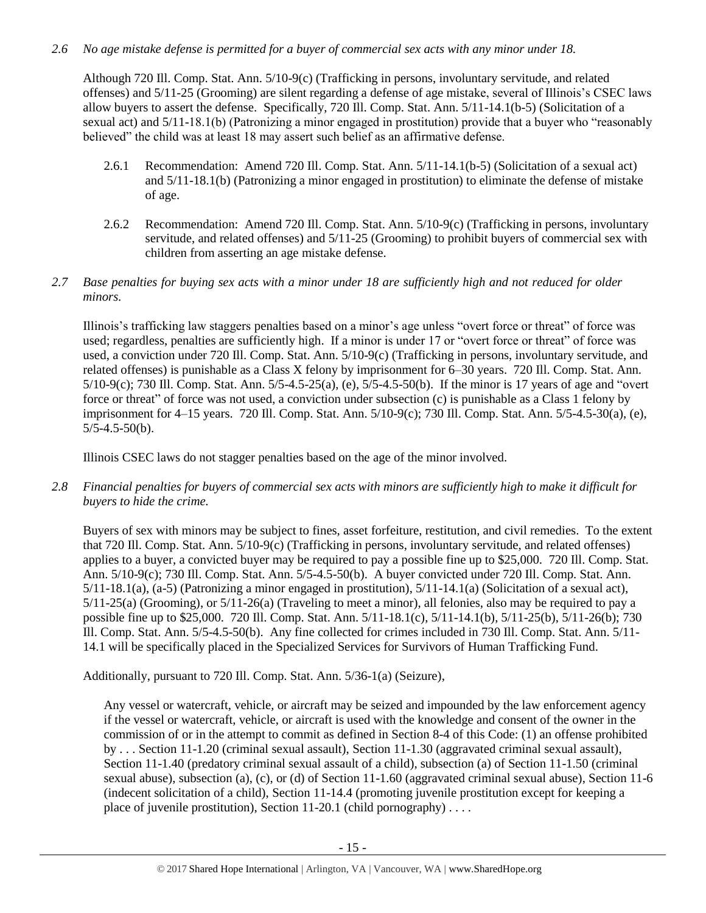# *2.6 No age mistake defense is permitted for a buyer of commercial sex acts with any minor under 18.*

Although 720 Ill. Comp. Stat. Ann. 5/10-9(c) (Trafficking in persons, involuntary servitude, and related offenses) and 5/11-25 (Grooming) are silent regarding a defense of age mistake, several of Illinois's CSEC laws allow buyers to assert the defense. Specifically, 720 Ill. Comp. Stat. Ann. 5/11-14.1(b-5) (Solicitation of a sexual act) and 5/11-18.1(b) (Patronizing a minor engaged in prostitution) provide that a buyer who "reasonably believed" the child was at least 18 may assert such belief as an affirmative defense.

- 2.6.1 Recommendation: Amend 720 Ill. Comp. Stat. Ann. 5/11-14.1(b-5) (Solicitation of a sexual act) and 5/11-18.1(b) (Patronizing a minor engaged in prostitution) to eliminate the defense of mistake of age.
- 2.6.2 Recommendation: Amend 720 Ill. Comp. Stat. Ann. 5/10-9(c) (Trafficking in persons, involuntary servitude, and related offenses) and 5/11-25 (Grooming) to prohibit buyers of commercial sex with children from asserting an age mistake defense.
- *2.7 Base penalties for buying sex acts with a minor under 18 are sufficiently high and not reduced for older minors.*

Illinois's trafficking law staggers penalties based on a minor's age unless "overt force or threat" of force was used; regardless, penalties are sufficiently high. If a minor is under 17 or "overt force or threat" of force was used, a conviction under 720 Ill. Comp. Stat. Ann. 5/10-9(c) (Trafficking in persons, involuntary servitude, and related offenses) is punishable as a Class X felony by imprisonment for 6–30 years. 720 Ill. Comp. Stat. Ann. 5/10-9(c); 730 Ill. Comp. Stat. Ann. 5/5-4.5-25(a), (e), 5/5-4.5-50(b). If the minor is 17 years of age and "overt force or threat" of force was not used, a conviction under subsection (c) is punishable as a Class 1 felony by imprisonment for 4–15 years. 720 Ill. Comp. Stat. Ann. 5/10-9(c); 730 Ill. Comp. Stat. Ann. 5/5-4.5-30(a), (e),  $5/5 - 4.5 - 50(b)$ .

Illinois CSEC laws do not stagger penalties based on the age of the minor involved.

*2.8 Financial penalties for buyers of commercial sex acts with minors are sufficiently high to make it difficult for buyers to hide the crime.* 

Buyers of sex with minors may be subject to fines, asset forfeiture, restitution, and civil remedies. To the extent that 720 Ill. Comp. Stat. Ann. 5/10-9(c) (Trafficking in persons, involuntary servitude, and related offenses) applies to a buyer, a convicted buyer may be required to pay a possible fine up to \$25,000. 720 Ill. Comp. Stat. Ann. 5/10-9(c); 730 Ill. Comp. Stat. Ann. 5/5-4.5-50(b). A buyer convicted under 720 Ill. Comp. Stat. Ann. 5/11-18.1(a), (a-5) (Patronizing a minor engaged in prostitution), 5/11-14.1(a) (Solicitation of a sexual act), 5/11-25(a) (Grooming), or 5/11-26(a) (Traveling to meet a minor), all felonies, also may be required to pay a possible fine up to \$25,000. 720 Ill. Comp. Stat. Ann. 5/11-18.1(c), 5/11-14.1(b), 5/11-25(b), 5/11-26(b); 730 Ill. Comp. Stat. Ann. 5/5-4.5-50(b). Any fine collected for crimes included in 730 Ill. Comp. Stat. Ann. 5/11- 14.1 will be specifically placed in the Specialized Services for Survivors of Human Trafficking Fund.

Additionally, pursuant to 720 Ill. Comp. Stat. Ann. 5/36-1(a) (Seizure),

Any vessel or watercraft, vehicle, or aircraft may be seized and impounded by the law enforcement agency if the vessel or watercraft, vehicle, or aircraft is used with the knowledge and consent of the owner in the commission of or in the attempt to commit as defined in Section 8-4 of this Code: (1) an offense prohibited by . . . Section 11-1.20 (criminal sexual assault), Section 11-1.30 (aggravated criminal sexual assault), Section 11-1.40 (predatory criminal sexual assault of a child), subsection (a) of Section 11-1.50 (criminal sexual abuse), subsection (a), (c), or (d) of Section 11-1.60 (aggravated criminal sexual abuse), Section 11-6 (indecent solicitation of a child), Section 11-14.4 (promoting juvenile prostitution except for keeping a place of juvenile prostitution), Section 11-20.1 (child pornography) . . . .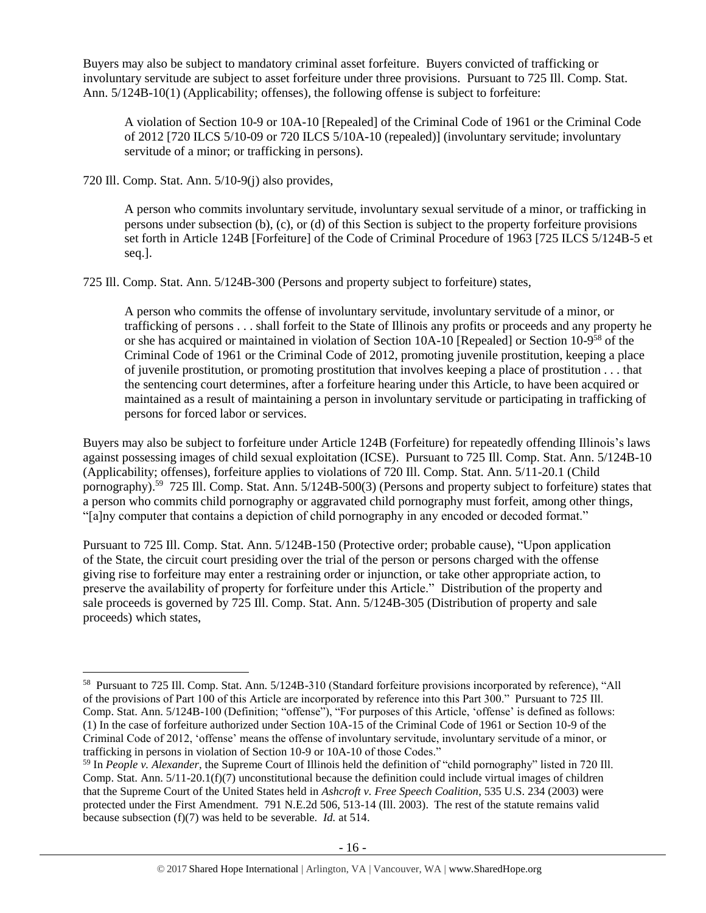Buyers may also be subject to mandatory criminal asset forfeiture. Buyers convicted of trafficking or involuntary servitude are subject to asset forfeiture under three provisions. Pursuant to 725 Ill. Comp. Stat. Ann. 5/124B-10(1) (Applicability; offenses), the following offense is subject to forfeiture:

A violation of Section 10-9 or 10A-10 [Repealed] of the Criminal Code of 1961 or the Criminal Code of 2012 [720 ILCS 5/10-09 or 720 ILCS 5/10A-10 (repealed)] (involuntary servitude; involuntary servitude of a minor; or trafficking in persons).

720 Ill. Comp. Stat. Ann. 5/10-9(j) also provides,

 $\overline{a}$ 

A person who commits involuntary servitude, involuntary sexual servitude of a minor, or trafficking in persons under subsection (b), (c), or (d) of this Section is subject to the property forfeiture provisions set forth in Article 124B [Forfeiture] of the Code of Criminal Procedure of 1963 [725 ILCS 5/124B-5 et seq.].

725 Ill. Comp. Stat. Ann. 5/124B-300 (Persons and property subject to forfeiture) states,

A person who commits the offense of involuntary servitude, involuntary servitude of a minor, or trafficking of persons . . . shall forfeit to the State of Illinois any profits or proceeds and any property he or she has acquired or maintained in violation of Section 10A-10 [Repealed] or Section 10-9<sup>58</sup> of the Criminal Code of 1961 or the Criminal Code of 2012, promoting juvenile prostitution, keeping a place of juvenile prostitution, or promoting prostitution that involves keeping a place of prostitution . . . that the sentencing court determines, after a forfeiture hearing under this Article, to have been acquired or maintained as a result of maintaining a person in involuntary servitude or participating in trafficking of persons for forced labor or services.

Buyers may also be subject to forfeiture under Article 124B (Forfeiture) for repeatedly offending Illinois's laws against possessing images of child sexual exploitation (ICSE). Pursuant to 725 Ill. Comp. Stat. Ann. 5/124B-10 (Applicability; offenses), forfeiture applies to violations of 720 Ill. Comp. Stat. Ann. 5/11-20.1 (Child pornography).<sup>59</sup> 725 Ill. Comp. Stat. Ann. 5/124B-500(3) (Persons and property subject to forfeiture) states that a person who commits child pornography or aggravated child pornography must forfeit, among other things, "[a]ny computer that contains a depiction of child pornography in any encoded or decoded format."

Pursuant to 725 Ill. Comp. Stat. Ann. 5/124B-150 (Protective order; probable cause), "Upon application of the State, the circuit court presiding over the trial of the person or persons charged with the offense giving rise to forfeiture may enter a restraining order or injunction, or take other appropriate action, to preserve the availability of property for forfeiture under this Article." Distribution of the property and sale proceeds is governed by 725 Ill. Comp. Stat. Ann. 5/124B-305 (Distribution of property and sale proceeds) which states,

<sup>58</sup> Pursuant to 725 Ill. Comp. Stat. Ann. 5/124B-310 (Standard forfeiture provisions incorporated by reference), "All of the provisions of Part 100 of this Article are incorporated by reference into this Part 300." Pursuant to 725 Ill. Comp. Stat. Ann. 5/124B-100 (Definition; "offense"), "For purposes of this Article, 'offense' is defined as follows: (1) In the case of forfeiture authorized under Section 10A-15 of the Criminal Code of 1961 or Section 10-9 of the Criminal Code of 2012, 'offense' means the offense of involuntary servitude, involuntary servitude of a minor, or trafficking in persons in violation of Section 10-9 or 10A-10 of those Codes."

<sup>59</sup> In *People v. Alexander*, the Supreme Court of Illinois held the definition of "child pornography" listed in 720 Ill. Comp. Stat. Ann. 5/11-20.1(f)(7) unconstitutional because the definition could include virtual images of children that the Supreme Court of the United States held in *Ashcroft v. Free Speech Coalition*, 535 U.S. 234 (2003) were protected under the First Amendment. 791 N.E.2d 506, 513-14 (Ill. 2003). The rest of the statute remains valid because subsection (f)(7) was held to be severable. *Id.* at 514.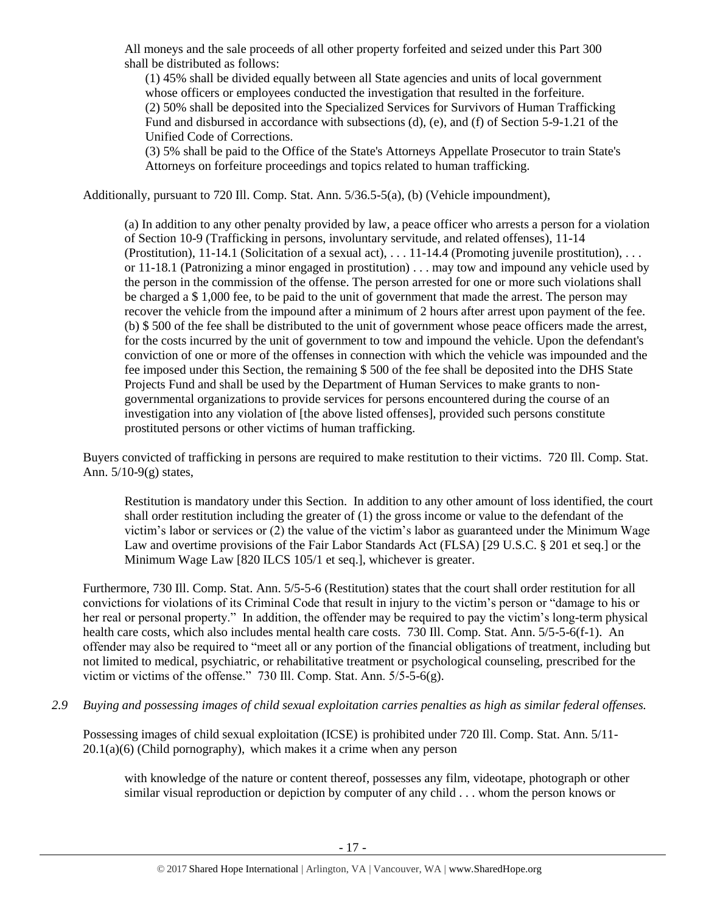All moneys and the sale proceeds of all other property forfeited and seized under this Part 300 shall be distributed as follows:

(1) 45% shall be divided equally between all State agencies and units of local government whose officers or employees conducted the investigation that resulted in the forfeiture. (2) 50% shall be deposited into the Specialized Services for Survivors of Human Trafficking Fund and disbursed in accordance with subsections (d), (e), and (f) of Section 5-9-1.21 of the Unified Code of Corrections.

(3) 5% shall be paid to the Office of the State's Attorneys Appellate Prosecutor to train State's Attorneys on forfeiture proceedings and topics related to human trafficking.

Additionally, pursuant to 720 Ill. Comp. Stat. Ann. 5/36.5-5(a), (b) (Vehicle impoundment),

(a) In addition to any other penalty provided by law, a peace officer who arrests a person for a violation of Section 10-9 (Trafficking in persons, involuntary servitude, and related offenses), 11-14 (Prostitution), 11-14.1 (Solicitation of a sexual act), . . . 11-14.4 (Promoting juvenile prostitution), . . . or 11-18.1 (Patronizing a minor engaged in prostitution) . . . may tow and impound any vehicle used by the person in the commission of the offense. The person arrested for one or more such violations shall be charged a \$ 1,000 fee, to be paid to the unit of government that made the arrest. The person may recover the vehicle from the impound after a minimum of 2 hours after arrest upon payment of the fee. (b) \$ 500 of the fee shall be distributed to the unit of government whose peace officers made the arrest, for the costs incurred by the unit of government to tow and impound the vehicle. Upon the defendant's conviction of one or more of the offenses in connection with which the vehicle was impounded and the fee imposed under this Section, the remaining \$ 500 of the fee shall be deposited into the DHS State Projects Fund and shall be used by the Department of Human Services to make grants to nongovernmental organizations to provide services for persons encountered during the course of an investigation into any violation of [the above listed offenses], provided such persons constitute prostituted persons or other victims of human trafficking.

Buyers convicted of trafficking in persons are required to make restitution to their victims. 720 Ill. Comp. Stat. Ann. 5/10-9(g) states,

Restitution is mandatory under this Section. In addition to any other amount of loss identified, the court shall order restitution including the greater of (1) the gross income or value to the defendant of the victim's labor or services or (2) the value of the victim's labor as guaranteed under the Minimum Wage Law and overtime provisions of the Fair Labor Standards Act (FLSA) [29 U.S.C. § 201 et seq.] or the Minimum Wage Law [820 ILCS 105/1 et seq.], whichever is greater.

Furthermore, 730 Ill. Comp. Stat. Ann. 5/5-5-6 (Restitution) states that the court shall order restitution for all convictions for violations of its Criminal Code that result in injury to the victim's person or "damage to his or her real or personal property." In addition, the offender may be required to pay the victim's long-term physical health care costs, which also includes mental health care costs. 730 Ill. Comp. Stat. Ann. 5/5-5-6(f-1). An offender may also be required to "meet all or any portion of the financial obligations of treatment, including but not limited to medical, psychiatric, or rehabilitative treatment or psychological counseling, prescribed for the victim or victims of the offense." 730 Ill. Comp. Stat. Ann. 5/5-5-6(g).

*2.9 Buying and possessing images of child sexual exploitation carries penalties as high as similar federal offenses.*

Possessing images of child sexual exploitation (ICSE) is prohibited under 720 Ill. Comp. Stat. Ann. 5/11-  $20.1(a)(6)$  (Child pornography), which makes it a crime when any person

with knowledge of the nature or content thereof, possesses any film, videotape, photograph or other similar visual reproduction or depiction by computer of any child . . . whom the person knows or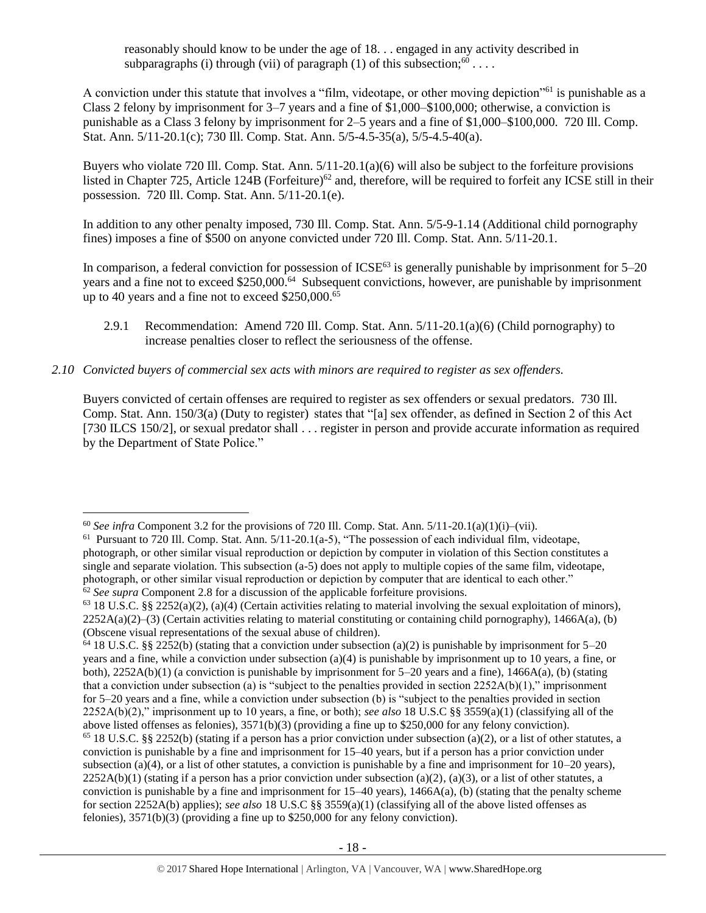reasonably should know to be under the age of 18. . . engaged in any activity described in subparagraphs (i) through (vii) of paragraph (1) of this subsection;  $60$ ...

A conviction under this statute that involves a "film, videotape, or other moving depiction"<sup>61</sup> is punishable as a Class 2 felony by imprisonment for 3–7 years and a fine of \$1,000–\$100,000; otherwise, a conviction is punishable as a Class 3 felony by imprisonment for 2–5 years and a fine of \$1,000–\$100,000. 720 Ill. Comp. Stat. Ann. 5/11-20.1(c); 730 Ill. Comp. Stat. Ann. 5/5-4.5-35(a), 5/5-4.5-40(a).

Buyers who violate 720 Ill. Comp. Stat. Ann. 5/11-20.1(a)(6) will also be subject to the forfeiture provisions listed in Chapter 725, Article 124B (Forfeiture)<sup>62</sup> and, therefore, will be required to forfeit any ICSE still in their possession. 720 Ill. Comp. Stat. Ann. 5/11-20.1(e).

In addition to any other penalty imposed, 730 Ill. Comp. Stat. Ann. 5/5-9-1.14 (Additional child pornography fines) imposes a fine of \$500 on anyone convicted under 720 Ill. Comp. Stat. Ann. 5/11-20.1.

In comparison, a federal conviction for possession of  $ICSE^{63}$  is generally punishable by imprisonment for  $5-20$ years and a fine not to exceed \$250,000.<sup>64</sup> Subsequent convictions, however, are punishable by imprisonment up to 40 years and a fine not to exceed \$250,000.<sup>65</sup>

- 2.9.1 Recommendation: Amend 720 Ill. Comp. Stat. Ann. 5/11-20.1(a)(6) (Child pornography) to increase penalties closer to reflect the seriousness of the offense.
- *2.10 Convicted buyers of commercial sex acts with minors are required to register as sex offenders.*

Buyers convicted of certain offenses are required to register as sex offenders or sexual predators. 730 Ill. Comp. Stat. Ann. 150/3(a) (Duty to register) states that "[a] sex offender, as defined in Section 2 of this Act [730 ILCS 150/2], or sexual predator shall . . . register in person and provide accurate information as required by the Department of State Police."

<sup>&</sup>lt;sup>60</sup> *See infra* Component 3.2 for the provisions of 720 Ill. Comp. Stat. Ann.  $5/11-20.1(a)(1)(i)-(vii)$ .

<sup>&</sup>lt;sup>61</sup> Pursuant to 720 Ill. Comp. Stat. Ann. 5/11-20.1(a-5), "The possession of each individual film, videotape, photograph, or other similar visual reproduction or depiction by computer in violation of this Section constitutes a single and separate violation. This subsection (a-5) does not apply to multiple copies of the same film, videotape, photograph, or other similar visual reproduction or depiction by computer that are identical to each other." <sup>62</sup> See supra Component 2.8 for a discussion of the applicable forfeiture provisions.

 $63$  18 U.S.C. §§ 2252(a)(2), (a)(4) (Certain activities relating to material involving the sexual exploitation of minors),  $2252A(a)(2)$ –(3) (Certain activities relating to material constituting or containing child pornography), 1466A(a), (b) (Obscene visual representations of the sexual abuse of children).

<sup>&</sup>lt;sup>64</sup> 18 U.S.C. §§ 2252(b) (stating that a conviction under subsection (a)(2) is punishable by imprisonment for 5–20 years and a fine, while a conviction under subsection (a)(4) is punishable by imprisonment up to 10 years, a fine, or both),  $2252A(b)(1)$  (a conviction is punishable by imprisonment for  $5-20$  years and a fine),  $1466A(a)$ , (b) (stating that a conviction under subsection (a) is "subject to the penalties provided in section  $2252A(b)(1)$ ," imprisonment for 5–20 years and a fine, while a conviction under subsection (b) is "subject to the penalties provided in section 2252A(b)(2)," imprisonment up to 10 years, a fine, or both); *see also* 18 U.S.C §§ 3559(a)(1) (classifying all of the above listed offenses as felonies), 3571(b)(3) (providing a fine up to \$250,000 for any felony conviction). <sup>65</sup> 18 U.S.C. §§ 2252(b) (stating if a person has a prior conviction under subsection (a)(2), or a list of other statutes, a conviction is punishable by a fine and imprisonment for 15–40 years, but if a person has a prior conviction under subsection (a)(4), or a list of other statutes, a conviction is punishable by a fine and imprisonment for  $10-20$  years),  $2252A(b)(1)$  (stating if a person has a prior conviction under subsection (a)(2), (a)(3), or a list of other statutes, a conviction is punishable by a fine and imprisonment for  $15-40$  years),  $1466A(a)$ , (b) (stating that the penalty scheme for section 2252A(b) applies); *see also* 18 U.S.C §§ 3559(a)(1) (classifying all of the above listed offenses as felonies),  $3571(b)(3)$  (providing a fine up to \$250,000 for any felony conviction).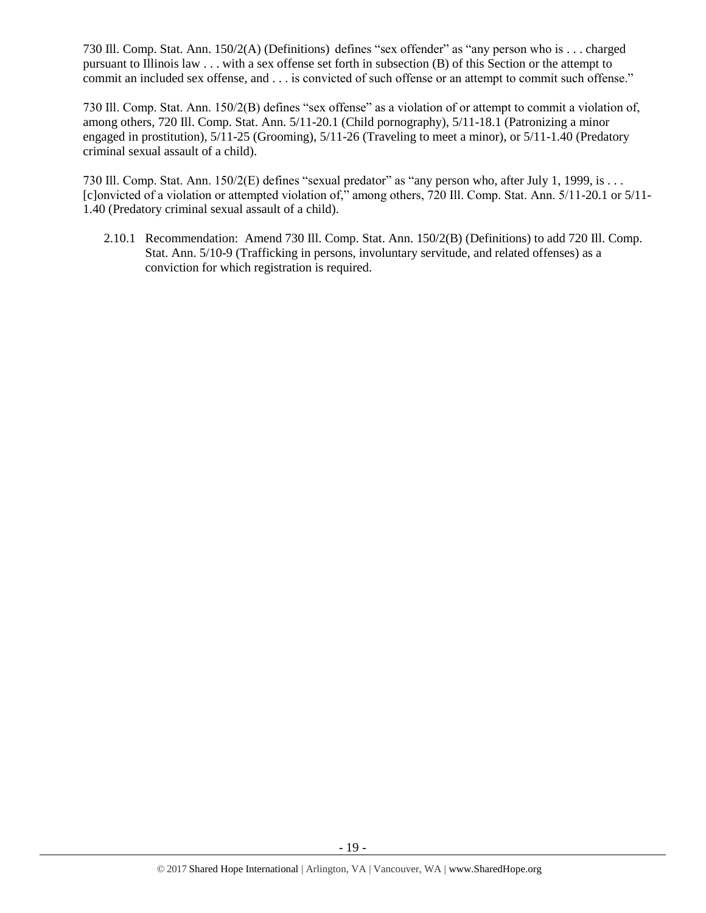730 Ill. Comp. Stat. Ann. 150/2(A) (Definitions) defines "sex offender" as "any person who is . . . charged pursuant to Illinois law . . . with a sex offense set forth in subsection (B) of this Section or the attempt to commit an included sex offense, and . . . is convicted of such offense or an attempt to commit such offense."

730 Ill. Comp. Stat. Ann. 150/2(B) defines "sex offense" as a violation of or attempt to commit a violation of, among others, 720 Ill. Comp. Stat. Ann. 5/11-20.1 (Child pornography), 5/11-18.1 (Patronizing a minor engaged in prostitution), 5/11-25 (Grooming), 5/11-26 (Traveling to meet a minor), or 5/11-1.40 (Predatory criminal sexual assault of a child).

730 Ill. Comp. Stat. Ann. 150/2(E) defines "sexual predator" as "any person who, after July 1, 1999, is . . . [c]onvicted of a violation or attempted violation of," among others, 720 Ill. Comp. Stat. Ann. 5/11-20.1 or 5/11- 1.40 (Predatory criminal sexual assault of a child).

2.10.1 Recommendation: Amend 730 Ill. Comp. Stat. Ann. 150/2(B) (Definitions) to add 720 Ill. Comp. Stat. Ann. 5/10-9 (Trafficking in persons, involuntary servitude, and related offenses) as a conviction for which registration is required.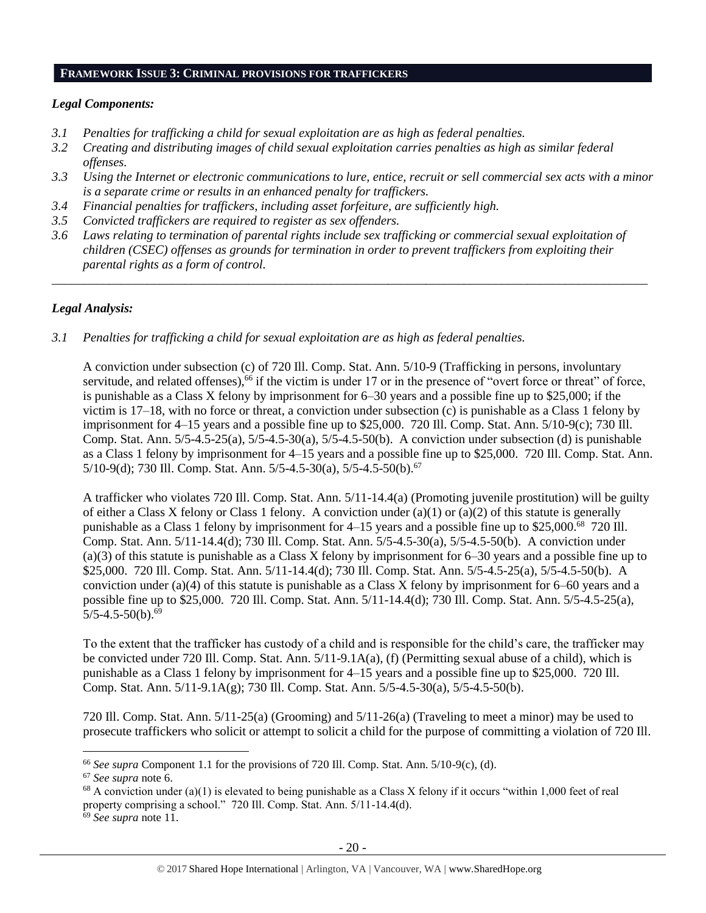#### **FRAMEWORK ISSUE 3: CRIMINAL PROVISIONS FOR TRAFFICKERS**

#### *Legal Components:*

- *3.1 Penalties for trafficking a child for sexual exploitation are as high as federal penalties.*
- *3.2 Creating and distributing images of child sexual exploitation carries penalties as high as similar federal offenses.*
- *3.3 Using the Internet or electronic communications to lure, entice, recruit or sell commercial sex acts with a minor is a separate crime or results in an enhanced penalty for traffickers.*
- *3.4 Financial penalties for traffickers, including asset forfeiture, are sufficiently high.*
- *3.5 Convicted traffickers are required to register as sex offenders.*
- *3.6 Laws relating to termination of parental rights include sex trafficking or commercial sexual exploitation of children (CSEC) offenses as grounds for termination in order to prevent traffickers from exploiting their parental rights as a form of control.*

*\_\_\_\_\_\_\_\_\_\_\_\_\_\_\_\_\_\_\_\_\_\_\_\_\_\_\_\_\_\_\_\_\_\_\_\_\_\_\_\_\_\_\_\_\_\_\_\_\_\_\_\_\_\_\_\_\_\_\_\_\_\_\_\_\_\_\_\_\_\_\_\_\_\_\_\_\_\_\_\_\_\_\_\_\_\_\_\_\_\_\_\_\_\_*

# *Legal Analysis:*

*3.1 Penalties for trafficking a child for sexual exploitation are as high as federal penalties.* 

A conviction under subsection (c) of 720 Ill. Comp. Stat. Ann. 5/10-9 (Trafficking in persons, involuntary servitude, and related offenses),<sup>66</sup> if the victim is under 17 or in the presence of "overt force or threat" of force, is punishable as a Class X felony by imprisonment for 6–30 years and a possible fine up to \$25,000; if the victim is 17–18, with no force or threat, a conviction under subsection (c) is punishable as a Class 1 felony by imprisonment for 4–15 years and a possible fine up to \$25,000. 720 Ill. Comp. Stat. Ann. 5/10-9(c); 730 Ill. Comp. Stat. Ann. 5/5-4.5-25(a), 5/5-4.5-30(a), 5/5-4.5-50(b). A conviction under subsection (d) is punishable as a Class 1 felony by imprisonment for 4–15 years and a possible fine up to \$25,000. 720 Ill. Comp. Stat. Ann. 5/10-9(d); 730 Ill. Comp. Stat. Ann. 5/5-4.5-30(a), 5/5-4.5-50(b).<sup>67</sup>

A trafficker who violates 720 Ill. Comp. Stat. Ann. 5/11-14.4(a) (Promoting juvenile prostitution) will be guilty of either a Class X felony or Class 1 felony. A conviction under (a)(1) or (a)(2) of this statute is generally punishable as a Class 1 felony by imprisonment for 4–15 years and a possible fine up to \$25,000.<sup>68</sup> 720 Ill. Comp. Stat. Ann. 5/11-14.4(d); 730 Ill. Comp. Stat. Ann. 5/5-4.5-30(a), 5/5-4.5-50(b). A conviction under (a)(3) of this statute is punishable as a Class X felony by imprisonment for 6–30 years and a possible fine up to \$25,000. 720 Ill. Comp. Stat. Ann. 5/11-14.4(d); 730 Ill. Comp. Stat. Ann. 5/5-4.5-25(a), 5/5-4.5-50(b). A conviction under (a)(4) of this statute is punishable as a Class X felony by imprisonment for 6–60 years and a possible fine up to \$25,000. 720 Ill. Comp. Stat. Ann. 5/11-14.4(d); 730 Ill. Comp. Stat. Ann. 5/5-4.5-25(a),  $5/5-4.5-50(b).<sup>69</sup>$ 

To the extent that the trafficker has custody of a child and is responsible for the child's care, the trafficker may be convicted under 720 Ill. Comp. Stat. Ann. 5/11-9.1A(a), (f) (Permitting sexual abuse of a child), which is punishable as a Class 1 felony by imprisonment for 4–15 years and a possible fine up to \$25,000. 720 Ill. Comp. Stat. Ann. 5/11-9.1A(g); 730 Ill. Comp. Stat. Ann. 5/5-4.5-30(a), 5/5-4.5-50(b).

720 Ill. Comp. Stat. Ann. 5/11-25(a) (Grooming) and 5/11-26(a) (Traveling to meet a minor) may be used to prosecute traffickers who solicit or attempt to solicit a child for the purpose of committing a violation of 720 Ill.

<sup>66</sup> *See supra* Component 1.1 for the provisions of 720 Ill. Comp. Stat. Ann. 5/10-9(c), (d).

<sup>67</sup> *See supra* note [6.](#page-1-0)

<sup>&</sup>lt;sup>68</sup> A conviction under (a)(1) is elevated to being punishable as a Class X felony if it occurs "within 1,000 feet of real property comprising a school." 720 Ill. Comp. Stat. Ann. 5/11-14.4(d).

<sup>69</sup> *See supra* note [11.](#page-3-1)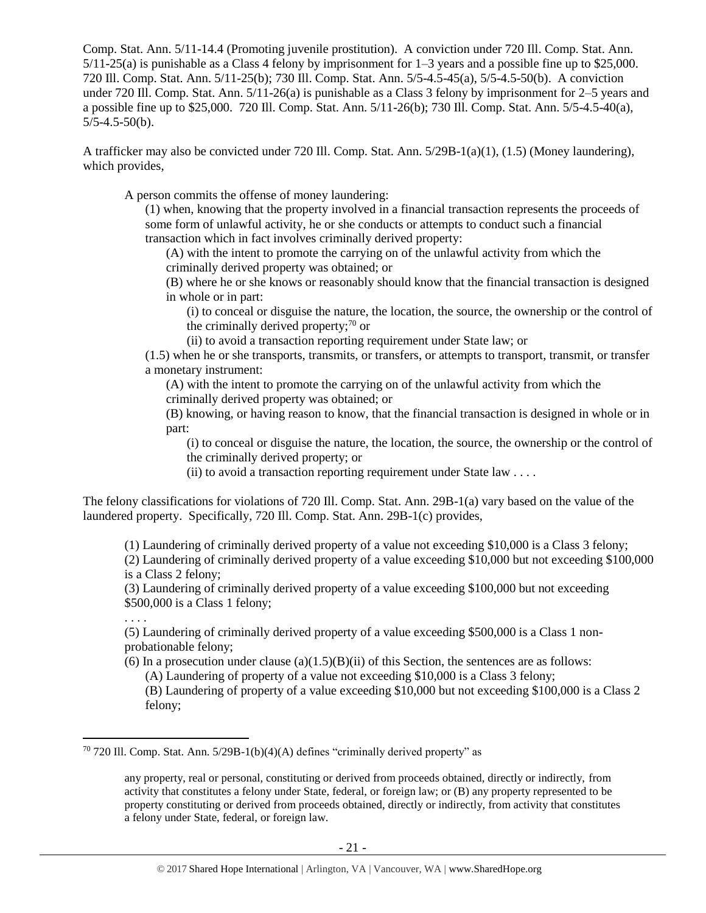Comp. Stat. Ann. 5/11-14.4 (Promoting juvenile prostitution). A conviction under 720 Ill. Comp. Stat. Ann. 5/11-25(a) is punishable as a Class 4 felony by imprisonment for 1–3 years and a possible fine up to \$25,000. 720 Ill. Comp. Stat. Ann. 5/11-25(b); 730 Ill. Comp. Stat. Ann. 5/5-4.5-45(a), 5/5-4.5-50(b). A conviction under 720 Ill. Comp. Stat. Ann. 5/11-26(a) is punishable as a Class 3 felony by imprisonment for 2–5 years and a possible fine up to \$25,000. 720 Ill. Comp. Stat. Ann. 5/11-26(b); 730 Ill. Comp. Stat. Ann. 5/5-4.5-40(a),  $5/5-4.5-50(b)$ .

A trafficker may also be convicted under 720 Ill. Comp. Stat. Ann. 5/29B-1(a)(1), (1.5) (Money laundering), which provides,

A person commits the offense of money laundering:

(1) when, knowing that the property involved in a financial transaction represents the proceeds of some form of unlawful activity, he or she conducts or attempts to conduct such a financial transaction which in fact involves criminally derived property:

(A) with the intent to promote the carrying on of the unlawful activity from which the criminally derived property was obtained; or

(B) where he or she knows or reasonably should know that the financial transaction is designed in whole or in part:

(i) to conceal or disguise the nature, the location, the source, the ownership or the control of the criminally derived property; $\frac{70}{9}$  or

(ii) to avoid a transaction reporting requirement under State law; or

(1.5) when he or she transports, transmits, or transfers, or attempts to transport, transmit, or transfer a monetary instrument:

(A) with the intent to promote the carrying on of the unlawful activity from which the criminally derived property was obtained; or

(B) knowing, or having reason to know, that the financial transaction is designed in whole or in part:

(i) to conceal or disguise the nature, the location, the source, the ownership or the control of the criminally derived property; or

(ii) to avoid a transaction reporting requirement under State law  $\dots$ 

The felony classifications for violations of 720 Ill. Comp. Stat. Ann. 29B-1(a) vary based on the value of the laundered property. Specifically, 720 Ill. Comp. Stat. Ann. 29B-1(c) provides,

(1) Laundering of criminally derived property of a value not exceeding \$10,000 is a Class 3 felony;

(2) Laundering of criminally derived property of a value exceeding \$10,000 but not exceeding \$100,000 is a Class 2 felony;

(3) Laundering of criminally derived property of a value exceeding \$100,000 but not exceeding \$500,000 is a Class 1 felony;

. . . .

 $\overline{a}$ 

(5) Laundering of criminally derived property of a value exceeding \$500,000 is a Class 1 nonprobationable felony;

(6) In a prosecution under clause (a) $(1.5)(B)(ii)$  of this Section, the sentences are as follows:

(A) Laundering of property of a value not exceeding \$10,000 is a Class 3 felony;

(B) Laundering of property of a value exceeding \$10,000 but not exceeding \$100,000 is a Class 2 felony;

 $70$  720 Ill. Comp. Stat. Ann. 5/29B-1(b)(4)(A) defines "criminally derived property" as

any property, real or personal, constituting or derived from proceeds obtained, directly or indirectly, from activity that constitutes a felony under State, federal, or foreign law; or (B) any property represented to be property constituting or derived from proceeds obtained, directly or indirectly, from activity that constitutes a felony under State, federal, or foreign law.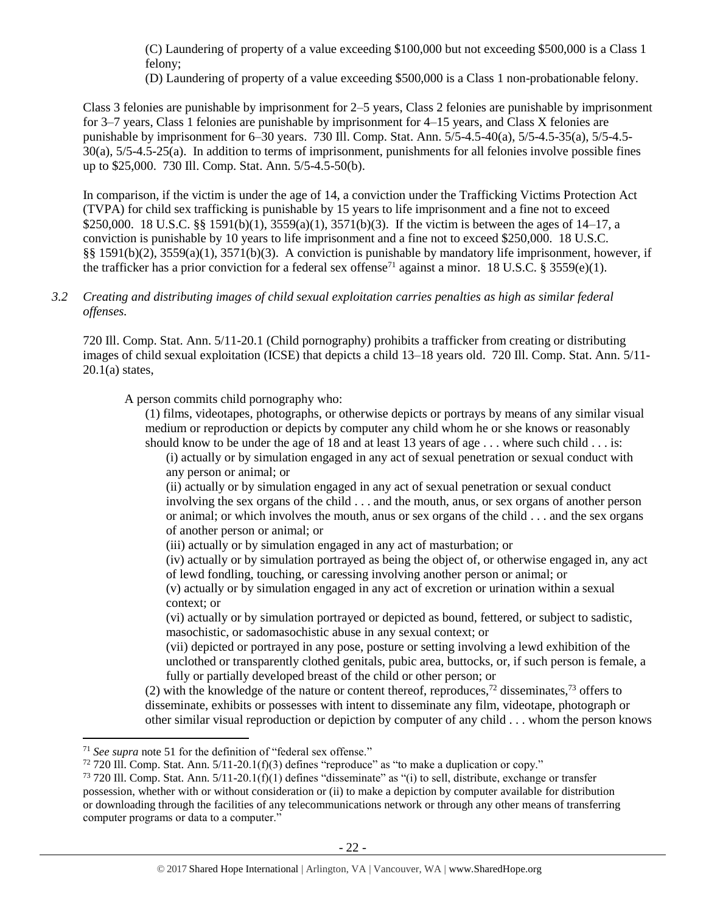(C) Laundering of property of a value exceeding \$100,000 but not exceeding \$500,000 is a Class 1 felony;

(D) Laundering of property of a value exceeding \$500,000 is a Class 1 non-probationable felony.

Class 3 felonies are punishable by imprisonment for 2–5 years, Class 2 felonies are punishable by imprisonment for 3–7 years, Class 1 felonies are punishable by imprisonment for 4–15 years, and Class X felonies are punishable by imprisonment for 6–30 years. 730 Ill. Comp. Stat. Ann. 5/5-4.5-40(a), 5/5-4.5-35(a), 5/5-4.5- 30(a), 5/5-4.5-25(a). In addition to terms of imprisonment, punishments for all felonies involve possible fines up to \$25,000. 730 Ill. Comp. Stat. Ann. 5/5-4.5-50(b).

In comparison, if the victim is under the age of 14, a conviction under the Trafficking Victims Protection Act (TVPA) for child sex trafficking is punishable by 15 years to life imprisonment and a fine not to exceed \$250,000. 18 U.S.C. §§ 1591(b)(1), 3559(a)(1), 3571(b)(3). If the victim is between the ages of 14–17, a conviction is punishable by 10 years to life imprisonment and a fine not to exceed \$250,000. 18 U.S.C. §§ 1591(b)(2), 3559(a)(1), 3571(b)(3). A conviction is punishable by mandatory life imprisonment, however, if the trafficker has a prior conviction for a federal sex offense<sup>71</sup> against a minor. 18 U.S.C. § 3559(e)(1).

*3.2 Creating and distributing images of child sexual exploitation carries penalties as high as similar federal offenses.*

720 Ill. Comp. Stat. Ann. 5/11-20.1 (Child pornography) prohibits a trafficker from creating or distributing images of child sexual exploitation (ICSE) that depicts a child 13–18 years old. 720 Ill. Comp. Stat. Ann. 5/11-  $20.1(a)$  states,

A person commits child pornography who:

(1) films, videotapes, photographs, or otherwise depicts or portrays by means of any similar visual medium or reproduction or depicts by computer any child whom he or she knows or reasonably should know to be under the age of 18 and at least 13 years of age . . . where such child . . . is:

(i) actually or by simulation engaged in any act of sexual penetration or sexual conduct with any person or animal; or

(ii) actually or by simulation engaged in any act of sexual penetration or sexual conduct involving the sex organs of the child . . . and the mouth, anus, or sex organs of another person or animal; or which involves the mouth, anus or sex organs of the child . . . and the sex organs of another person or animal; or

(iii) actually or by simulation engaged in any act of masturbation; or

(iv) actually or by simulation portrayed as being the object of, or otherwise engaged in, any act of lewd fondling, touching, or caressing involving another person or animal; or

(v) actually or by simulation engaged in any act of excretion or urination within a sexual context; or

(vi) actually or by simulation portrayed or depicted as bound, fettered, or subject to sadistic, masochistic, or sadomasochistic abuse in any sexual context; or

<span id="page-21-1"></span><span id="page-21-0"></span>(vii) depicted or portrayed in any pose, posture or setting involving a lewd exhibition of the unclothed or transparently clothed genitals, pubic area, buttocks, or, if such person is female, a fully or partially developed breast of the child or other person; or

(2) with the knowledge of the nature or content thereof, reproduces,<sup>72</sup> disseminates,<sup>73</sup> offers to disseminate, exhibits or possesses with intent to disseminate any film, videotape, photograph or other similar visual reproduction or depiction by computer of any child . . . whom the person knows

<sup>71</sup> *See supra* note [51](#page-13-0) for the definition of "federal sex offense."

 $72$  720 III. Comp. Stat. Ann.  $5/11$ -20.1(f)(3) defines "reproduce" as "to make a duplication or copy."

 $73$  720 Ill. Comp. Stat. Ann.  $5/11$ -20.1(f)(1) defines "disseminate" as "(i) to sell, distribute, exchange or transfer possession, whether with or without consideration or (ii) to make a depiction by computer available for distribution or downloading through the facilities of any telecommunications network or through any other means of transferring computer programs or data to a computer."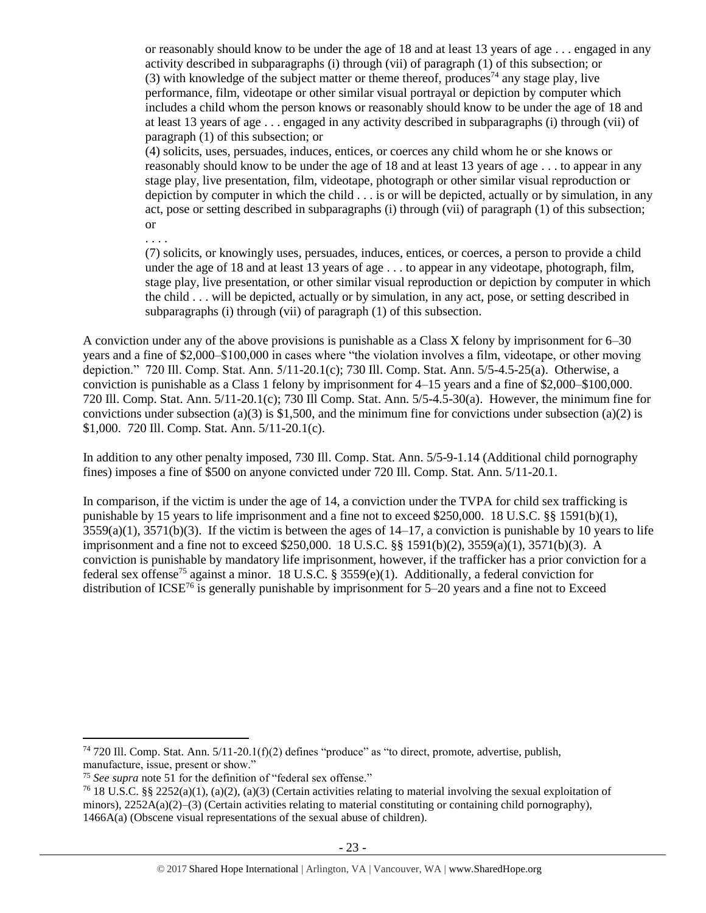or reasonably should know to be under the age of 18 and at least 13 years of age . . . engaged in any activity described in subparagraphs (i) through (vii) of paragraph (1) of this subsection; or (3) with knowledge of the subject matter or theme thereof, produces<sup>74</sup> any stage play, live performance, film, videotape or other similar visual portrayal or depiction by computer which includes a child whom the person knows or reasonably should know to be under the age of 18 and at least 13 years of age . . . engaged in any activity described in subparagraphs (i) through (vii) of paragraph (1) of this subsection; or

(4) solicits, uses, persuades, induces, entices, or coerces any child whom he or she knows or reasonably should know to be under the age of 18 and at least 13 years of age . . . to appear in any stage play, live presentation, film, videotape, photograph or other similar visual reproduction or depiction by computer in which the child . . . is or will be depicted, actually or by simulation, in any act, pose or setting described in subparagraphs (i) through (vii) of paragraph (1) of this subsection; or

. . . .

(7) solicits, or knowingly uses, persuades, induces, entices, or coerces, a person to provide a child under the age of 18 and at least 13 years of age . . . to appear in any videotape, photograph, film, stage play, live presentation, or other similar visual reproduction or depiction by computer in which the child . . . will be depicted, actually or by simulation, in any act, pose, or setting described in subparagraphs (i) through (vii) of paragraph (1) of this subsection.

A conviction under any of the above provisions is punishable as a Class X felony by imprisonment for 6–30 years and a fine of \$2,000–\$100,000 in cases where "the violation involves a film, videotape, or other moving depiction." 720 Ill. Comp. Stat. Ann. 5/11-20.1(c); 730 Ill. Comp. Stat. Ann. 5/5-4.5-25(a). Otherwise, a conviction is punishable as a Class 1 felony by imprisonment for 4–15 years and a fine of \$2,000–\$100,000. 720 Ill. Comp. Stat. Ann. 5/11-20.1(c); 730 Ill Comp. Stat. Ann. 5/5-4.5-30(a). However, the minimum fine for convictions under subsection (a)(3) is \$1,500, and the minimum fine for convictions under subsection (a)(2) is \$1,000. 720 Ill. Comp. Stat. Ann. 5/11-20.1(c).

In addition to any other penalty imposed, 730 Ill. Comp. Stat. Ann. 5/5-9-1.14 (Additional child pornography fines) imposes a fine of \$500 on anyone convicted under 720 Ill. Comp. Stat. Ann. 5/11-20.1.

In comparison, if the victim is under the age of 14, a conviction under the TVPA for child sex trafficking is punishable by 15 years to life imprisonment and a fine not to exceed \$250,000. 18 U.S.C. §§ 1591(b)(1),  $3559(a)(1)$ ,  $3571(b)(3)$ . If the victim is between the ages of  $14-17$ , a conviction is punishable by 10 years to life imprisonment and a fine not to exceed \$250,000. 18 U.S.C. §§ 1591(b)(2), 3559(a)(1), 3571(b)(3). A conviction is punishable by mandatory life imprisonment, however, if the trafficker has a prior conviction for a federal sex offense<sup>75</sup> against a minor. 18 U.S.C. § 3559(e)(1). Additionally, a federal conviction for distribution of  $ICSE^{76}$  is generally punishable by imprisonment for 5–20 years and a fine not to Exceed

<sup>74</sup> 720 Ill. Comp. Stat. Ann. 5/11-20.1(f)(2) defines "produce" as "to direct, promote, advertise, publish, manufacture, issue, present or show."

<sup>75</sup> *See supra* note [51](#page-13-0) for the definition of "federal sex offense."

<sup>76</sup> 18 U.S.C. §§ 2252(a)(1), (a)(2), (a)(3) (Certain activities relating to material involving the sexual exploitation of minors),  $2252A(a)(2)$ –(3) (Certain activities relating to material constituting or containing child pornography), 1466A(a) (Obscene visual representations of the sexual abuse of children).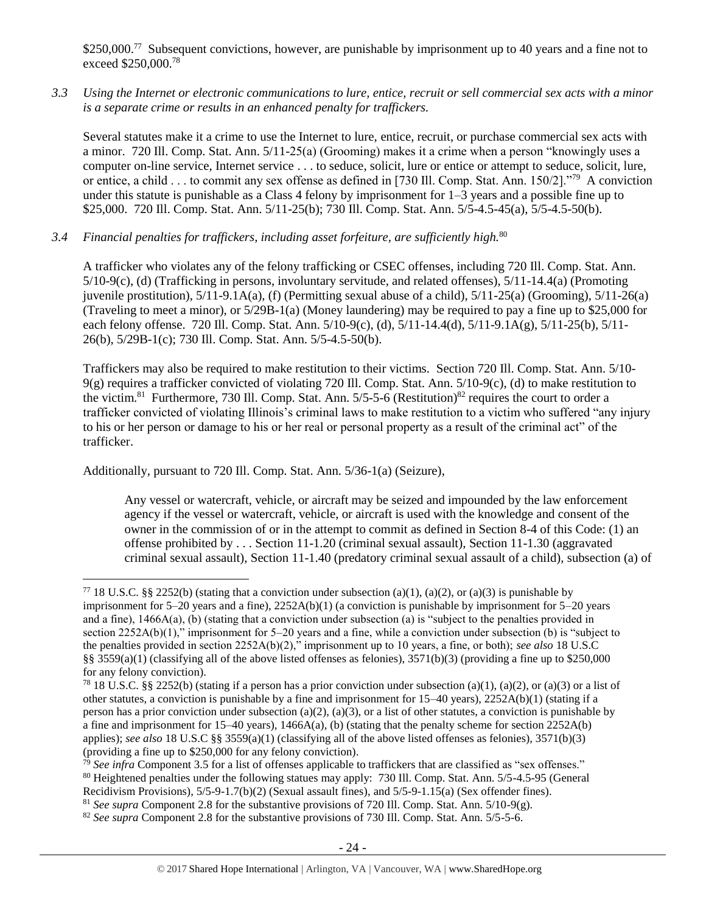\$250,000.<sup>77</sup> Subsequent convictions, however, are punishable by imprisonment up to 40 years and a fine not to exceed \$250,000.<sup>78</sup>

*3.3 Using the Internet or electronic communications to lure, entice, recruit or sell commercial sex acts with a minor is a separate crime or results in an enhanced penalty for traffickers.*

Several statutes make it a crime to use the Internet to lure, entice, recruit, or purchase commercial sex acts with a minor. 720 Ill. Comp. Stat. Ann. 5/11-25(a) (Grooming) makes it a crime when a person "knowingly uses a computer on-line service, Internet service . . . to seduce, solicit, lure or entice or attempt to seduce, solicit, lure, or entice, a child . . . to commit any sex offense as defined in [730 Ill. Comp. Stat. Ann. 150/2]."<sup>79</sup> A conviction under this statute is punishable as a Class 4 felony by imprisonment for  $1-3$  years and a possible fine up to \$25,000. 720 Ill. Comp. Stat. Ann. 5/11-25(b); 730 Ill. Comp. Stat. Ann. 5/5-4.5-45(a), 5/5-4.5-50(b).

*3.4 Financial penalties for traffickers, including asset forfeiture, are sufficiently high.*<sup>80</sup>

A trafficker who violates any of the felony trafficking or CSEC offenses, including 720 Ill. Comp. Stat. Ann. 5/10-9(c), (d) (Trafficking in persons, involuntary servitude, and related offenses), 5/11-14.4(a) (Promoting juvenile prostitution),  $5/11-9.1A(a)$ , (f) (Permitting sexual abuse of a child),  $5/11-25(a)$  (Grooming),  $5/11-26(a)$ (Traveling to meet a minor), or 5/29B-1(a) (Money laundering) may be required to pay a fine up to \$25,000 for each felony offense. 720 Ill. Comp. Stat. Ann. 5/10-9(c), (d), 5/11-14.4(d), 5/11-9.1A(g), 5/11-25(b), 5/11- 26(b), 5/29B-1(c); 730 Ill. Comp. Stat. Ann. 5/5-4.5-50(b).

Traffickers may also be required to make restitution to their victims. Section 720 Ill. Comp. Stat. Ann. 5/10- 9(g) requires a trafficker convicted of violating 720 Ill. Comp. Stat. Ann. 5/10-9(c), (d) to make restitution to the victim.<sup>81</sup> Furthermore, 730 Ill. Comp. Stat. Ann. 5/5-5-6 (Restitution)<sup>82</sup> requires the court to order a trafficker convicted of violating Illinois's criminal laws to make restitution to a victim who suffered "any injury to his or her person or damage to his or her real or personal property as a result of the criminal act" of the trafficker.

Additionally, pursuant to 720 Ill. Comp. Stat. Ann. 5/36-1(a) (Seizure),

 $\overline{a}$ 

Any vessel or watercraft, vehicle, or aircraft may be seized and impounded by the law enforcement agency if the vessel or watercraft, vehicle, or aircraft is used with the knowledge and consent of the owner in the commission of or in the attempt to commit as defined in Section 8-4 of this Code: (1) an offense prohibited by . . . Section 11-1.20 (criminal sexual assault), Section 11-1.30 (aggravated criminal sexual assault), Section 11-1.40 (predatory criminal sexual assault of a child), subsection (a) of

<sup>&</sup>lt;sup>77</sup> 18 U.S.C. §§ 2252(b) (stating that a conviction under subsection (a)(1), (a)(2), or (a)(3) is punishable by imprisonment for 5–20 years and a fine), 2252A(b)(1) (a conviction is punishable by imprisonment for 5–20 years and a fine), 1466A(a), (b) (stating that a conviction under subsection (a) is "subject to the penalties provided in section 2252A(b)(1)," imprisonment for 5–20 years and a fine, while a conviction under subsection (b) is "subject to the penalties provided in section 2252A(b)(2)," imprisonment up to 10 years, a fine, or both); *see also* 18 U.S.C §§ 3559(a)(1) (classifying all of the above listed offenses as felonies),  $3571(b)(3)$  (providing a fine up to \$250,000 for any felony conviction).

<sup>&</sup>lt;sup>78</sup> 18 U.S.C. §§ 2252(b) (stating if a person has a prior conviction under subsection (a)(1), (a)(2), or (a)(3) or a list of other statutes, a conviction is punishable by a fine and imprisonment for  $15-40$  years),  $2252A(b)(1)$  (stating if a person has a prior conviction under subsection (a)(2), (a)(3), or a list of other statutes, a conviction is punishable by a fine and imprisonment for 15–40 years), 1466A(a), (b) (stating that the penalty scheme for section 2252A(b) applies); *see also* 18 U.S.C §§ 3559(a)(1) (classifying all of the above listed offenses as felonies), 3571(b)(3) (providing a fine up to \$250,000 for any felony conviction).

<sup>79</sup> *See infra* Component 3.5 for a list of offenses applicable to traffickers that are classified as "sex offenses." <sup>80</sup> Heightened penalties under the following statues may apply: 730 Ill. Comp. Stat. Ann. 5/5-4.5-95 (General Recidivism Provisions), 5/5-9-1.7(b)(2) (Sexual assault fines), and 5/5-9-1.15(a) (Sex offender fines).

<sup>81</sup> *See supra* Component 2.8 for the substantive provisions of 720 Ill. Comp. Stat. Ann. 5/10-9(g).

<sup>&</sup>lt;sup>82</sup> *See supra* Component 2.8 for the substantive provisions of 730 Ill. Comp. Stat. Ann. 5/5-5-6.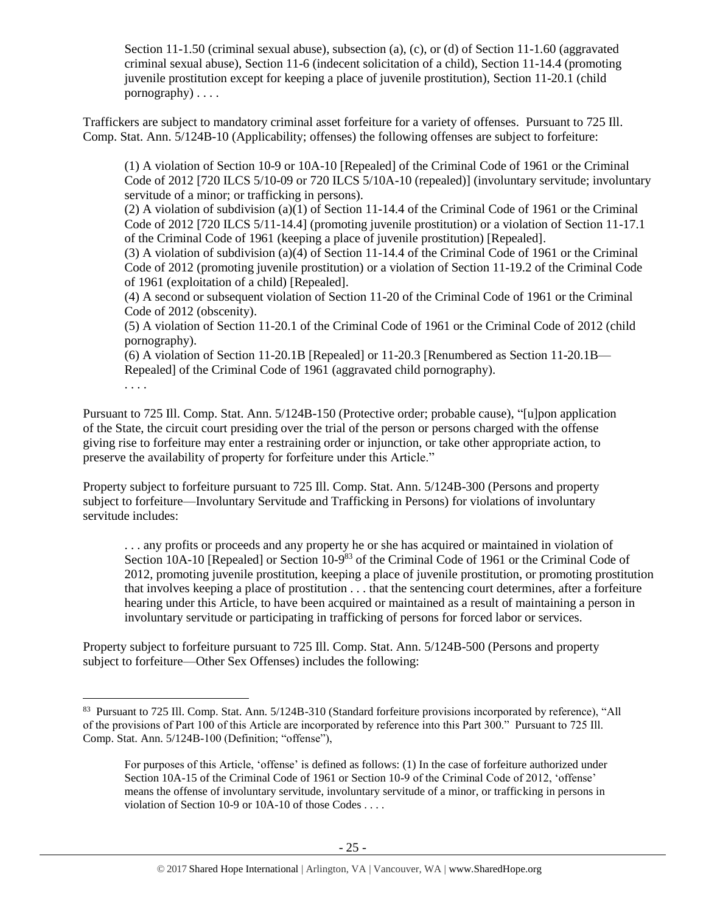Section 11-1.50 (criminal sexual abuse), subsection (a), (c), or (d) of Section 11-1.60 (aggravated criminal sexual abuse), Section 11-6 (indecent solicitation of a child), Section 11-14.4 (promoting juvenile prostitution except for keeping a place of juvenile prostitution), Section 11-20.1 (child pornography) . . . .

Traffickers are subject to mandatory criminal asset forfeiture for a variety of offenses. Pursuant to 725 Ill. Comp. Stat. Ann. 5/124B-10 (Applicability; offenses) the following offenses are subject to forfeiture:

(1) A violation of Section 10-9 or 10A-10 [Repealed] of the Criminal Code of 1961 or the Criminal Code of 2012 [720 ILCS 5/10-09 or 720 ILCS 5/10A-10 (repealed)] (involuntary servitude; involuntary servitude of a minor; or trafficking in persons).

(2) A violation of subdivision (a)(1) of Section 11-14.4 of the Criminal Code of 1961 or the Criminal Code of 2012 [720 ILCS 5/11-14.4] (promoting juvenile prostitution) or a violation of Section 11-17.1 of the Criminal Code of 1961 (keeping a place of juvenile prostitution) [Repealed].

(3) A violation of subdivision (a)(4) of Section 11-14.4 of the Criminal Code of 1961 or the Criminal Code of 2012 (promoting juvenile prostitution) or a violation of Section 11-19.2 of the Criminal Code of 1961 (exploitation of a child) [Repealed].

(4) A second or subsequent violation of Section 11-20 of the Criminal Code of 1961 or the Criminal Code of 2012 (obscenity).

(5) A violation of Section 11-20.1 of the Criminal Code of 1961 or the Criminal Code of 2012 (child pornography).

(6) A violation of Section 11-20.1B [Repealed] or 11-20.3 [Renumbered as Section 11-20.1B— Repealed] of the Criminal Code of 1961 (aggravated child pornography).

. . . .

 $\overline{a}$ 

Pursuant to 725 Ill. Comp. Stat. Ann. 5/124B-150 (Protective order; probable cause), "[u]pon application of the State, the circuit court presiding over the trial of the person or persons charged with the offense giving rise to forfeiture may enter a restraining order or injunction, or take other appropriate action, to preserve the availability of property for forfeiture under this Article."

Property subject to forfeiture pursuant to 725 Ill. Comp. Stat. Ann. 5/124B-300 (Persons and property subject to forfeiture—Involuntary Servitude and Trafficking in Persons) for violations of involuntary servitude includes:

. . . any profits or proceeds and any property he or she has acquired or maintained in violation of Section 10A-10 [Repealed] or Section 10-9<sup>83</sup> of the Criminal Code of 1961 or the Criminal Code of 2012, promoting juvenile prostitution, keeping a place of juvenile prostitution, or promoting prostitution that involves keeping a place of prostitution . . . that the sentencing court determines, after a forfeiture hearing under this Article, to have been acquired or maintained as a result of maintaining a person in involuntary servitude or participating in trafficking of persons for forced labor or services.

Property subject to forfeiture pursuant to 725 Ill. Comp. Stat. Ann. 5/124B-500 (Persons and property subject to forfeiture—Other Sex Offenses) includes the following:

<sup>83</sup> Pursuant to 725 Ill. Comp. Stat. Ann. 5/124B-310 (Standard forfeiture provisions incorporated by reference), "All of the provisions of Part 100 of this Article are incorporated by reference into this Part 300." Pursuant to 725 Ill. Comp. Stat. Ann. 5/124B-100 (Definition; "offense"),

For purposes of this Article, 'offense' is defined as follows: (1) In the case of forfeiture authorized under Section 10A-15 of the Criminal Code of 1961 or Section 10-9 of the Criminal Code of 2012, 'offense' means the offense of involuntary servitude, involuntary servitude of a minor, or trafficking in persons in violation of Section 10-9 or 10A-10 of those Codes . . . .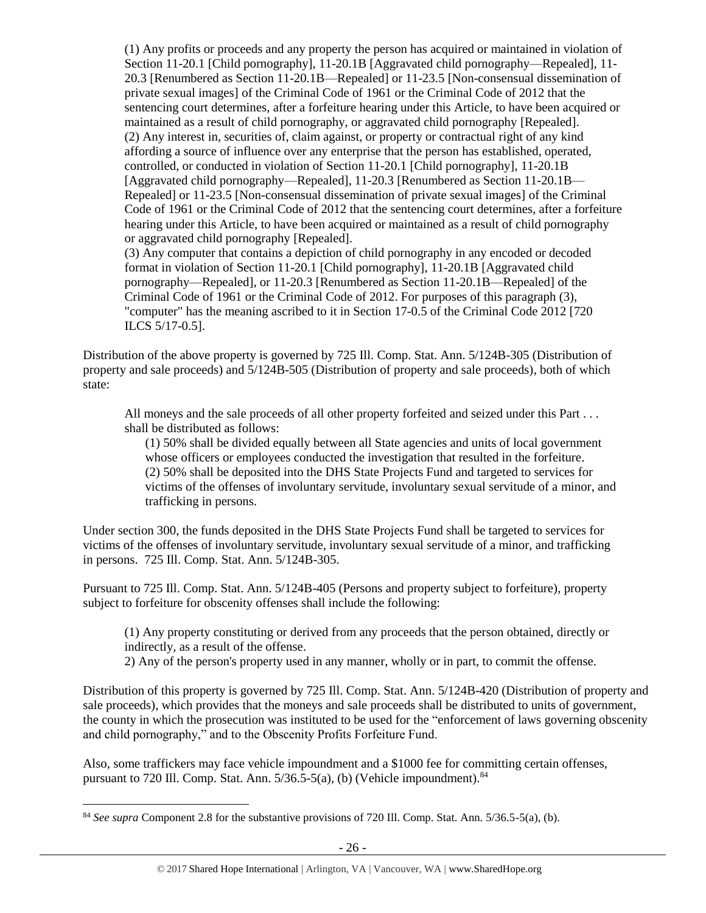(1) Any profits or proceeds and any property the person has acquired or maintained in violation of Section 11-20.1 [Child pornography], 11-20.1B [Aggravated child pornography—Repealed], 11- 20.3 [Renumbered as Section 11-20.1B—Repealed] or 11-23.5 [Non-consensual dissemination of private sexual images] of the Criminal Code of 1961 or the Criminal Code of 2012 that the sentencing court determines, after a forfeiture hearing under this Article, to have been acquired or maintained as a result of child pornography, or aggravated child pornography [Repealed]. (2) Any interest in, securities of, claim against, or property or contractual right of any kind affording a source of influence over any enterprise that the person has established, operated, controlled, or conducted in violation of Section 11-20.1 [Child pornography], 11-20.1B [Aggravated child pornography—Repealed], 11-20.3 [Renumbered as Section 11-20.1B— Repealed] or 11-23.5 [Non-consensual dissemination of private sexual images] of the Criminal Code of 1961 or the Criminal Code of 2012 that the sentencing court determines, after a forfeiture hearing under this Article, to have been acquired or maintained as a result of child pornography or aggravated child pornography [Repealed].

(3) Any computer that contains a depiction of child pornography in any encoded or decoded format in violation of Section 11-20.1 [Child pornography], 11-20.1B [Aggravated child pornography—Repealed], or 11-20.3 [Renumbered as Section 11-20.1B—Repealed] of the Criminal Code of 1961 or the Criminal Code of 2012. For purposes of this paragraph (3), "computer" has the meaning ascribed to it in Section 17-0.5 of the Criminal Code 2012 [720 ILCS 5/17-0.5].

Distribution of the above property is governed by 725 Ill. Comp. Stat. Ann. 5/124B-305 (Distribution of property and sale proceeds) and 5/124B-505 (Distribution of property and sale proceeds), both of which state:

All moneys and the sale proceeds of all other property forfeited and seized under this Part . . . shall be distributed as follows:

(1) 50% shall be divided equally between all State agencies and units of local government whose officers or employees conducted the investigation that resulted in the forfeiture. (2) 50% shall be deposited into the DHS State Projects Fund and targeted to services for victims of the offenses of involuntary servitude, involuntary sexual servitude of a minor, and trafficking in persons.

Under section 300, the funds deposited in the DHS State Projects Fund shall be targeted to services for victims of the offenses of involuntary servitude, involuntary sexual servitude of a minor, and trafficking in persons. 725 Ill. Comp. Stat. Ann. 5/124B-305.

Pursuant to 725 Ill. Comp. Stat. Ann. 5/124B-405 (Persons and property subject to forfeiture), property subject to forfeiture for obscenity offenses shall include the following:

(1) Any property constituting or derived from any proceeds that the person obtained, directly or indirectly, as a result of the offense.

2) Any of the person's property used in any manner, wholly or in part, to commit the offense.

Distribution of this property is governed by 725 Ill. Comp. Stat. Ann. 5/124B-420 (Distribution of property and sale proceeds), which provides that the moneys and sale proceeds shall be distributed to units of government, the county in which the prosecution was instituted to be used for the "enforcement of laws governing obscenity and child pornography," and to the Obscenity Profits Forfeiture Fund.

Also, some traffickers may face vehicle impoundment and a \$1000 fee for committing certain offenses, pursuant to 720 Ill. Comp. Stat. Ann.  $5/36.5-5(a)$ , (b) (Vehicle impoundment).<sup>84</sup>

<sup>84</sup> *See supra* Component 2.8 for the substantive provisions of 720 Ill. Comp. Stat. Ann. 5/36.5-5(a), (b).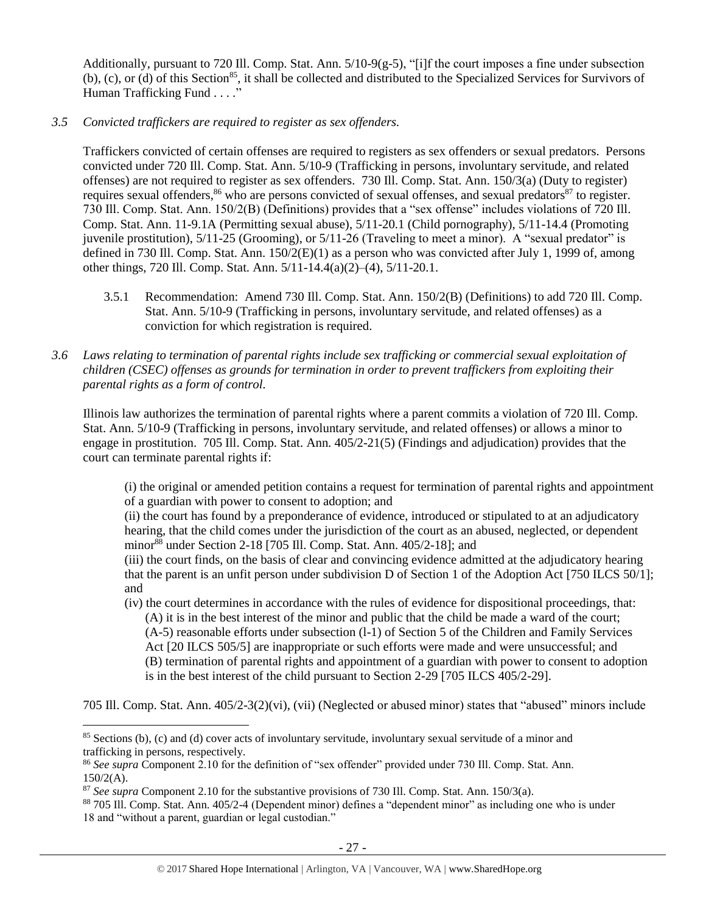Additionally, pursuant to 720 Ill. Comp. Stat. Ann. 5/10-9(g-5), "[i]f the court imposes a fine under subsection (b), (c), or (d) of this Section<sup>85</sup>, it shall be collected and distributed to the Specialized Services for Survivors of Human Trafficking Fund . . . ."

*3.5 Convicted traffickers are required to register as sex offenders.*

Traffickers convicted of certain offenses are required to registers as sex offenders or sexual predators. Persons convicted under 720 Ill. Comp. Stat. Ann. 5/10-9 (Trafficking in persons, involuntary servitude, and related offenses) are not required to register as sex offenders. 730 Ill. Comp. Stat. Ann. 150/3(a) (Duty to register) requires sexual offenders,<sup>86</sup> who are persons convicted of sexual offenses, and sexual predators<sup>87</sup> to register. 730 Ill. Comp. Stat. Ann. 150/2(B) (Definitions) provides that a "sex offense" includes violations of 720 Ill. Comp. Stat. Ann. 11-9.1A (Permitting sexual abuse), 5/11-20.1 (Child pornography), 5/11-14.4 (Promoting juvenile prostitution), 5/11-25 (Grooming), or 5/11-26 (Traveling to meet a minor). A "sexual predator" is defined in 730 Ill. Comp. Stat. Ann. 150/2(E)(1) as a person who was convicted after July 1, 1999 of, among other things, 720 Ill. Comp. Stat. Ann. 5/11-14.4(a)(2)–(4), 5/11-20.1.

- 3.5.1 Recommendation: Amend 730 Ill. Comp. Stat. Ann. 150/2(B) (Definitions) to add 720 Ill. Comp. Stat. Ann. 5/10-9 (Trafficking in persons, involuntary servitude, and related offenses) as a conviction for which registration is required.
- *3.6 Laws relating to termination of parental rights include sex trafficking or commercial sexual exploitation of children (CSEC) offenses as grounds for termination in order to prevent traffickers from exploiting their parental rights as a form of control.*

Illinois law authorizes the termination of parental rights where a parent commits a violation of 720 Ill. Comp. Stat. Ann. 5/10-9 (Trafficking in persons, involuntary servitude, and related offenses) or allows a minor to engage in prostitution. 705 Ill. Comp. Stat. Ann. 405/2-21(5) (Findings and adjudication) provides that the court can terminate parental rights if:

(i) the original or amended petition contains a request for termination of parental rights and appointment of a guardian with power to consent to adoption; and

(ii) the court has found by a preponderance of evidence, introduced or stipulated to at an adjudicatory hearing, that the child comes under the jurisdiction of the court as an abused, neglected, or dependent minor<sup>88</sup> under Section 2-18 [705 Ill. Comp. Stat. Ann. 405/2-18]; and

(iii) the court finds, on the basis of clear and convincing evidence admitted at the adjudicatory hearing that the parent is an unfit person under subdivision D of Section 1 of the Adoption Act [750 ILCS 50/1]; and

(iv) the court determines in accordance with the rules of evidence for dispositional proceedings, that: (A) it is in the best interest of the minor and public that the child be made a ward of the court; (A-5) reasonable efforts under subsection (l-1) of Section 5 of the Children and Family Services Act [20 ILCS 505/5] are inappropriate or such efforts were made and were unsuccessful; and (B) termination of parental rights and appointment of a guardian with power to consent to adoption is in the best interest of the child pursuant to Section 2-29 [705 ILCS 405/2-29].

705 Ill. Comp. Stat. Ann. 405/2-3(2)(vi), (vii) (Neglected or abused minor) states that "abused" minors include

<sup>85</sup> Sections (b), (c) and (d) cover acts of involuntary servitude, involuntary sexual servitude of a minor and trafficking in persons, respectively.

<sup>86</sup> *See supra* Component 2.10 for the definition of "sex offender" provided under 730 Ill. Comp. Stat. Ann. 150/2(A).

<sup>87</sup> *See supra* Component 2.10 for the substantive provisions of 730 Ill. Comp. Stat. Ann. 150/3(a).

<sup>88</sup> 705 Ill. Comp. Stat. Ann. 405/2-4 (Dependent minor) defines a "dependent minor" as including one who is under 18 and "without a parent, guardian or legal custodian."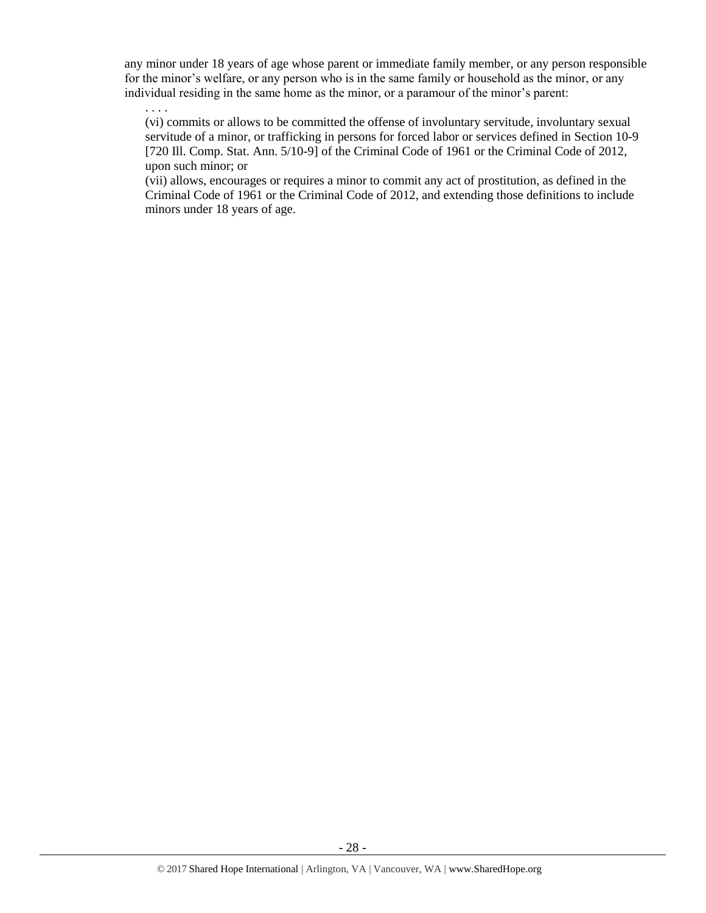any minor under 18 years of age whose parent or immediate family member, or any person responsible for the minor's welfare, or any person who is in the same family or household as the minor, or any individual residing in the same home as the minor, or a paramour of the minor's parent:

. . . .

(vi) commits or allows to be committed the offense of involuntary servitude, involuntary sexual servitude of a minor, or trafficking in persons for forced labor or services defined in Section 10-9 [720 Ill. Comp. Stat. Ann. 5/10-9] of the Criminal Code of 1961 or the Criminal Code of 2012, upon such minor; or

(vii) allows, encourages or requires a minor to commit any act of prostitution, as defined in the Criminal Code of 1961 or the Criminal Code of 2012, and extending those definitions to include minors under 18 years of age.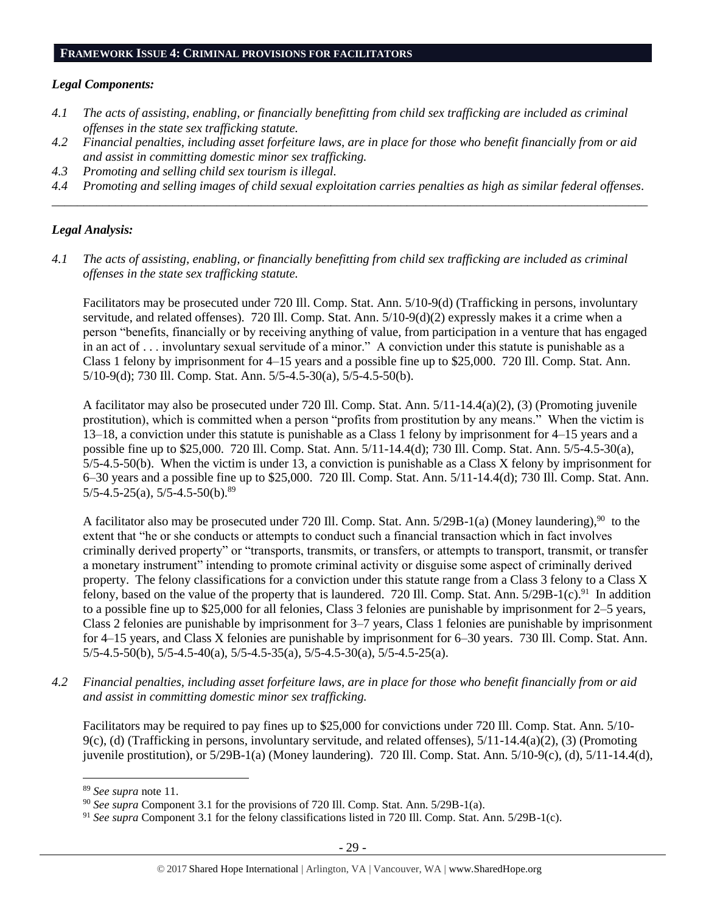#### **FRAMEWORK ISSUE 4: CRIMINAL PROVISIONS FOR FACILITATORS**

#### *Legal Components:*

- *4.1 The acts of assisting, enabling, or financially benefitting from child sex trafficking are included as criminal offenses in the state sex trafficking statute.*
- *4.2 Financial penalties, including asset forfeiture laws, are in place for those who benefit financially from or aid and assist in committing domestic minor sex trafficking.*
- *4.3 Promoting and selling child sex tourism is illegal.*
- *4.4 Promoting and selling images of child sexual exploitation carries penalties as high as similar federal offenses. \_\_\_\_\_\_\_\_\_\_\_\_\_\_\_\_\_\_\_\_\_\_\_\_\_\_\_\_\_\_\_\_\_\_\_\_\_\_\_\_\_\_\_\_\_\_\_\_\_\_\_\_\_\_\_\_\_\_\_\_\_\_\_\_\_\_\_\_\_\_\_\_\_\_\_\_\_\_\_\_\_\_\_\_\_\_\_\_\_\_\_\_\_\_*

## *Legal Analysis:*

*4.1 The acts of assisting, enabling, or financially benefitting from child sex trafficking are included as criminal offenses in the state sex trafficking statute.*

Facilitators may be prosecuted under 720 Ill. Comp. Stat. Ann. 5/10-9(d) (Trafficking in persons, involuntary servitude, and related offenses). 720 Ill. Comp. Stat. Ann. 5/10-9(d)(2) expressly makes it a crime when a person "benefits, financially or by receiving anything of value, from participation in a venture that has engaged in an act of . . . involuntary sexual servitude of a minor." A conviction under this statute is punishable as a Class 1 felony by imprisonment for 4–15 years and a possible fine up to \$25,000. 720 Ill. Comp. Stat. Ann. 5/10-9(d); 730 Ill. Comp. Stat. Ann. 5/5-4.5-30(a), 5/5-4.5-50(b).

A facilitator may also be prosecuted under 720 Ill. Comp. Stat. Ann. 5/11-14.4(a)(2), (3) (Promoting juvenile prostitution), which is committed when a person "profits from prostitution by any means." When the victim is 13–18, a conviction under this statute is punishable as a Class 1 felony by imprisonment for 4–15 years and a possible fine up to \$25,000. 720 Ill. Comp. Stat. Ann. 5/11-14.4(d); 730 Ill. Comp. Stat. Ann. 5/5-4.5-30(a), 5/5-4.5-50(b). When the victim is under 13, a conviction is punishable as a Class X felony by imprisonment for 6–30 years and a possible fine up to \$25,000. 720 Ill. Comp. Stat. Ann. 5/11-14.4(d); 730 Ill. Comp. Stat. Ann.  $5/5-4.5-25(a)$ ,  $5/5-4.5-50(b)$ .<sup>89</sup>

A facilitator also may be prosecuted under 720 Ill. Comp. Stat. Ann.  $5/29B-1(a)$  (Money laundering),<sup>90</sup> to the extent that "he or she conducts or attempts to conduct such a financial transaction which in fact involves criminally derived property" or "transports, transmits, or transfers, or attempts to transport, transmit, or transfer a monetary instrument" intending to promote criminal activity or disguise some aspect of criminally derived property. The felony classifications for a conviction under this statute range from a Class 3 felony to a Class X felony, based on the value of the property that is laundered. 720 Ill. Comp. Stat. Ann. 5/29B-1(c).<sup>91</sup> In addition to a possible fine up to \$25,000 for all felonies, Class 3 felonies are punishable by imprisonment for 2–5 years, Class 2 felonies are punishable by imprisonment for 3–7 years, Class 1 felonies are punishable by imprisonment for 4–15 years, and Class X felonies are punishable by imprisonment for 6–30 years. 730 Ill. Comp. Stat. Ann. 5/5-4.5-50(b), 5/5-4.5-40(a), 5/5-4.5-35(a), 5/5-4.5-30(a), 5/5-4.5-25(a).

*4.2 Financial penalties, including asset forfeiture laws, are in place for those who benefit financially from or aid and assist in committing domestic minor sex trafficking.*

Facilitators may be required to pay fines up to \$25,000 for convictions under 720 Ill. Comp. Stat. Ann. 5/10- 9(c), (d) (Trafficking in persons, involuntary servitude, and related offenses),  $5/11-14.4(a)(2)$ , (3) (Promoting juvenile prostitution), or 5/29B-1(a) (Money laundering). 720 Ill. Comp. Stat. Ann. 5/10-9(c), (d), 5/11-14.4(d),

<sup>89</sup> *See supra* note [11.](#page-3-1)

<sup>90</sup> *See supra* Component 3.1 for the provisions of 720 Ill. Comp. Stat. Ann. 5/29B-1(a).

<sup>&</sup>lt;sup>91</sup> *See supra* Component 3.1 for the felony classifications listed in 720 Ill. Comp. Stat. Ann. 5/29B-1(c).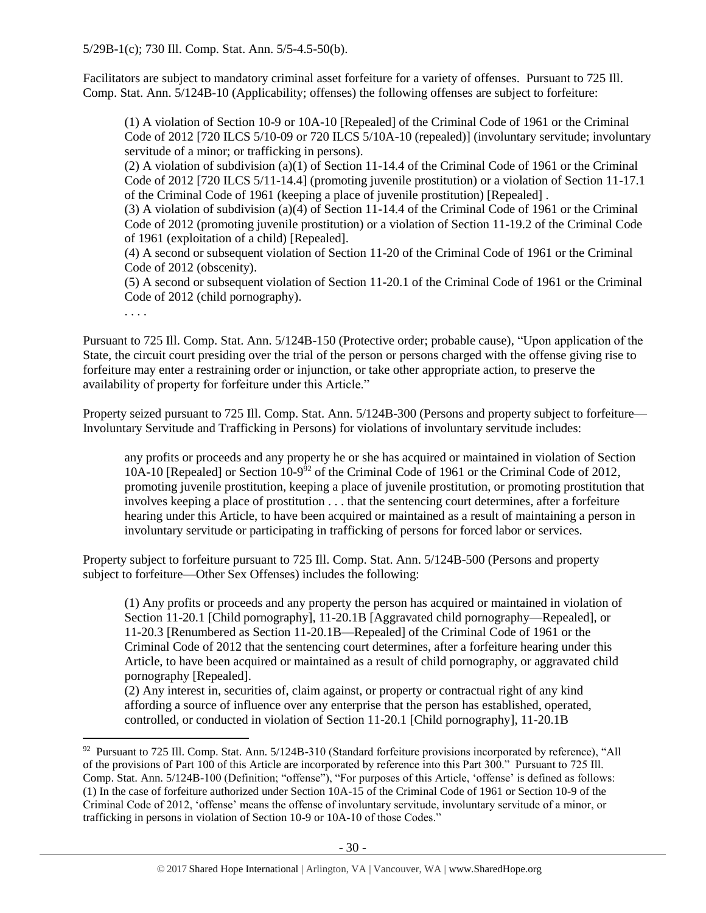Facilitators are subject to mandatory criminal asset forfeiture for a variety of offenses. Pursuant to 725 Ill. Comp. Stat. Ann. 5/124B-10 (Applicability; offenses) the following offenses are subject to forfeiture:

(1) A violation of Section 10-9 or 10A-10 [Repealed] of the Criminal Code of 1961 or the Criminal Code of 2012 [720 ILCS 5/10-09 or 720 ILCS 5/10A-10 (repealed)] (involuntary servitude; involuntary servitude of a minor; or trafficking in persons).

(2) A violation of subdivision (a)(1) of Section 11-14.4 of the Criminal Code of 1961 or the Criminal Code of 2012 [720 ILCS 5/11-14.4] (promoting juvenile prostitution) or a violation of Section 11-17.1 of the Criminal Code of 1961 (keeping a place of juvenile prostitution) [Repealed] .

(3) A violation of subdivision (a)(4) of Section 11-14.4 of the Criminal Code of 1961 or the Criminal Code of 2012 (promoting juvenile prostitution) or a violation of Section 11-19.2 of the Criminal Code of 1961 (exploitation of a child) [Repealed].

(4) A second or subsequent violation of Section 11-20 of the Criminal Code of 1961 or the Criminal Code of 2012 (obscenity).

(5) A second or subsequent violation of Section 11-20.1 of the Criminal Code of 1961 or the Criminal Code of 2012 (child pornography).

. . . .

 $\overline{a}$ 

Pursuant to 725 Ill. Comp. Stat. Ann. 5/124B-150 (Protective order; probable cause), "Upon application of the State, the circuit court presiding over the trial of the person or persons charged with the offense giving rise to forfeiture may enter a restraining order or injunction, or take other appropriate action, to preserve the availability of property for forfeiture under this Article."

Property seized pursuant to 725 Ill. Comp. Stat. Ann. 5/124B-300 (Persons and property subject to forfeiture— Involuntary Servitude and Trafficking in Persons) for violations of involuntary servitude includes:

any profits or proceeds and any property he or she has acquired or maintained in violation of Section 10A-10 [Repealed] or Section 10-9 <sup>92</sup> of the Criminal Code of 1961 or the Criminal Code of 2012, promoting juvenile prostitution, keeping a place of juvenile prostitution, or promoting prostitution that involves keeping a place of prostitution . . . that the sentencing court determines, after a forfeiture hearing under this Article, to have been acquired or maintained as a result of maintaining a person in involuntary servitude or participating in trafficking of persons for forced labor or services.

Property subject to forfeiture pursuant to 725 Ill. Comp. Stat. Ann. 5/124B-500 (Persons and property subject to forfeiture—Other Sex Offenses) includes the following:

(1) Any profits or proceeds and any property the person has acquired or maintained in violation of Section 11-20.1 [Child pornography], 11-20.1B [Aggravated child pornography—Repealed], or 11-20.3 [Renumbered as Section 11-20.1B—Repealed] of the Criminal Code of 1961 or the Criminal Code of 2012 that the sentencing court determines, after a forfeiture hearing under this Article, to have been acquired or maintained as a result of child pornography, or aggravated child pornography [Repealed].

(2) Any interest in, securities of, claim against, or property or contractual right of any kind affording a source of influence over any enterprise that the person has established, operated, controlled, or conducted in violation of Section 11-20.1 [Child pornography], 11-20.1B

<sup>&</sup>lt;sup>92</sup> Pursuant to 725 Ill. Comp. Stat. Ann. 5/124B-310 (Standard forfeiture provisions incorporated by reference), "All of the provisions of Part 100 of this Article are incorporated by reference into this Part 300." Pursuant to 725 Ill. Comp. Stat. Ann. 5/124B-100 (Definition; "offense"), "For purposes of this Article, 'offense' is defined as follows: (1) In the case of forfeiture authorized under Section 10A-15 of the Criminal Code of 1961 or Section 10-9 of the Criminal Code of 2012, 'offense' means the offense of involuntary servitude, involuntary servitude of a minor, or trafficking in persons in violation of Section 10-9 or 10A-10 of those Codes."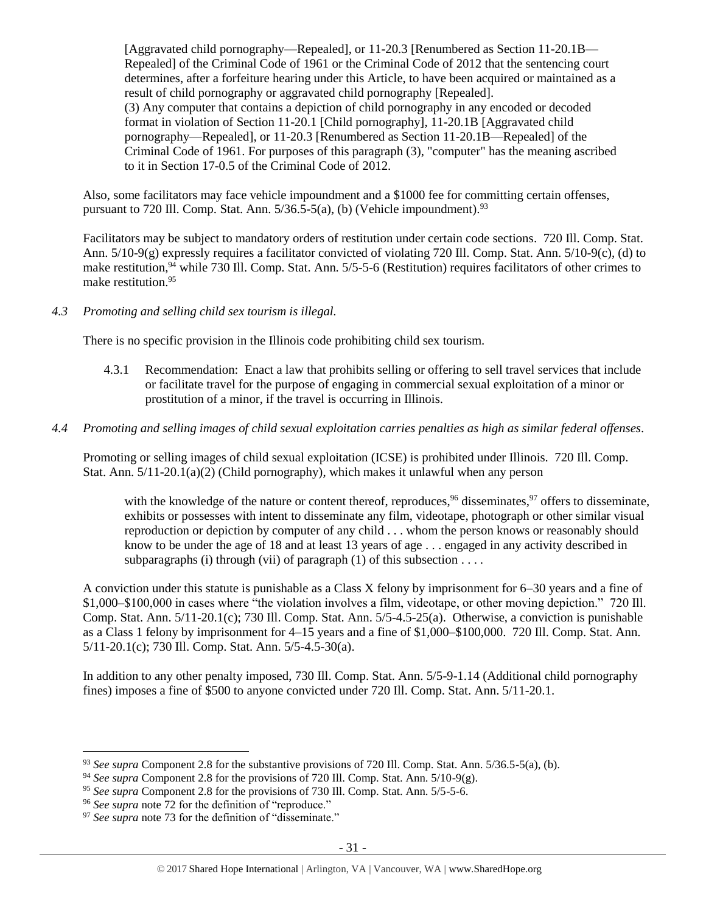[Aggravated child pornography—Repealed], or 11-20.3 [Renumbered as Section 11-20.1B— Repealed] of the Criminal Code of 1961 or the Criminal Code of 2012 that the sentencing court determines, after a forfeiture hearing under this Article, to have been acquired or maintained as a result of child pornography or aggravated child pornography [Repealed]. (3) Any computer that contains a depiction of child pornography in any encoded or decoded format in violation of Section 11-20.1 [Child pornography], 11-20.1B [Aggravated child pornography—Repealed], or 11-20.3 [Renumbered as Section 11-20.1B—Repealed] of the Criminal Code of 1961. For purposes of this paragraph (3), "computer" has the meaning ascribed to it in Section 17-0.5 of the Criminal Code of 2012.

Also, some facilitators may face vehicle impoundment and a \$1000 fee for committing certain offenses, pursuant to 720 Ill. Comp. Stat. Ann.  $5/36.5-5(a)$ , (b) (Vehicle impoundment).<sup>93</sup>

Facilitators may be subject to mandatory orders of restitution under certain code sections. 720 Ill. Comp. Stat. Ann. 5/10-9(g) expressly requires a facilitator convicted of violating 720 Ill. Comp. Stat. Ann. 5/10-9(c), (d) to make restitution,<sup>94</sup> while 730 Ill. Comp. Stat. Ann. 5/5-5-6 (Restitution) requires facilitators of other crimes to make restitution.<sup>95</sup>

## *4.3 Promoting and selling child sex tourism is illegal.*

There is no specific provision in the Illinois code prohibiting child sex tourism.

- 4.3.1 Recommendation: Enact a law that prohibits selling or offering to sell travel services that include or facilitate travel for the purpose of engaging in commercial sexual exploitation of a minor or prostitution of a minor, if the travel is occurring in Illinois.
- *4.4 Promoting and selling images of child sexual exploitation carries penalties as high as similar federal offenses.*

Promoting or selling images of child sexual exploitation (ICSE) is prohibited under Illinois. 720 Ill. Comp. Stat. Ann. 5/11-20.1(a)(2) (Child pornography), which makes it unlawful when any person

with the knowledge of the nature or content thereof, reproduces,  $96$  disseminates,  $97$  offers to disseminate, exhibits or possesses with intent to disseminate any film, videotape, photograph or other similar visual reproduction or depiction by computer of any child . . . whom the person knows or reasonably should know to be under the age of 18 and at least 13 years of age . . . engaged in any activity described in subparagraphs (i) through (vii) of paragraph (1) of this subsection  $\dots$ 

A conviction under this statute is punishable as a Class X felony by imprisonment for 6–30 years and a fine of \$1,000–\$100,000 in cases where "the violation involves a film, videotape, or other moving depiction." 720 Ill. Comp. Stat. Ann. 5/11-20.1(c); 730 Ill. Comp. Stat. Ann. 5/5-4.5-25(a). Otherwise, a conviction is punishable as a Class 1 felony by imprisonment for 4–15 years and a fine of \$1,000–\$100,000. 720 Ill. Comp. Stat. Ann. 5/11-20.1(c); 730 Ill. Comp. Stat. Ann. 5/5-4.5-30(a).

In addition to any other penalty imposed, 730 Ill. Comp. Stat. Ann. 5/5-9-1.14 (Additional child pornography fines) imposes a fine of \$500 to anyone convicted under 720 Ill. Comp. Stat. Ann. 5/11-20.1.

<sup>93</sup> *See supra* Component 2.8 for the substantive provisions of 720 Ill. Comp. Stat. Ann. 5/36.5-5(a), (b).

<sup>94</sup> *See supra* Component 2.8 for the provisions of 720 Ill. Comp. Stat. Ann. 5/10-9(g).

<sup>95</sup> *See supra* Component 2.8 for the provisions of 730 Ill. Comp. Stat. Ann. 5/5-5-6.

<sup>96</sup> *See supra* note [72](#page-21-0) for the definition of "reproduce."

<sup>&</sup>lt;sup>97</sup> See supra note [73](#page-21-1) for the definition of "disseminate."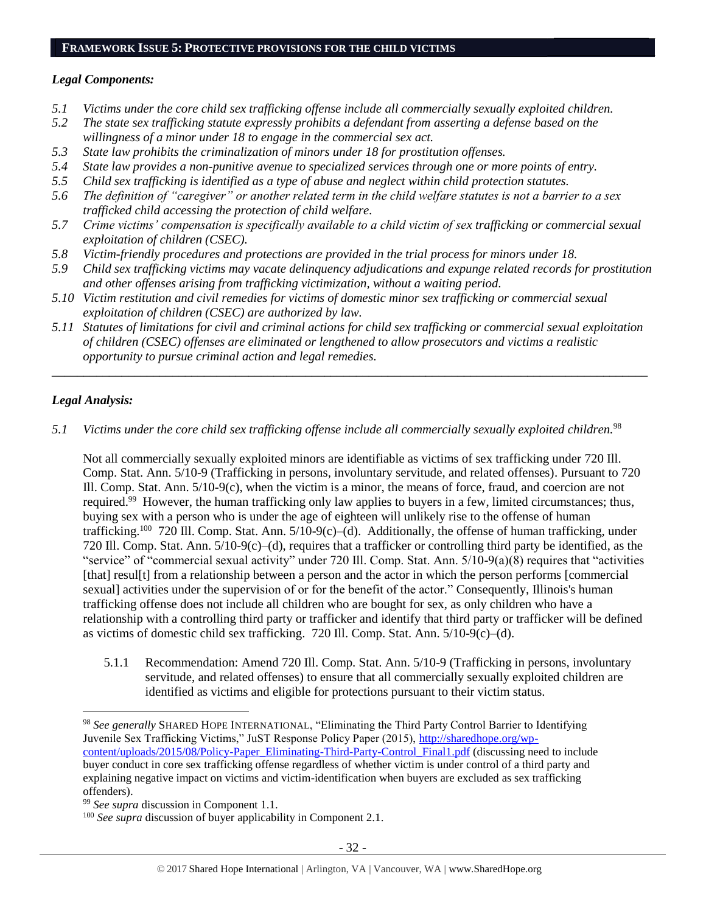#### **FRAMEWORK ISSUE 5: PROTECTIVE PROVISIONS FOR THE CHILD VICTIMS**

## *Legal Components:*

- *5.1 Victims under the core child sex trafficking offense include all commercially sexually exploited children.*
- *5.2 The state sex trafficking statute expressly prohibits a defendant from asserting a defense based on the willingness of a minor under 18 to engage in the commercial sex act.*
- *5.3 State law prohibits the criminalization of minors under 18 for prostitution offenses.*
- *5.4 State law provides a non-punitive avenue to specialized services through one or more points of entry.*
- *5.5 Child sex trafficking is identified as a type of abuse and neglect within child protection statutes.*
- *5.6 The definition of "caregiver" or another related term in the child welfare statutes is not a barrier to a sex trafficked child accessing the protection of child welfare.*
- *5.7 Crime victims' compensation is specifically available to a child victim of sex trafficking or commercial sexual exploitation of children (CSEC).*
- *5.8 Victim-friendly procedures and protections are provided in the trial process for minors under 18.*
- *5.9 Child sex trafficking victims may vacate delinquency adjudications and expunge related records for prostitution and other offenses arising from trafficking victimization, without a waiting period.*
- *5.10 Victim restitution and civil remedies for victims of domestic minor sex trafficking or commercial sexual exploitation of children (CSEC) are authorized by law.*
- *5.11 Statutes of limitations for civil and criminal actions for child sex trafficking or commercial sexual exploitation of children (CSEC) offenses are eliminated or lengthened to allow prosecutors and victims a realistic opportunity to pursue criminal action and legal remedies.*

*\_\_\_\_\_\_\_\_\_\_\_\_\_\_\_\_\_\_\_\_\_\_\_\_\_\_\_\_\_\_\_\_\_\_\_\_\_\_\_\_\_\_\_\_\_\_\_\_\_\_\_\_\_\_\_\_\_\_\_\_\_\_\_\_\_\_\_\_\_\_\_\_\_\_\_\_\_\_\_\_\_\_\_\_\_\_\_\_\_\_\_\_\_\_*

# *Legal Analysis:*

*5.1 Victims under the core child sex trafficking offense include all commercially sexually exploited children.*<sup>98</sup>

Not all commercially sexually exploited minors are identifiable as victims of sex trafficking under 720 Ill. Comp. Stat. Ann. 5/10-9 (Trafficking in persons, involuntary servitude, and related offenses). Pursuant to 720 Ill. Comp. Stat. Ann. 5/10-9(c), when the victim is a minor, the means of force, fraud, and coercion are not required.<sup>99</sup> However, the human trafficking only law applies to buyers in a few, limited circumstances; thus, buying sex with a person who is under the age of eighteen will unlikely rise to the offense of human trafficking.<sup>100</sup> 720 Ill. Comp. Stat. Ann. 5/10-9(c)–(d). Additionally, the offense of human trafficking, under 720 Ill. Comp. Stat. Ann. 5/10-9(c)–(d), requires that a trafficker or controlling third party be identified, as the "service" of "commercial sexual activity" under 720 Ill. Comp. Stat. Ann. 5/10-9(a)(8) requires that "activities [that] resul[t] from a relationship between a person and the actor in which the person performs [commercial sexual] activities under the supervision of or for the benefit of the actor." Consequently, Illinois's human trafficking offense does not include all children who are bought for sex, as only children who have a relationship with a controlling third party or trafficker and identify that third party or trafficker will be defined as victims of domestic child sex trafficking. 720 Ill. Comp. Stat. Ann. 5/10-9(c)–(d).

5.1.1 Recommendation: Amend 720 Ill. Comp. Stat. Ann. 5/10-9 (Trafficking in persons, involuntary servitude, and related offenses) to ensure that all commercially sexually exploited children are identified as victims and eligible for protections pursuant to their victim status.

 $\overline{a}$ <sup>98</sup> *See generally* SHARED HOPE INTERNATIONAL, "Eliminating the Third Party Control Barrier to Identifying Juvenile Sex Trafficking Victims," JuST Response Policy Paper (2015), [http://sharedhope.org/wp](http://sharedhope.org/wp-content/uploads/2015/08/Policy-Paper_Eliminating-Third-Party-Control_Final1.pdf)[content/uploads/2015/08/Policy-Paper\\_Eliminating-Third-Party-Control\\_Final1.pdf](http://sharedhope.org/wp-content/uploads/2015/08/Policy-Paper_Eliminating-Third-Party-Control_Final1.pdf) (discussing need to include buyer conduct in core sex trafficking offense regardless of whether victim is under control of a third party and explaining negative impact on victims and victim-identification when buyers are excluded as sex trafficking offenders).

<sup>99</sup> *See supra* discussion in Component 1.1.

<sup>&</sup>lt;sup>100</sup> *See supra* discussion of buyer applicability in Component 2.1.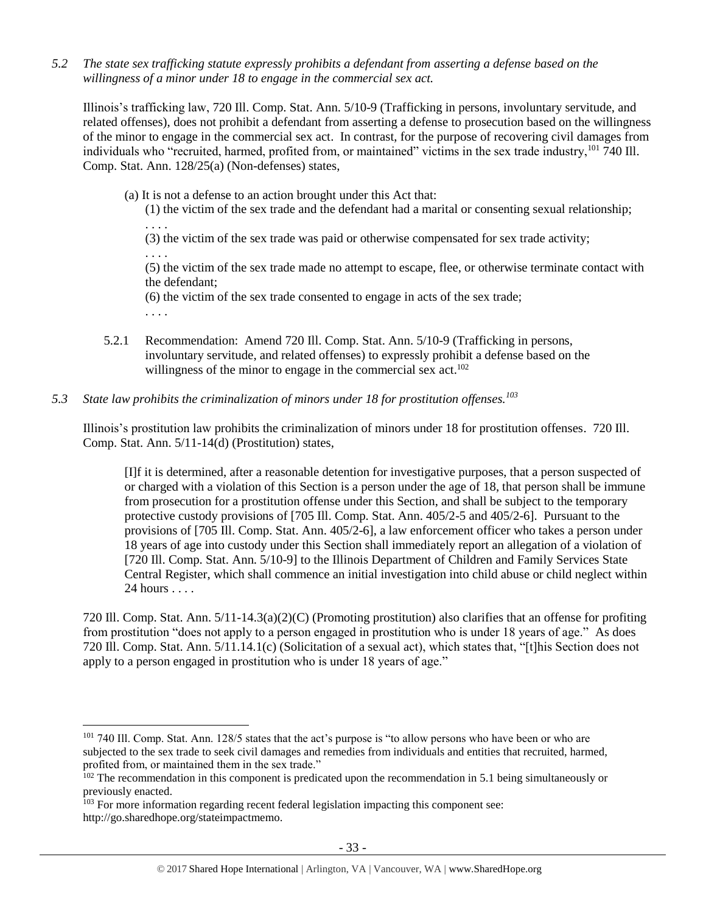*5.2 The state sex trafficking statute expressly prohibits a defendant from asserting a defense based on the willingness of a minor under 18 to engage in the commercial sex act.*

Illinois's trafficking law, 720 Ill. Comp. Stat. Ann. 5/10-9 (Trafficking in persons, involuntary servitude, and related offenses), does not prohibit a defendant from asserting a defense to prosecution based on the willingness of the minor to engage in the commercial sex act. In contrast, for the purpose of recovering civil damages from individuals who "recruited, harmed, profited from, or maintained" victims in the sex trade industry,<sup>101</sup> 740 Ill. Comp. Stat. Ann. 128/25(a) (Non-defenses) states,

- (a) It is not a defense to an action brought under this Act that:
	- (1) the victim of the sex trade and the defendant had a marital or consenting sexual relationship;

(3) the victim of the sex trade was paid or otherwise compensated for sex trade activity;

. . . . (5) the victim of the sex trade made no attempt to escape, flee, or otherwise terminate contact with the defendant;

(6) the victim of the sex trade consented to engage in acts of the sex trade;

. . . .

 $\overline{a}$ 

. . . .

- 5.2.1 Recommendation: Amend 720 Ill. Comp. Stat. Ann. 5/10-9 (Trafficking in persons, involuntary servitude, and related offenses) to expressly prohibit a defense based on the willingness of the minor to engage in the commercial sex act.<sup>102</sup>
- *5.3 State law prohibits the criminalization of minors under 18 for prostitution offenses.<sup>103</sup>*

Illinois's prostitution law prohibits the criminalization of minors under 18 for prostitution offenses. 720 Ill. Comp. Stat. Ann. 5/11-14(d) (Prostitution) states,

[I]f it is determined, after a reasonable detention for investigative purposes, that a person suspected of or charged with a violation of this Section is a person under the age of 18, that person shall be immune from prosecution for a prostitution offense under this Section, and shall be subject to the temporary protective custody provisions of [705 Ill. Comp. Stat. Ann. 405/2-5 and 405/2-6]. Pursuant to the provisions of [705 Ill. Comp. Stat. Ann. 405/2-6], a law enforcement officer who takes a person under 18 years of age into custody under this Section shall immediately report an allegation of a violation of [720 Ill. Comp. Stat. Ann. 5/10-9] to the Illinois Department of Children and Family Services State Central Register, which shall commence an initial investigation into child abuse or child neglect within 24 hours . . . .

720 Ill. Comp. Stat. Ann. 5/11-14.3(a)(2)(C) (Promoting prostitution) also clarifies that an offense for profiting from prostitution "does not apply to a person engaged in prostitution who is under 18 years of age." As does 720 Ill. Comp. Stat. Ann. 5/11.14.1(c) (Solicitation of a sexual act), which states that, "[t]his Section does not apply to a person engaged in prostitution who is under 18 years of age."

<sup>&</sup>lt;sup>101</sup> 740 Ill. Comp. Stat. Ann. 128/5 states that the act's purpose is "to allow persons who have been or who are subjected to the sex trade to seek civil damages and remedies from individuals and entities that recruited, harmed, profited from, or maintained them in the sex trade."

<sup>&</sup>lt;sup>102</sup> The recommendation in this component is predicated upon the recommendation in 5.1 being simultaneously or previously enacted.

<sup>&</sup>lt;sup>103</sup> For more information regarding recent federal legislation impacting this component see: http://go.sharedhope.org/stateimpactmemo.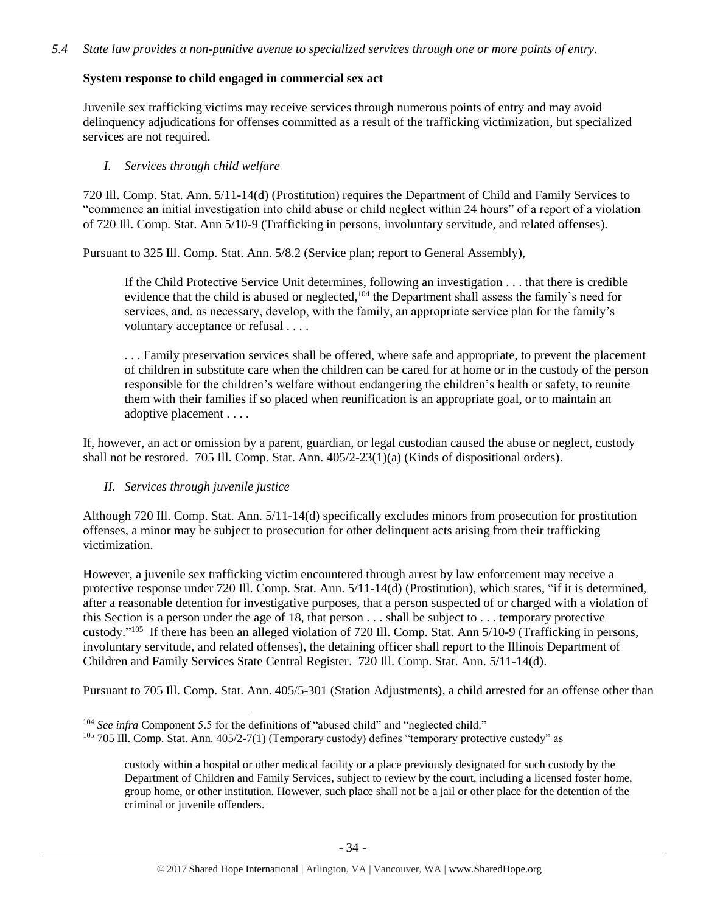# **System response to child engaged in commercial sex act**

Juvenile sex trafficking victims may receive services through numerous points of entry and may avoid delinquency adjudications for offenses committed as a result of the trafficking victimization, but specialized services are not required.

# *I. Services through child welfare*

720 Ill. Comp. Stat. Ann. 5/11-14(d) (Prostitution) requires the Department of Child and Family Services to "commence an initial investigation into child abuse or child neglect within 24 hours" of a report of a violation of 720 Ill. Comp. Stat. Ann 5/10-9 (Trafficking in persons, involuntary servitude, and related offenses).

Pursuant to 325 Ill. Comp. Stat. Ann. 5/8.2 (Service plan; report to General Assembly),

If the Child Protective Service Unit determines, following an investigation . . . that there is credible evidence that the child is abused or neglected,<sup>104</sup> the Department shall assess the family's need for services, and, as necessary, develop, with the family, an appropriate service plan for the family's voluntary acceptance or refusal . . . .

. . . Family preservation services shall be offered, where safe and appropriate, to prevent the placement of children in substitute care when the children can be cared for at home or in the custody of the person responsible for the children's welfare without endangering the children's health or safety, to reunite them with their families if so placed when reunification is an appropriate goal, or to maintain an adoptive placement . . . .

If, however, an act or omission by a parent, guardian, or legal custodian caused the abuse or neglect, custody shall not be restored. 705 Ill. Comp. Stat. Ann. 405/2-23(1)(a) (Kinds of dispositional orders).

## *II. Services through juvenile justice*

 $\overline{a}$ 

Although 720 Ill. Comp. Stat. Ann. 5/11-14(d) specifically excludes minors from prosecution for prostitution offenses, a minor may be subject to prosecution for other delinquent acts arising from their trafficking victimization.

However, a juvenile sex trafficking victim encountered through arrest by law enforcement may receive a protective response under 720 Ill. Comp. Stat. Ann. 5/11-14(d) (Prostitution), which states, "if it is determined, after a reasonable detention for investigative purposes, that a person suspected of or charged with a violation of this Section is a person under the age of 18, that person . . . shall be subject to . . . temporary protective custody."<sup>105</sup> If there has been an alleged violation of 720 Ill. Comp. Stat. Ann 5/10-9 (Trafficking in persons, involuntary servitude, and related offenses), the detaining officer shall report to the Illinois Department of Children and Family Services State Central Register. 720 Ill. Comp. Stat. Ann. 5/11-14(d).

Pursuant to 705 Ill. Comp. Stat. Ann. 405/5-301 (Station Adjustments), a child arrested for an offense other than

<sup>104</sup> *See infra* Component 5.5 for the definitions of "abused child" and "neglected child."

 $105$  705 Ill. Comp. Stat. Ann. 405/2-7(1) (Temporary custody) defines "temporary protective custody" as

custody within a hospital or other medical facility or a place previously designated for such custody by the Department of Children and Family Services, subject to review by the court, including a licensed foster home, group home, or other institution. However, such place shall not be a jail or other place for the detention of the criminal or juvenile offenders.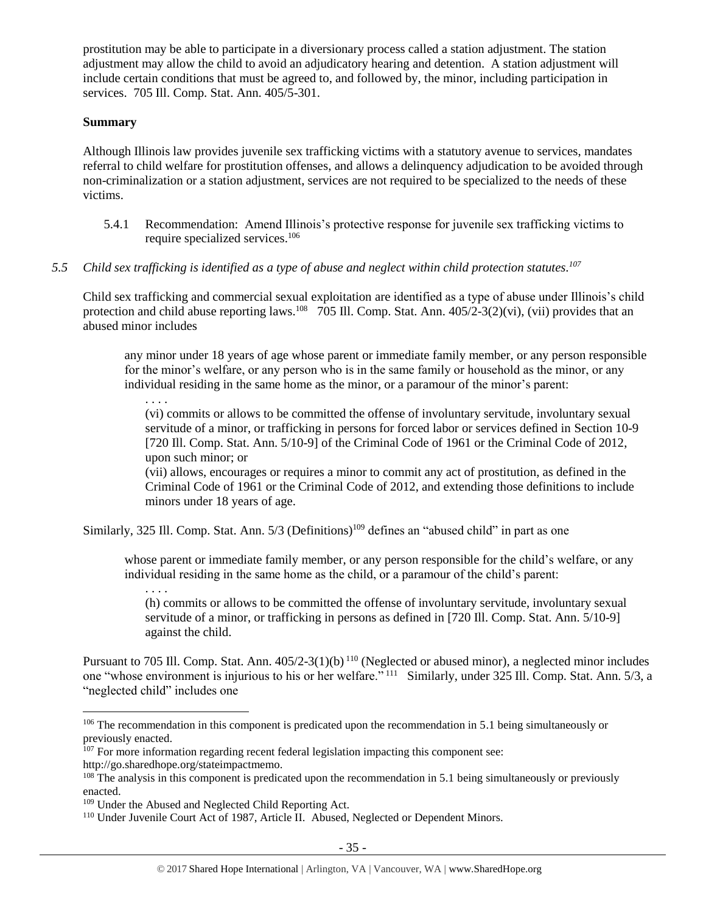prostitution may be able to participate in a diversionary process called a station adjustment. The station adjustment may allow the child to avoid an adjudicatory hearing and detention. A station adjustment will include certain conditions that must be agreed to, and followed by, the minor, including participation in services. 705 Ill. Comp. Stat. Ann. 405/5-301.

#### **Summary**

Although Illinois law provides juvenile sex trafficking victims with a statutory avenue to services, mandates referral to child welfare for prostitution offenses, and allows a delinquency adjudication to be avoided through non-criminalization or a station adjustment, services are not required to be specialized to the needs of these victims.

- 5.4.1 Recommendation: Amend Illinois's protective response for juvenile sex trafficking victims to require specialized services. 106
- *5.5 Child sex trafficking is identified as a type of abuse and neglect within child protection statutes. 107*

Child sex trafficking and commercial sexual exploitation are identified as a type of abuse under Illinois's child protection and child abuse reporting laws.<sup>108</sup> 705 Ill. Comp. Stat. Ann. 405/2-3(2)(vi), (vii) provides that an abused minor includes

any minor under 18 years of age whose parent or immediate family member, or any person responsible for the minor's welfare, or any person who is in the same family or household as the minor, or any individual residing in the same home as the minor, or a paramour of the minor's parent:

. . . .

(vi) commits or allows to be committed the offense of involuntary servitude, involuntary sexual servitude of a minor, or trafficking in persons for forced labor or services defined in Section 10-9 [720 Ill. Comp. Stat. Ann. 5/10-9] of the Criminal Code of 1961 or the Criminal Code of 2012, upon such minor; or

(vii) allows, encourages or requires a minor to commit any act of prostitution, as defined in the Criminal Code of 1961 or the Criminal Code of 2012, and extending those definitions to include minors under 18 years of age.

Similarly, 325 Ill. Comp. Stat. Ann. 5/3 (Definitions)<sup>109</sup> defines an "abused child" in part as one

whose parent or immediate family member, or any person responsible for the child's welfare, or any individual residing in the same home as the child, or a paramour of the child's parent:

. . . . (h) commits or allows to be committed the offense of involuntary servitude, involuntary sexual servitude of a minor, or trafficking in persons as defined in [720 Ill. Comp. Stat. Ann. 5/10-9] against the child.

Pursuant to 705 Ill. Comp. Stat. Ann. 405/2-3(1)(b)<sup>110</sup> (Neglected or abused minor), a neglected minor includes one "whose environment is injurious to his or her welfare." <sup>111</sup> Similarly, under 325 Ill. Comp. Stat. Ann. 5/3, a "neglected child" includes one

<sup>&</sup>lt;sup>106</sup> The recommendation in this component is predicated upon the recommendation in 5.1 being simultaneously or previously enacted.

<sup>&</sup>lt;sup>107</sup> For more information regarding recent federal legislation impacting this component see:

http://go.sharedhope.org/stateimpactmemo.

<sup>&</sup>lt;sup>108</sup> The analysis in this component is predicated upon the recommendation in 5.1 being simultaneously or previously enacted.

<sup>109</sup> Under the Abused and Neglected Child Reporting Act.

<sup>&</sup>lt;sup>110</sup> Under Juvenile Court Act of 1987, Article II. Abused, Neglected or Dependent Minors.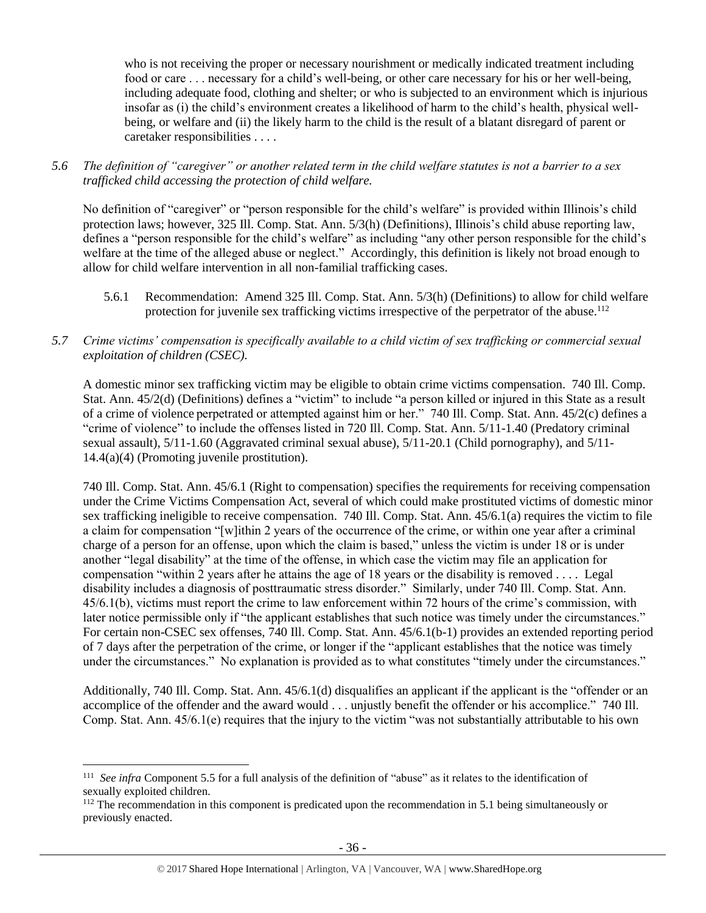who is not receiving the proper or necessary nourishment or medically indicated treatment including food or care . . . necessary for a child's well-being, or other care necessary for his or her well-being, including adequate food, clothing and shelter; or who is subjected to an environment which is injurious insofar as (i) the child's environment creates a likelihood of harm to the child's health, physical wellbeing, or welfare and (ii) the likely harm to the child is the result of a blatant disregard of parent or caretaker responsibilities . . . .

*5.6 The definition of "caregiver" or another related term in the child welfare statutes is not a barrier to a sex trafficked child accessing the protection of child welfare.*

No definition of "caregiver" or "person responsible for the child's welfare" is provided within Illinois's child protection laws; however, 325 Ill. Comp. Stat. Ann. 5/3(h) (Definitions), Illinois's child abuse reporting law, defines a "person responsible for the child's welfare" as including "any other person responsible for the child's welfare at the time of the alleged abuse or neglect." Accordingly, this definition is likely not broad enough to allow for child welfare intervention in all non-familial trafficking cases.

- 5.6.1 Recommendation: Amend 325 Ill. Comp. Stat. Ann. 5/3(h) (Definitions) to allow for child welfare protection for juvenile sex trafficking victims irrespective of the perpetrator of the abuse.<sup>112</sup>
- *5.7 Crime victims' compensation is specifically available to a child victim of sex trafficking or commercial sexual exploitation of children (CSEC).*

A domestic minor sex trafficking victim may be eligible to obtain crime victims compensation. 740 Ill. Comp. Stat. Ann. 45/2(d) (Definitions) defines a "victim" to include "a person killed or injured in this State as a result of a crime of violence perpetrated or attempted against him or her." 740 Ill. Comp. Stat. Ann. 45/2(c) defines a "crime of violence" to include the offenses listed in 720 Ill. Comp. Stat. Ann. 5/11-1.40 (Predatory criminal sexual assault), 5/11-1.60 (Aggravated criminal sexual abuse), 5/11-20.1 (Child pornography), and 5/11- 14.4(a)(4) (Promoting juvenile prostitution).

740 Ill. Comp. Stat. Ann. 45/6.1 (Right to compensation) specifies the requirements for receiving compensation under the Crime Victims Compensation Act, several of which could make prostituted victims of domestic minor sex trafficking ineligible to receive compensation. 740 Ill. Comp. Stat. Ann. 45/6.1(a) requires the victim to file a claim for compensation "[w]ithin 2 years of the occurrence of the crime, or within one year after a criminal charge of a person for an offense, upon which the claim is based," unless the victim is under 18 or is under another "legal disability" at the time of the offense, in which case the victim may file an application for compensation "within 2 years after he attains the age of 18 years or the disability is removed . . . . Legal disability includes a diagnosis of posttraumatic stress disorder." Similarly, under 740 Ill. Comp. Stat. Ann. 45/6.1(b), victims must report the crime to law enforcement within 72 hours of the crime's commission, with later notice permissible only if "the applicant establishes that such notice was timely under the circumstances." For certain non-CSEC sex offenses, 740 Ill. Comp. Stat. Ann. 45/6.1(b-1) provides an extended reporting period of 7 days after the perpetration of the crime, or longer if the "applicant establishes that the notice was timely under the circumstances." No explanation is provided as to what constitutes "timely under the circumstances."

Additionally, 740 Ill. Comp. Stat. Ann. 45/6.1(d) disqualifies an applicant if the applicant is the "offender or an accomplice of the offender and the award would . . . unjustly benefit the offender or his accomplice." 740 Ill. Comp. Stat. Ann. 45/6.1(e) requires that the injury to the victim "was not substantially attributable to his own

<sup>111</sup> *See infra* Component 5.5 for a full analysis of the definition of "abuse" as it relates to the identification of sexually exploited children.

<sup>&</sup>lt;sup>112</sup> The recommendation in this component is predicated upon the recommendation in 5.1 being simultaneously or previously enacted.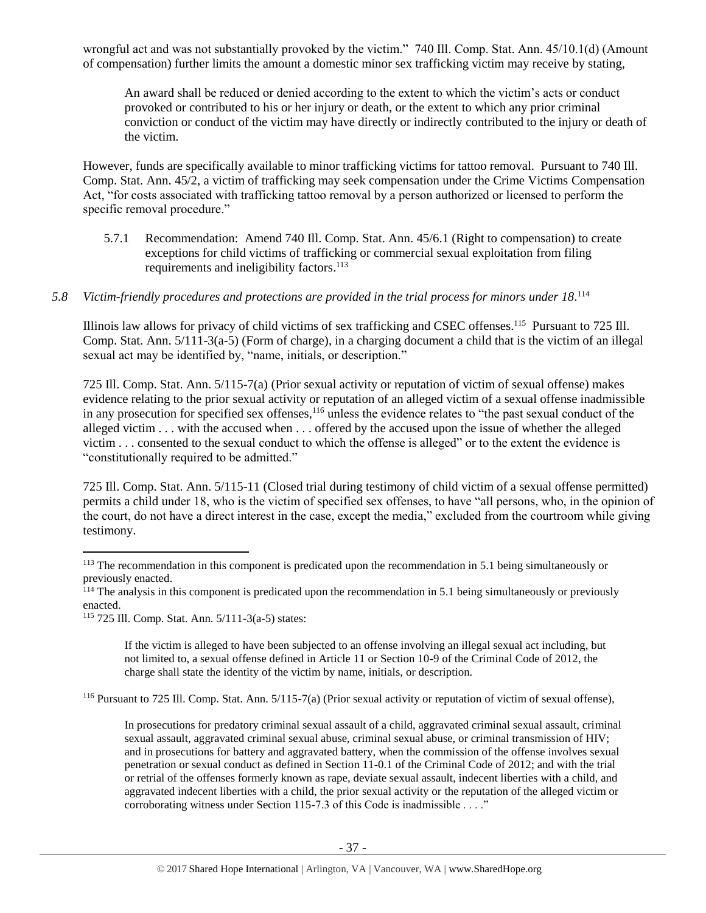wrongful act and was not substantially provoked by the victim." 740 Ill. Comp. Stat. Ann. 45/10.1(d) (Amount of compensation) further limits the amount a domestic minor sex trafficking victim may receive by stating,

An award shall be reduced or denied according to the extent to which the victim's acts or conduct provoked or contributed to his or her injury or death, or the extent to which any prior criminal conviction or conduct of the victim may have directly or indirectly contributed to the injury or death of the victim.

However, funds are specifically available to minor trafficking victims for tattoo removal. Pursuant to 740 Ill. Comp. Stat. Ann. 45/2, a victim of trafficking may seek compensation under the Crime Victims Compensation Act, "for costs associated with trafficking tattoo removal by a person authorized or licensed to perform the specific removal procedure."

- 5.7.1 Recommendation: Amend 740 Ill. Comp. Stat. Ann. 45/6.1 (Right to compensation) to create exceptions for child victims of trafficking or commercial sexual exploitation from filing requirements and ineligibility factors.<sup>113</sup>
- 5.8 Victim-friendly procedures and protections are provided in the trial process for minors under 18.<sup>114</sup>

Illinois law allows for privacy of child victims of sex trafficking and CSEC offenses.<sup>115</sup> Pursuant to 725 Ill. Comp. Stat. Ann. 5/111-3(a-5) (Form of charge), in a charging document a child that is the victim of an illegal sexual act may be identified by, "name, initials, or description."

725 Ill. Comp. Stat. Ann. 5/115-7(a) (Prior sexual activity or reputation of victim of sexual offense) makes evidence relating to the prior sexual activity or reputation of an alleged victim of a sexual offense inadmissible in any prosecution for specified sex offenses,<sup>116</sup> unless the evidence relates to "the past sexual conduct of the alleged victim . . . with the accused when . . . offered by the accused upon the issue of whether the alleged victim . . . consented to the sexual conduct to which the offense is alleged" or to the extent the evidence is "constitutionally required to be admitted."

725 Ill. Comp. Stat. Ann. 5/115-11 (Closed trial during testimony of child victim of a sexual offense permitted) permits a child under 18, who is the victim of specified sex offenses, to have "all persons, who, in the opinion of the court, do not have a direct interest in the case, except the media," excluded from the courtroom while giving testimony.

 $\overline{a}$ 

If the victim is alleged to have been subjected to an offense involving an illegal sexual act including, but not limited to, a sexual offense defined in Article 11 or Section 10-9 of the Criminal Code of 2012, the charge shall state the identity of the victim by name, initials, or description.

<sup>116</sup> Pursuant to 725 Ill. Comp. Stat. Ann. 5/115-7(a) (Prior sexual activity or reputation of victim of sexual offense),

In prosecutions for predatory criminal sexual assault of a child, aggravated criminal sexual assault, criminal sexual assault, aggravated criminal sexual abuse, criminal sexual abuse, or criminal transmission of HIV; and in prosecutions for battery and aggravated battery, when the commission of the offense involves sexual penetration or sexual conduct as defined in Section 11-0.1 of the Criminal Code of 2012; and with the trial or retrial of the offenses formerly known as rape, deviate sexual assault, indecent liberties with a child, and aggravated indecent liberties with a child, the prior sexual activity or the reputation of the alleged victim or corroborating witness under Section 115-7.3 of this Code is inadmissible . . . ."

<sup>&</sup>lt;sup>113</sup> The recommendation in this component is predicated upon the recommendation in 5.1 being simultaneously or previously enacted.

<sup>&</sup>lt;sup>114</sup> The analysis in this component is predicated upon the recommendation in 5.1 being simultaneously or previously enacted.

<sup>115</sup> 725 Ill. Comp. Stat. Ann. 5/111-3(a-5) states: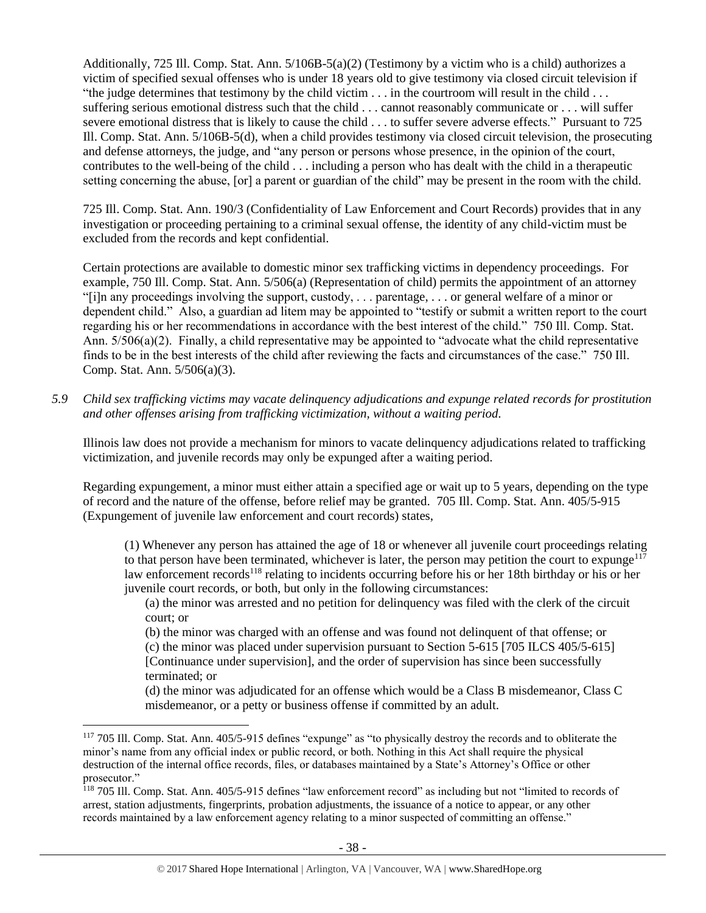Additionally, 725 Ill. Comp. Stat. Ann. 5/106B-5(a)(2) (Testimony by a victim who is a child) authorizes a victim of specified sexual offenses who is under 18 years old to give testimony via closed circuit television if "the judge determines that testimony by the child victim . . . in the courtroom will result in the child . . . suffering serious emotional distress such that the child . . . cannot reasonably communicate or . . . will suffer severe emotional distress that is likely to cause the child . . . to suffer severe adverse effects." Pursuant to 725 Ill. Comp. Stat. Ann. 5/106B-5(d), when a child provides testimony via closed circuit television, the prosecuting and defense attorneys, the judge, and "any person or persons whose presence, in the opinion of the court, contributes to the well-being of the child . . . including a person who has dealt with the child in a therapeutic setting concerning the abuse, [or] a parent or guardian of the child" may be present in the room with the child.

725 Ill. Comp. Stat. Ann. 190/3 (Confidentiality of Law Enforcement and Court Records) provides that in any investigation or proceeding pertaining to a criminal sexual offense, the identity of any child-victim must be excluded from the records and kept confidential.

Certain protections are available to domestic minor sex trafficking victims in dependency proceedings. For example, 750 Ill. Comp. Stat. Ann. 5/506(a) (Representation of child) permits the appointment of an attorney "[i]n any proceedings involving the support, custody, . . . parentage, . . . or general welfare of a minor or dependent child." Also, a guardian ad litem may be appointed to "testify or submit a written report to the court regarding his or her recommendations in accordance with the best interest of the child." 750 Ill. Comp. Stat. Ann. 5/506(a)(2). Finally, a child representative may be appointed to "advocate what the child representative finds to be in the best interests of the child after reviewing the facts and circumstances of the case." 750 Ill. Comp. Stat. Ann. 5/506(a)(3).

*5.9 Child sex trafficking victims may vacate delinquency adjudications and expunge related records for prostitution and other offenses arising from trafficking victimization, without a waiting period.*

Illinois law does not provide a mechanism for minors to vacate delinquency adjudications related to trafficking victimization, and juvenile records may only be expunged after a waiting period.

Regarding expungement, a minor must either attain a specified age or wait up to 5 years, depending on the type of record and the nature of the offense, before relief may be granted. 705 Ill. Comp. Stat. Ann. 405/5-915 (Expungement of juvenile law enforcement and court records) states,

(1) Whenever any person has attained the age of 18 or whenever all juvenile court proceedings relating to that person have been terminated, whichever is later, the person may petition the court to expunge<sup>117</sup> law enforcement records<sup>118</sup> relating to incidents occurring before his or her 18th birthday or his or her juvenile court records, or both, but only in the following circumstances:

(a) the minor was arrested and no petition for delinquency was filed with the clerk of the circuit court; or

(b) the minor was charged with an offense and was found not delinquent of that offense; or (c) the minor was placed under supervision pursuant to Section 5-615 [705 ILCS 405/5-615] [Continuance under supervision], and the order of supervision has since been successfully terminated; or

(d) the minor was adjudicated for an offense which would be a Class B misdemeanor, Class C misdemeanor, or a petty or business offense if committed by an adult.

<sup>117</sup> 705 Ill. Comp. Stat. Ann. 405/5-915 defines "expunge" as "to physically destroy the records and to obliterate the minor's name from any official index or public record, or both. Nothing in this Act shall require the physical destruction of the internal office records, files, or databases maintained by a State's Attorney's Office or other prosecutor."

<sup>118</sup> 705 Ill. Comp. Stat. Ann. 405/5-915 defines "law enforcement record" as including but not "limited to records of arrest, station adjustments, fingerprints, probation adjustments, the issuance of a notice to appear, or any other records maintained by a law enforcement agency relating to a minor suspected of committing an offense."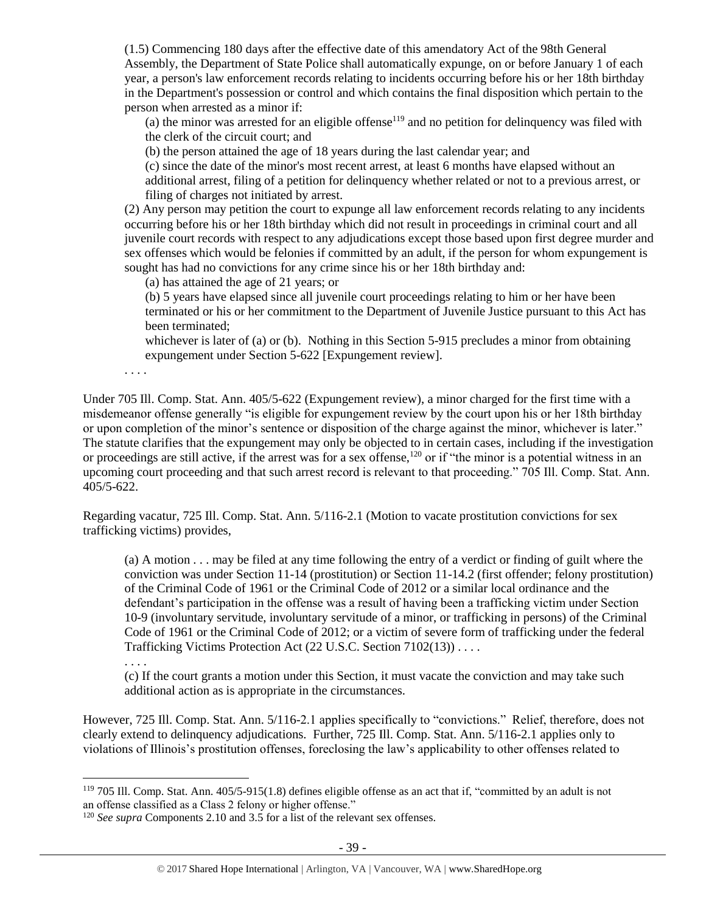(1.5) Commencing 180 days after the effective date of this amendatory Act of the 98th General Assembly, the Department of State Police shall automatically expunge, on or before January 1 of each year, a person's law enforcement records relating to incidents occurring before his or her 18th birthday in the Department's possession or control and which contains the final disposition which pertain to the person when arrested as a minor if:

(a) the minor was arrested for an eligible offense<sup>119</sup> and no petition for delinquency was filed with the clerk of the circuit court; and

(b) the person attained the age of 18 years during the last calendar year; and

(c) since the date of the minor's most recent arrest, at least 6 months have elapsed without an additional arrest, filing of a petition for delinquency whether related or not to a previous arrest, or filing of charges not initiated by arrest.

(2) Any person may petition the court to expunge all law enforcement records relating to any incidents occurring before his or her 18th birthday which did not result in proceedings in criminal court and all juvenile court records with respect to any adjudications except those based upon first degree murder and sex offenses which would be felonies if committed by an adult, if the person for whom expungement is sought has had no convictions for any crime since his or her 18th birthday and:

(a) has attained the age of 21 years; or

(b) 5 years have elapsed since all juvenile court proceedings relating to him or her have been terminated or his or her commitment to the Department of Juvenile Justice pursuant to this Act has been terminated;

whichever is later of (a) or (b). Nothing in this Section 5-915 precludes a minor from obtaining expungement under Section 5-622 [Expungement review].

. . . .

. . . .

 $\overline{a}$ 

Under 705 Ill. Comp. Stat. Ann. 405/5-622 (Expungement review), a minor charged for the first time with a misdemeanor offense generally "is eligible for expungement review by the court upon his or her 18th birthday or upon completion of the minor's sentence or disposition of the charge against the minor, whichever is later." The statute clarifies that the expungement may only be objected to in certain cases, including if the investigation or proceedings are still active, if the arrest was for a sex offense,<sup>120</sup> or if "the minor is a potential witness in an upcoming court proceeding and that such arrest record is relevant to that proceeding." 705 Ill. Comp. Stat. Ann. 405/5-622.

Regarding vacatur, 725 Ill. Comp. Stat. Ann. 5/116-2.1 (Motion to vacate prostitution convictions for sex trafficking victims) provides,

(a) A motion . . . may be filed at any time following the entry of a verdict or finding of guilt where the conviction was under Section 11-14 (prostitution) or Section 11-14.2 (first offender; felony prostitution) of the Criminal Code of 1961 or the Criminal Code of 2012 or a similar local ordinance and the defendant's participation in the offense was a result of having been a trafficking victim under Section 10-9 (involuntary servitude, involuntary servitude of a minor, or trafficking in persons) of the Criminal Code of 1961 or the Criminal Code of 2012; or a victim of severe form of trafficking under the federal Trafficking Victims Protection Act (22 U.S.C. Section 7102(13)) . . . .

(c) If the court grants a motion under this Section, it must vacate the conviction and may take such additional action as is appropriate in the circumstances.

However, 725 Ill. Comp. Stat. Ann. 5/116-2.1 applies specifically to "convictions." Relief, therefore, does not clearly extend to delinquency adjudications. Further, 725 Ill. Comp. Stat. Ann. 5/116-2.1 applies only to violations of Illinois's prostitution offenses, foreclosing the law's applicability to other offenses related to

<sup>119</sup> 705 Ill. Comp. Stat. Ann. 405/5-915(1.8) defines eligible offense as an act that if, "committed by an adult is not an offense classified as a Class 2 felony or higher offense."

<sup>&</sup>lt;sup>120</sup> *See supra* Components 2.10 and 3.5 for a list of the relevant sex offenses.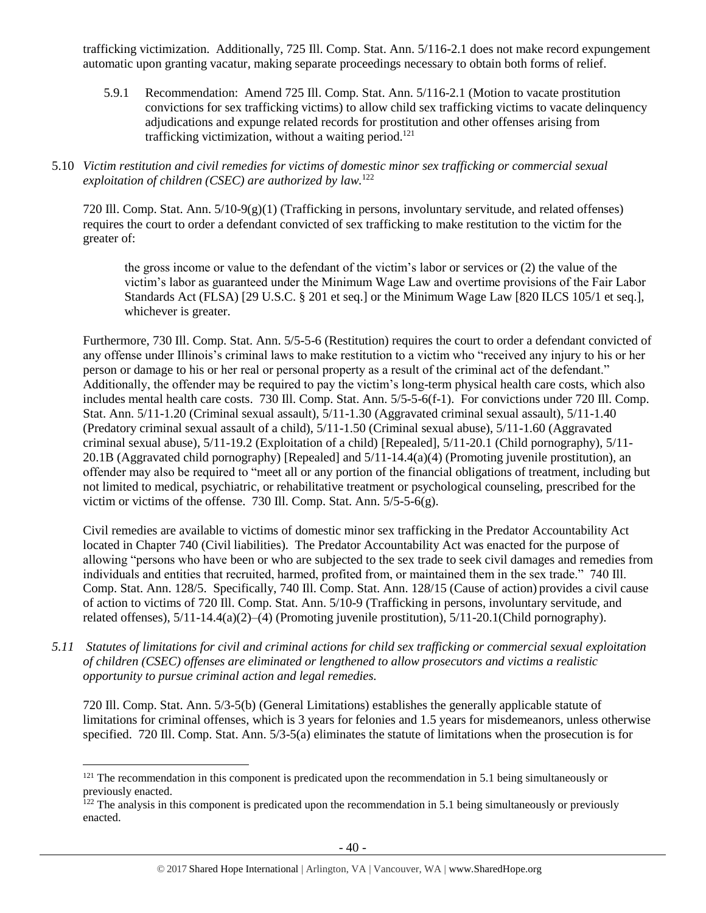trafficking victimization. Additionally, 725 Ill. Comp. Stat. Ann. 5/116-2.1 does not make record expungement automatic upon granting vacatur, making separate proceedings necessary to obtain both forms of relief.

- 5.9.1 Recommendation: Amend 725 Ill. Comp. Stat. Ann. 5/116-2.1 (Motion to vacate prostitution convictions for sex trafficking victims) to allow child sex trafficking victims to vacate delinquency adjudications and expunge related records for prostitution and other offenses arising from trafficking victimization, without a waiting period. 121
- 5.10 *Victim restitution and civil remedies for victims of domestic minor sex trafficking or commercial sexual exploitation of children (CSEC) are authorized by law.*<sup>122</sup>

720 Ill. Comp. Stat. Ann.  $5/10-9(g)(1)$  (Trafficking in persons, involuntary servitude, and related offenses) requires the court to order a defendant convicted of sex trafficking to make restitution to the victim for the greater of:

the gross income or value to the defendant of the victim's labor or services or (2) the value of the victim's labor as guaranteed under the Minimum Wage Law and overtime provisions of the Fair Labor Standards Act (FLSA) [29 U.S.C. § 201 et seq.] or the Minimum Wage Law [820 ILCS 105/1 et seq.], whichever is greater.

Furthermore, 730 Ill. Comp. Stat. Ann. 5/5-5-6 (Restitution) requires the court to order a defendant convicted of any offense under Illinois's criminal laws to make restitution to a victim who "received any injury to his or her person or damage to his or her real or personal property as a result of the criminal act of the defendant." Additionally, the offender may be required to pay the victim's long-term physical health care costs, which also includes mental health care costs. 730 Ill. Comp. Stat. Ann. 5/5-5-6(f-1). For convictions under 720 Ill. Comp. Stat. Ann. 5/11-1.20 (Criminal sexual assault), 5/11-1.30 (Aggravated criminal sexual assault), 5/11-1.40 (Predatory criminal sexual assault of a child), 5/11-1.50 (Criminal sexual abuse), 5/11-1.60 (Aggravated criminal sexual abuse), 5/11-19.2 (Exploitation of a child) [Repealed], 5/11-20.1 (Child pornography), 5/11- 20.1B (Aggravated child pornography) [Repealed] and 5/11-14.4(a)(4) (Promoting juvenile prostitution), an offender may also be required to "meet all or any portion of the financial obligations of treatment, including but not limited to medical, psychiatric, or rehabilitative treatment or psychological counseling, prescribed for the victim or victims of the offense. 730 Ill. Comp. Stat. Ann. 5/5-5-6(g).

Civil remedies are available to victims of domestic minor sex trafficking in the Predator Accountability Act located in Chapter 740 (Civil liabilities). The Predator Accountability Act was enacted for the purpose of allowing "persons who have been or who are subjected to the sex trade to seek civil damages and remedies from individuals and entities that recruited, harmed, profited from, or maintained them in the sex trade." 740 Ill. Comp. Stat. Ann. 128/5. Specifically, 740 Ill. Comp. Stat. Ann. 128/15 (Cause of action) provides a civil cause of action to victims of 720 Ill. Comp. Stat. Ann. 5/10-9 (Trafficking in persons, involuntary servitude, and related offenses), 5/11-14.4(a)(2)–(4) (Promoting juvenile prostitution), 5/11-20.1(Child pornography).

*5.11 Statutes of limitations for civil and criminal actions for child sex trafficking or commercial sexual exploitation of children (CSEC) offenses are eliminated or lengthened to allow prosecutors and victims a realistic opportunity to pursue criminal action and legal remedies.*

720 Ill. Comp. Stat. Ann. 5/3-5(b) (General Limitations) establishes the generally applicable statute of limitations for criminal offenses, which is 3 years for felonies and 1.5 years for misdemeanors, unless otherwise specified. 720 Ill. Comp. Stat. Ann. 5/3-5(a) eliminates the statute of limitations when the prosecution is for

 $121$  The recommendation in this component is predicated upon the recommendation in 5.1 being simultaneously or previously enacted.

 $122$  The analysis in this component is predicated upon the recommendation in 5.1 being simultaneously or previously enacted.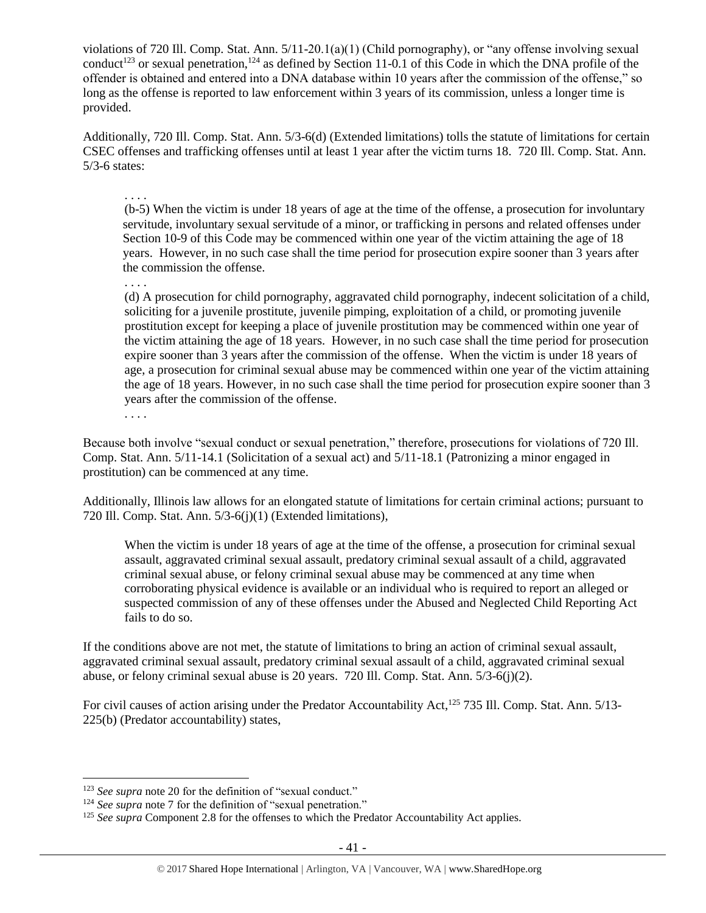violations of 720 Ill. Comp. Stat. Ann. 5/11-20.1(a)(1) (Child pornography), or "any offense involving sexual conduct<sup>123</sup> or sexual penetration,<sup>124</sup> as defined by Section 11-0.1 of this Code in which the DNA profile of the offender is obtained and entered into a DNA database within 10 years after the commission of the offense," so long as the offense is reported to law enforcement within 3 years of its commission, unless a longer time is provided.

Additionally, 720 Ill. Comp. Stat. Ann. 5/3-6(d) (Extended limitations) tolls the statute of limitations for certain CSEC offenses and trafficking offenses until at least 1 year after the victim turns 18. 720 Ill. Comp. Stat. Ann. 5/3-6 states:

. . . .

(b-5) When the victim is under 18 years of age at the time of the offense, a prosecution for involuntary servitude, involuntary sexual servitude of a minor, or trafficking in persons and related offenses under Section 10-9 of this Code may be commenced within one year of the victim attaining the age of 18 years. However, in no such case shall the time period for prosecution expire sooner than 3 years after the commission the offense.

. . . .

(d) A prosecution for child pornography, aggravated child pornography, indecent solicitation of a child, soliciting for a juvenile prostitute, juvenile pimping, exploitation of a child, or promoting juvenile prostitution except for keeping a place of juvenile prostitution may be commenced within one year of the victim attaining the age of 18 years. However, in no such case shall the time period for prosecution expire sooner than 3 years after the commission of the offense. When the victim is under 18 years of age, a prosecution for criminal sexual abuse may be commenced within one year of the victim attaining the age of 18 years. However, in no such case shall the time period for prosecution expire sooner than 3 years after the commission of the offense.

. . . .

 $\overline{a}$ 

Because both involve "sexual conduct or sexual penetration," therefore, prosecutions for violations of 720 Ill. Comp. Stat. Ann. 5/11-14.1 (Solicitation of a sexual act) and 5/11-18.1 (Patronizing a minor engaged in prostitution) can be commenced at any time.

Additionally, Illinois law allows for an elongated statute of limitations for certain criminal actions; pursuant to 720 Ill. Comp. Stat. Ann. 5/3-6(j)(1) (Extended limitations),

When the victim is under 18 years of age at the time of the offense, a prosecution for criminal sexual assault, aggravated criminal sexual assault, predatory criminal sexual assault of a child, aggravated criminal sexual abuse, or felony criminal sexual abuse may be commenced at any time when corroborating physical evidence is available or an individual who is required to report an alleged or suspected commission of any of these offenses under the Abused and Neglected Child Reporting Act fails to do so.

If the conditions above are not met, the statute of limitations to bring an action of criminal sexual assault, aggravated criminal sexual assault, predatory criminal sexual assault of a child, aggravated criminal sexual abuse, or felony criminal sexual abuse is 20 years. 720 Ill. Comp. Stat. Ann. 5/3-6(j)(2).

For civil causes of action arising under the Predator Accountability Act,<sup>125</sup> 735 Ill. Comp. Stat. Ann. 5/13-225(b) (Predator accountability) states,

<sup>&</sup>lt;sup>123</sup> See supra not[e 20](#page-4-0) for the definition of "sexual conduct."

<sup>&</sup>lt;sup>124</sup> See supra not[e 7](#page-2-0) for the definition of "sexual penetration."

<sup>&</sup>lt;sup>125</sup> See supra Component 2.8 for the offenses to which the Predator Accountability Act applies.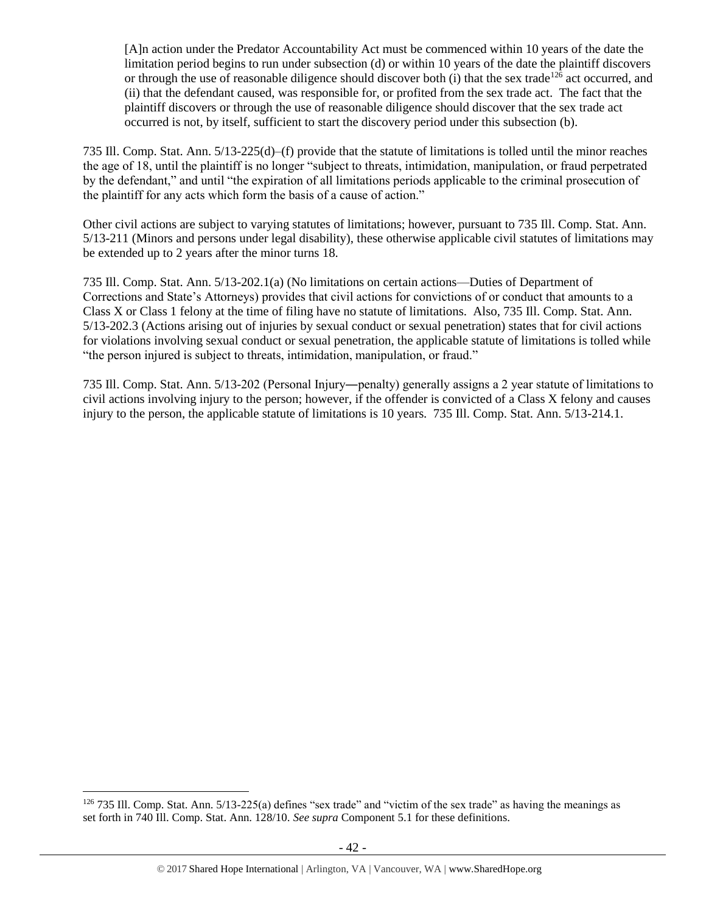[A]n action under the Predator Accountability Act must be commenced within 10 years of the date the limitation period begins to run under subsection (d) or within 10 years of the date the plaintiff discovers or through the use of reasonable diligence should discover both (i) that the sex trade<sup>126</sup> act occurred, and (ii) that the defendant caused, was responsible for, or profited from the sex trade act. The fact that the plaintiff discovers or through the use of reasonable diligence should discover that the sex trade act occurred is not, by itself, sufficient to start the discovery period under this subsection (b).

735 Ill. Comp. Stat. Ann. 5/13-225(d)–(f) provide that the statute of limitations is tolled until the minor reaches the age of 18, until the plaintiff is no longer "subject to threats, intimidation, manipulation, or fraud perpetrated by the defendant," and until "the expiration of all limitations periods applicable to the criminal prosecution of the plaintiff for any acts which form the basis of a cause of action."

Other civil actions are subject to varying statutes of limitations; however, pursuant to 735 Ill. Comp. Stat. Ann. 5/13-211 (Minors and persons under legal disability), these otherwise applicable civil statutes of limitations may be extended up to 2 years after the minor turns 18.

735 Ill. Comp. Stat. Ann. 5/13-202.1(a) (No limitations on certain actions—Duties of Department of Corrections and State's Attorneys) provides that civil actions for convictions of or conduct that amounts to a Class X or Class 1 felony at the time of filing have no statute of limitations. Also, 735 Ill. Comp. Stat. Ann. 5/13-202.3 (Actions arising out of injuries by sexual conduct or sexual penetration) states that for civil actions for violations involving sexual conduct or sexual penetration, the applicable statute of limitations is tolled while "the person injured is subject to threats, intimidation, manipulation, or fraud."

735 Ill. Comp. Stat. Ann. 5/13-202 (Personal Injury―penalty) generally assigns a 2 year statute of limitations to civil actions involving injury to the person; however, if the offender is convicted of a Class X felony and causes injury to the person, the applicable statute of limitations is 10 years. 735 Ill. Comp. Stat. Ann. 5/13-214.1.

<sup>126</sup> 735 Ill. Comp. Stat. Ann. 5/13-225(a) defines "sex trade" and "victim of the sex trade" as having the meanings as set forth in 740 Ill. Comp. Stat. Ann. 128/10*. See supra* Component 5.1 for these definitions.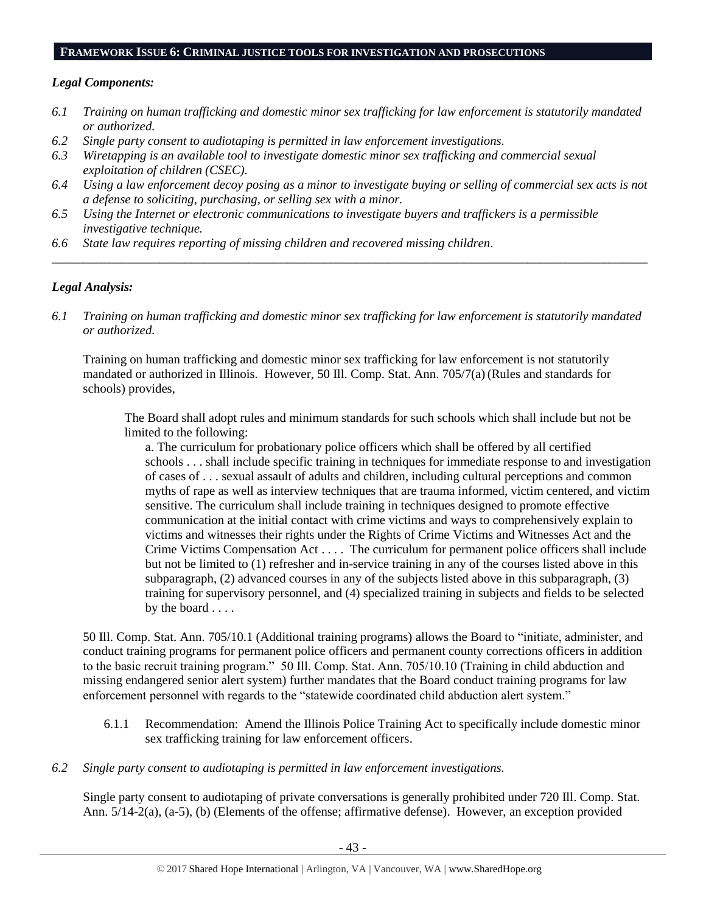#### **FRAMEWORK ISSUE 6: CRIMINAL JUSTICE TOOLS FOR INVESTIGATION AND PROSECUTIONS**

## *Legal Components:*

- *6.1 Training on human trafficking and domestic minor sex trafficking for law enforcement is statutorily mandated or authorized.*
- *6.2 Single party consent to audiotaping is permitted in law enforcement investigations.*
- *6.3 Wiretapping is an available tool to investigate domestic minor sex trafficking and commercial sexual exploitation of children (CSEC).*
- *6.4 Using a law enforcement decoy posing as a minor to investigate buying or selling of commercial sex acts is not a defense to soliciting, purchasing, or selling sex with a minor.*

*\_\_\_\_\_\_\_\_\_\_\_\_\_\_\_\_\_\_\_\_\_\_\_\_\_\_\_\_\_\_\_\_\_\_\_\_\_\_\_\_\_\_\_\_\_\_\_\_\_\_\_\_\_\_\_\_\_\_\_\_\_\_\_\_\_\_\_\_\_\_\_\_\_\_\_\_\_\_\_\_\_\_\_\_\_\_\_\_\_\_\_\_\_\_*

- *6.5 Using the Internet or electronic communications to investigate buyers and traffickers is a permissible investigative technique.*
- *6.6 State law requires reporting of missing children and recovered missing children.*

# *Legal Analysis:*

*6.1 Training on human trafficking and domestic minor sex trafficking for law enforcement is statutorily mandated or authorized.*

Training on human trafficking and domestic minor sex trafficking for law enforcement is not statutorily mandated or authorized in Illinois. However, 50 Ill. Comp. Stat. Ann. 705/7(a)(Rules and standards for schools) provides,

The Board shall adopt rules and minimum standards for such schools which shall include but not be limited to the following:

a. The curriculum for probationary police officers which shall be offered by all certified schools . . . shall include specific training in techniques for immediate response to and investigation of cases of . . . sexual assault of adults and children, including cultural perceptions and common myths of rape as well as interview techniques that are trauma informed, victim centered, and victim sensitive. The curriculum shall include training in techniques designed to promote effective communication at the initial contact with crime victims and ways to comprehensively explain to victims and witnesses their rights under the Rights of Crime Victims and Witnesses Act and the Crime Victims Compensation Act . . . . The curriculum for permanent police officers shall include but not be limited to (1) refresher and in-service training in any of the courses listed above in this subparagraph, (2) advanced courses in any of the subjects listed above in this subparagraph, (3) training for supervisory personnel, and (4) specialized training in subjects and fields to be selected by the board . . . .

50 Ill. Comp. Stat. Ann. 705/10.1 (Additional training programs) allows the Board to "initiate, administer, and conduct training programs for permanent police officers and permanent county corrections officers in addition to the basic recruit training program." 50 Ill. Comp. Stat. Ann. 705/10.10 (Training in child abduction and missing endangered senior alert system) further mandates that the Board conduct training programs for law enforcement personnel with regards to the "statewide coordinated child abduction alert system."

- 6.1.1 Recommendation: Amend the Illinois Police Training Act to specifically include domestic minor sex trafficking training for law enforcement officers.
- *6.2 Single party consent to audiotaping is permitted in law enforcement investigations.*

Single party consent to audiotaping of private conversations is generally prohibited under 720 Ill. Comp. Stat. Ann. 5/14-2(a), (a-5), (b) (Elements of the offense; affirmative defense). However, an exception provided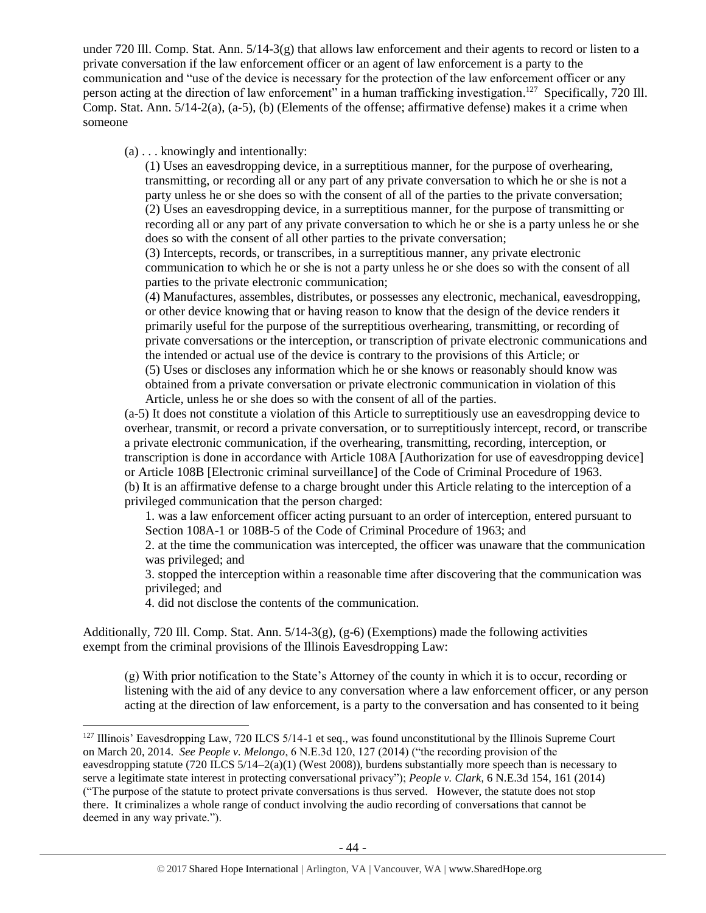under 720 Ill. Comp. Stat. Ann. 5/14-3(g) that allows law enforcement and their agents to record or listen to a private conversation if the law enforcement officer or an agent of law enforcement is a party to the communication and "use of the device is necessary for the protection of the law enforcement officer or any person acting at the direction of law enforcement" in a human trafficking investigation.<sup>127</sup> Specifically, 720 Ill. Comp. Stat. Ann. 5/14-2(a), (a-5), (b) (Elements of the offense; affirmative defense) makes it a crime when someone

(a) . . . knowingly and intentionally:

(1) Uses an eavesdropping device, in a surreptitious manner, for the purpose of overhearing, transmitting, or recording all or any part of any private conversation to which he or she is not a party unless he or she does so with the consent of all of the parties to the private conversation; (2) Uses an eavesdropping device, in a surreptitious manner, for the purpose of transmitting or recording all or any part of any private conversation to which he or she is a party unless he or she does so with the consent of all other parties to the private conversation;

(3) Intercepts, records, or transcribes, in a surreptitious manner, any private electronic communication to which he or she is not a party unless he or she does so with the consent of all parties to the private electronic communication;

(4) Manufactures, assembles, distributes, or possesses any electronic, mechanical, eavesdropping, or other device knowing that or having reason to know that the design of the device renders it primarily useful for the purpose of the surreptitious overhearing, transmitting, or recording of private conversations or the interception, or transcription of private electronic communications and the intended or actual use of the device is contrary to the provisions of this Article; or

(5) Uses or discloses any information which he or she knows or reasonably should know was obtained from a private conversation or private electronic communication in violation of this Article, unless he or she does so with the consent of all of the parties.

(a-5) It does not constitute a violation of this Article to surreptitiously use an eavesdropping device to overhear, transmit, or record a private conversation, or to surreptitiously intercept, record, or transcribe a private electronic communication, if the overhearing, transmitting, recording, interception, or transcription is done in accordance with Article 108A [Authorization for use of eavesdropping device] or Article 108B [Electronic criminal surveillance] of the Code of Criminal Procedure of 1963. (b) It is an affirmative defense to a charge brought under this Article relating to the interception of a privileged communication that the person charged:

1. was a law enforcement officer acting pursuant to an order of interception, entered pursuant to Section 108A-1 or 108B-5 of the Code of Criminal Procedure of 1963; and

2. at the time the communication was intercepted, the officer was unaware that the communication was privileged; and

3. stopped the interception within a reasonable time after discovering that the communication was privileged; and

4. did not disclose the contents of the communication.

 $\overline{a}$ 

Additionally, 720 Ill. Comp. Stat. Ann.  $5/14-3(g)$ , (g-6) (Exemptions) made the following activities exempt from the criminal provisions of the Illinois Eavesdropping Law:

(g) With prior notification to the State's Attorney of the county in which it is to occur, recording or listening with the aid of any device to any conversation where a law enforcement officer, or any person acting at the direction of law enforcement, is a party to the conversation and has consented to it being

 $127$  Illinois' Eavesdropping Law, 720 ILCS 5/14-1 et seq., was found unconstitutional by the Illinois Supreme Court on March 20, 2014. *See People v. Melongo*, 6 N.E.3d 120, 127 (2014) ("the recording provision of the eavesdropping statute (720 ILCS 5/14–2(a)(1) (West 2008)), burdens substantially more speech than is necessary to serve a legitimate state interest in protecting conversational privacy"); *People v. Clark*, 6 N.E.3d 154, 161 (2014) ("The purpose of the statute to protect private conversations is thus served. However, the statute does not stop there. It criminalizes a whole range of conduct involving the audio recording of conversations that cannot be deemed in any way private.").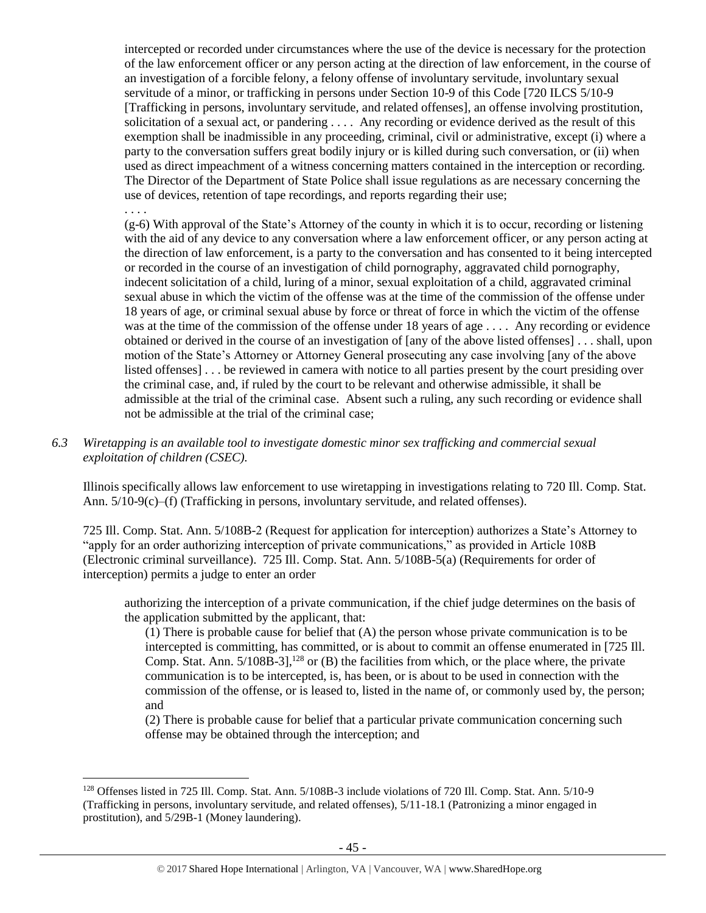intercepted or recorded under circumstances where the use of the device is necessary for the protection of the law enforcement officer or any person acting at the direction of law enforcement, in the course of an investigation of a forcible felony, a felony offense of involuntary servitude, involuntary sexual servitude of a minor, or trafficking in persons under Section 10-9 of this Code [720 ILCS 5/10-9 [Trafficking in persons, involuntary servitude, and related offenses], an offense involving prostitution, solicitation of a sexual act, or pandering . . . . Any recording or evidence derived as the result of this exemption shall be inadmissible in any proceeding, criminal, civil or administrative, except (i) where a party to the conversation suffers great bodily injury or is killed during such conversation, or (ii) when used as direct impeachment of a witness concerning matters contained in the interception or recording. The Director of the Department of State Police shall issue regulations as are necessary concerning the use of devices, retention of tape recordings, and reports regarding their use;

. . . .

 $\overline{a}$ 

(g-6) With approval of the State's Attorney of the county in which it is to occur, recording or listening with the aid of any device to any conversation where a law enforcement officer, or any person acting at the direction of law enforcement, is a party to the conversation and has consented to it being intercepted or recorded in the course of an investigation of child pornography, aggravated child pornography, indecent solicitation of a child, luring of a minor, sexual exploitation of a child, aggravated criminal sexual abuse in which the victim of the offense was at the time of the commission of the offense under 18 years of age, or criminal sexual abuse by force or threat of force in which the victim of the offense was at the time of the commission of the offense under 18 years of age . . . . Any recording or evidence obtained or derived in the course of an investigation of [any of the above listed offenses] . . . shall, upon motion of the State's Attorney or Attorney General prosecuting any case involving [any of the above listed offenses] . . . be reviewed in camera with notice to all parties present by the court presiding over the criminal case, and, if ruled by the court to be relevant and otherwise admissible, it shall be admissible at the trial of the criminal case. Absent such a ruling, any such recording or evidence shall not be admissible at the trial of the criminal case;

*6.3 Wiretapping is an available tool to investigate domestic minor sex trafficking and commercial sexual exploitation of children (CSEC).* 

Illinois specifically allows law enforcement to use wiretapping in investigations relating to 720 Ill. Comp. Stat. Ann.  $5/10-9(c)$ –(f) (Trafficking in persons, involuntary servitude, and related offenses).

725 Ill. Comp. Stat. Ann. 5/108B-2 (Request for application for interception) authorizes a State's Attorney to "apply for an order authorizing interception of private communications," as provided in Article 108B (Electronic criminal surveillance). 725 Ill. Comp. Stat. Ann. 5/108B-5(a) (Requirements for order of interception) permits a judge to enter an order

authorizing the interception of a private communication, if the chief judge determines on the basis of the application submitted by the applicant, that:

(1) There is probable cause for belief that (A) the person whose private communication is to be intercepted is committing, has committed, or is about to commit an offense enumerated in [725 Ill. Comp. Stat. Ann.  $5/108B-3$ ,  $^{128}$  or (B) the facilities from which, or the place where, the private communication is to be intercepted, is, has been, or is about to be used in connection with the commission of the offense, or is leased to, listed in the name of, or commonly used by, the person; and

(2) There is probable cause for belief that a particular private communication concerning such offense may be obtained through the interception; and

<sup>128</sup> Offenses listed in 725 Ill. Comp. Stat. Ann. 5/108B-3 include violations of 720 Ill. Comp. Stat. Ann. 5/10-9 (Trafficking in persons, involuntary servitude, and related offenses), 5/11-18.1 (Patronizing a minor engaged in prostitution), and 5/29B-1 (Money laundering).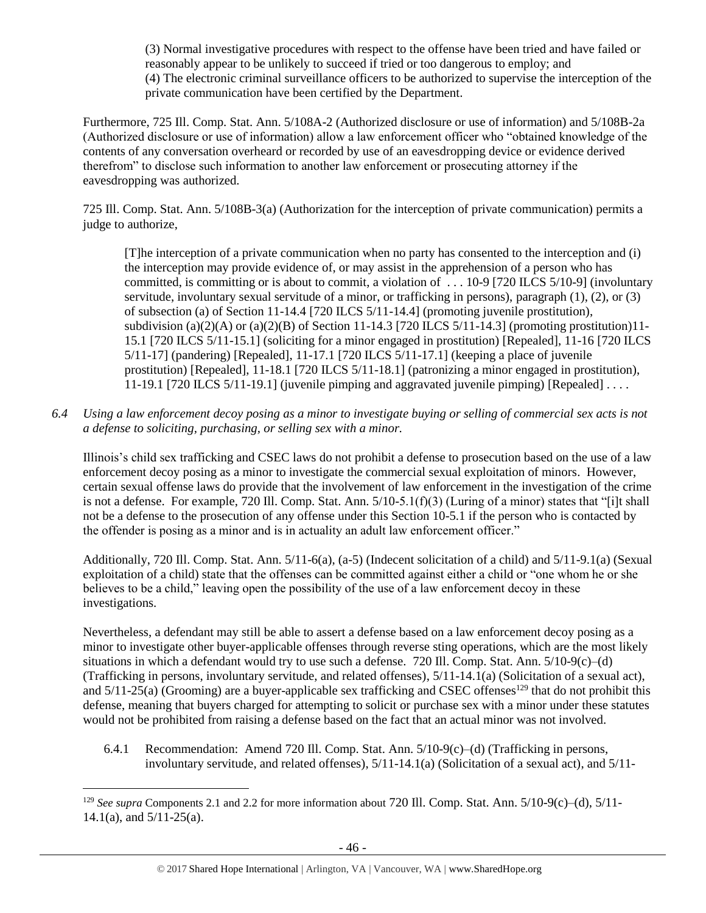(3) Normal investigative procedures with respect to the offense have been tried and have failed or reasonably appear to be unlikely to succeed if tried or too dangerous to employ; and (4) The electronic criminal surveillance officers to be authorized to supervise the interception of the private communication have been certified by the Department.

Furthermore, 725 Ill. Comp. Stat. Ann. 5/108A-2 (Authorized disclosure or use of information) and 5/108B-2a (Authorized disclosure or use of information) allow a law enforcement officer who "obtained knowledge of the contents of any conversation overheard or recorded by use of an eavesdropping device or evidence derived therefrom" to disclose such information to another law enforcement or prosecuting attorney if the eavesdropping was authorized.

725 Ill. Comp. Stat. Ann. 5/108B-3(a) (Authorization for the interception of private communication) permits a judge to authorize,

[T]he interception of a private communication when no party has consented to the interception and (i) the interception may provide evidence of, or may assist in the apprehension of a person who has committed, is committing or is about to commit, a violation of . . . 10-9 [720 ILCS 5/10-9] (involuntary servitude, involuntary sexual servitude of a minor, or trafficking in persons), paragraph (1), (2), or (3) of subsection (a) of Section 11-14.4 [720 ILCS 5/11-14.4] (promoting juvenile prostitution), subdivision (a)(2)(A) or (a)(2)(B) of Section 11-14.3 [720 ILCS  $5/11$ -14.3] (promoting prostitution)11-15.1 [720 ILCS 5/11-15.1] (soliciting for a minor engaged in prostitution) [Repealed], 11-16 [720 ILCS 5/11-17] (pandering) [Repealed], 11-17.1 [720 ILCS 5/11-17.1] (keeping a place of juvenile prostitution) [Repealed], 11-18.1 [720 ILCS 5/11-18.1] (patronizing a minor engaged in prostitution), 11-19.1 [720 ILCS 5/11-19.1] (juvenile pimping and aggravated juvenile pimping) [Repealed] . . . .

*6.4 Using a law enforcement decoy posing as a minor to investigate buying or selling of commercial sex acts is not a defense to soliciting, purchasing, or selling sex with a minor.*

Illinois's child sex trafficking and CSEC laws do not prohibit a defense to prosecution based on the use of a law enforcement decoy posing as a minor to investigate the commercial sexual exploitation of minors. However, certain sexual offense laws do provide that the involvement of law enforcement in the investigation of the crime is not a defense. For example, 720 Ill. Comp. Stat. Ann. 5/10-5.1(f)(3) (Luring of a minor) states that "[i]t shall not be a defense to the prosecution of any offense under this Section 10-5.1 if the person who is contacted by the offender is posing as a minor and is in actuality an adult law enforcement officer."

Additionally, 720 Ill. Comp. Stat. Ann. 5/11-6(a), (a-5) (Indecent solicitation of a child) and 5/11-9.1(a) (Sexual exploitation of a child) state that the offenses can be committed against either a child or "one whom he or she believes to be a child," leaving open the possibility of the use of a law enforcement decoy in these investigations.

Nevertheless, a defendant may still be able to assert a defense based on a law enforcement decoy posing as a minor to investigate other buyer-applicable offenses through reverse sting operations, which are the most likely situations in which a defendant would try to use such a defense. 720 Ill. Comp. Stat. Ann. 5/10-9(c)–(d) (Trafficking in persons, involuntary servitude, and related offenses), 5/11-14.1(a) (Solicitation of a sexual act), and  $5/11-25(a)$  (Grooming) are a buyer-applicable sex trafficking and CSEC offenses<sup>129</sup> that do not prohibit this defense, meaning that buyers charged for attempting to solicit or purchase sex with a minor under these statutes would not be prohibited from raising a defense based on the fact that an actual minor was not involved.

6.4.1 Recommendation: Amend 720 Ill. Comp. Stat. Ann. 5/10-9(c)–(d) (Trafficking in persons, involuntary servitude, and related offenses),  $5/11-14.1(a)$  (Solicitation of a sexual act), and  $5/11-$ 

<sup>&</sup>lt;sup>129</sup> *See supra* Components 2.1 and 2.2 for more information about 720 Ill. Comp. Stat. Ann. 5/10-9(c)–(d), 5/11-14.1(a), and  $5/11-25$ (a).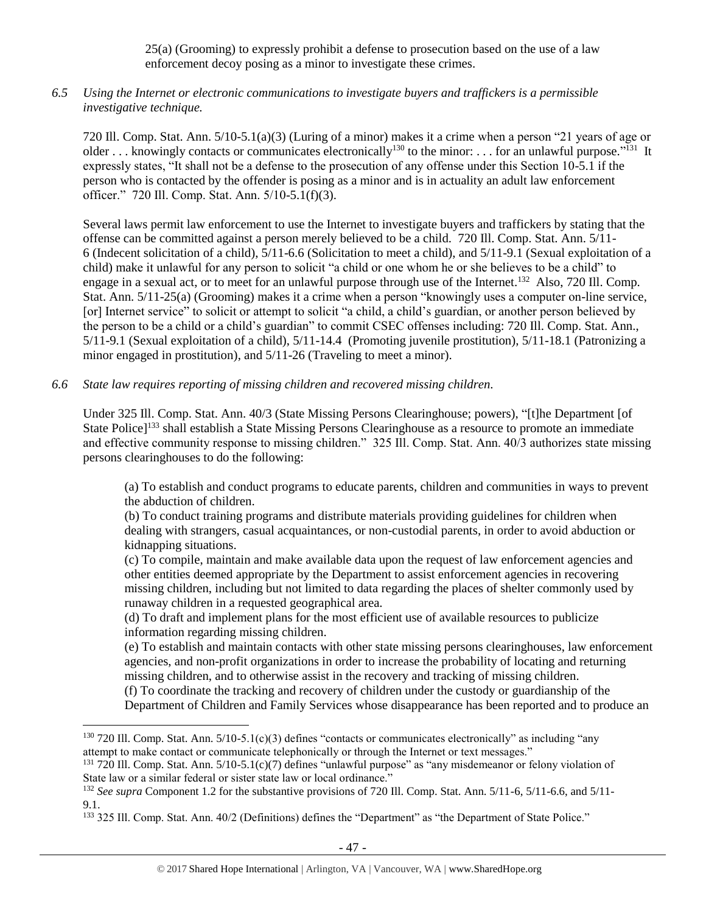25(a) (Grooming) to expressly prohibit a defense to prosecution based on the use of a law enforcement decoy posing as a minor to investigate these crimes.

## *6.5 Using the Internet or electronic communications to investigate buyers and traffickers is a permissible investigative technique.*

720 Ill. Comp. Stat. Ann. 5/10-5.1(a)(3) (Luring of a minor) makes it a crime when a person "21 years of age or older ... knowingly contacts or communicates electronically<sup>130</sup> to the minor: ... for an unlawful purpose."<sup>131</sup> It expressly states, "It shall not be a defense to the prosecution of any offense under this Section 10-5.1 if the person who is contacted by the offender is posing as a minor and is in actuality an adult law enforcement officer." 720 Ill. Comp. Stat. Ann. 5/10-5.1(f)(3).

Several laws permit law enforcement to use the Internet to investigate buyers and traffickers by stating that the offense can be committed against a person merely believed to be a child. 720 Ill. Comp. Stat. Ann. 5/11- 6 (Indecent solicitation of a child), 5/11-6.6 (Solicitation to meet a child), and 5/11-9.1 (Sexual exploitation of a child) make it unlawful for any person to solicit "a child or one whom he or she believes to be a child" to engage in a sexual act, or to meet for an unlawful purpose through use of the Internet.<sup>132</sup> Also, 720 Ill. Comp. Stat. Ann. 5/11-25(a) (Grooming) makes it a crime when a person "knowingly uses a computer on-line service, [or] Internet service" to solicit or attempt to solicit "a child, a child's guardian, or another person believed by the person to be a child or a child's guardian" to commit CSEC offenses including: 720 Ill. Comp. Stat. Ann., 5/11-9.1 (Sexual exploitation of a child), 5/11-14.4 (Promoting juvenile prostitution), 5/11-18.1 (Patronizing a minor engaged in prostitution), and 5/11-26 (Traveling to meet a minor).

#### *6.6 State law requires reporting of missing children and recovered missing children.*

 $\overline{a}$ 

Under 325 Ill. Comp. Stat. Ann. 40/3 (State Missing Persons Clearinghouse; powers), "[t]he Department [of State Police]<sup>133</sup> shall establish a State Missing Persons Clearinghouse as a resource to promote an immediate and effective community response to missing children." 325 Ill. Comp. Stat. Ann. 40/3 authorizes state missing persons clearinghouses to do the following:

(a) To establish and conduct programs to educate parents, children and communities in ways to prevent the abduction of children.

(b) To conduct training programs and distribute materials providing guidelines for children when dealing with strangers, casual acquaintances, or non-custodial parents, in order to avoid abduction or kidnapping situations.

(c) To compile, maintain and make available data upon the request of law enforcement agencies and other entities deemed appropriate by the Department to assist enforcement agencies in recovering missing children, including but not limited to data regarding the places of shelter commonly used by runaway children in a requested geographical area.

(d) To draft and implement plans for the most efficient use of available resources to publicize information regarding missing children.

(e) To establish and maintain contacts with other state missing persons clearinghouses, law enforcement agencies, and non-profit organizations in order to increase the probability of locating and returning missing children, and to otherwise assist in the recovery and tracking of missing children.

(f) To coordinate the tracking and recovery of children under the custody or guardianship of the Department of Children and Family Services whose disappearance has been reported and to produce an

 $130\,720\,$  Ill. Comp. Stat. Ann.  $5/10-5.1(c)(3)$  defines "contacts or communicates electronically" as including "any attempt to make contact or communicate telephonically or through the Internet or text messages."

 $131$  720 Ill. Comp. Stat. Ann.  $5/10-5.1(c)(7)$  defines "unlawful purpose" as "any misdemeanor or felony violation of State law or a similar federal or sister state law or local ordinance."

<sup>&</sup>lt;sup>132</sup> *See supra* Component 1.2 for the substantive provisions of 720 Ill. Comp. Stat. Ann. 5/11-6, 5/11-6.6, and 5/11-9.1.

<sup>&</sup>lt;sup>133</sup> 325 Ill. Comp. Stat. Ann. 40/2 (Definitions) defines the "Department" as "the Department of State Police."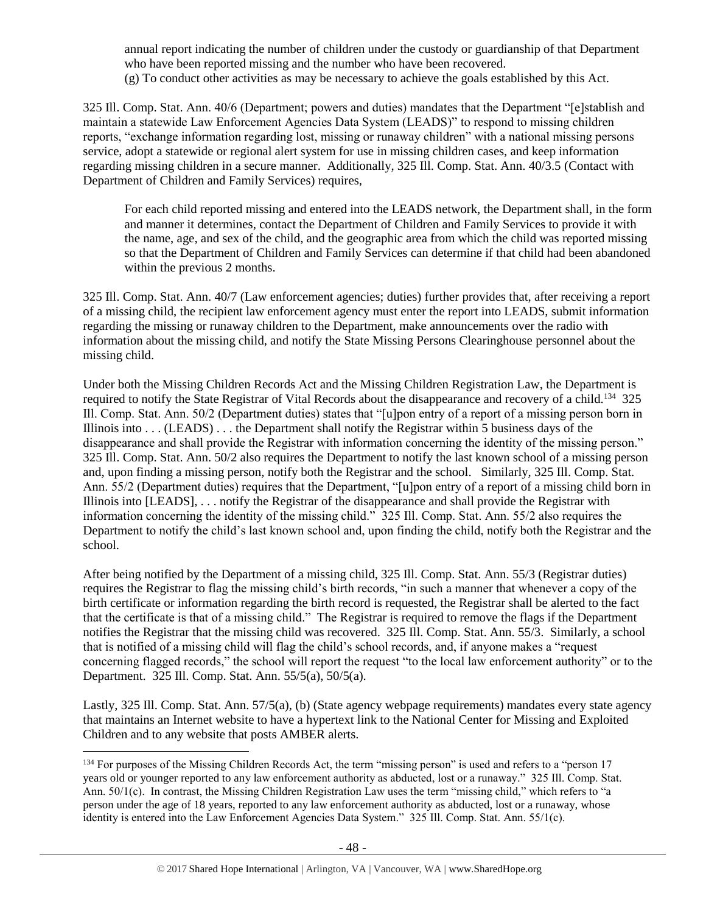annual report indicating the number of children under the custody or guardianship of that Department who have been reported missing and the number who have been recovered. (g) To conduct other activities as may be necessary to achieve the goals established by this Act.

325 Ill. Comp. Stat. Ann. 40/6 (Department; powers and duties) mandates that the Department "[e]stablish and maintain a statewide Law Enforcement Agencies Data System (LEADS)" to respond to missing children reports, "exchange information regarding lost, missing or runaway children" with a national missing persons service, adopt a statewide or regional alert system for use in missing children cases, and keep information regarding missing children in a secure manner. Additionally, 325 Ill. Comp. Stat. Ann. 40/3.5 (Contact with Department of Children and Family Services) requires,

For each child reported missing and entered into the LEADS network, the Department shall, in the form and manner it determines, contact the Department of Children and Family Services to provide it with the name, age, and sex of the child, and the geographic area from which the child was reported missing so that the Department of Children and Family Services can determine if that child had been abandoned within the previous 2 months.

325 Ill. Comp. Stat. Ann. 40/7 (Law enforcement agencies; duties) further provides that, after receiving a report of a missing child, the recipient law enforcement agency must enter the report into LEADS, submit information regarding the missing or runaway children to the Department, make announcements over the radio with information about the missing child, and notify the State Missing Persons Clearinghouse personnel about the missing child.

Under both the Missing Children Records Act and the Missing Children Registration Law, the Department is required to notify the State Registrar of Vital Records about the disappearance and recovery of a child.<sup>134</sup> 325 Ill. Comp. Stat. Ann. 50/2 (Department duties) states that "[u]pon entry of a report of a missing person born in Illinois into . . . (LEADS) . . . the Department shall notify the Registrar within 5 business days of the disappearance and shall provide the Registrar with information concerning the identity of the missing person." 325 Ill. Comp. Stat. Ann. 50/2 also requires the Department to notify the last known school of a missing person and, upon finding a missing person, notify both the Registrar and the school. Similarly, 325 Ill. Comp. Stat. Ann. 55/2 (Department duties) requires that the Department, "[u]pon entry of a report of a missing child born in Illinois into [LEADS], . . . notify the Registrar of the disappearance and shall provide the Registrar with information concerning the identity of the missing child." 325 Ill. Comp. Stat. Ann. 55/2 also requires the Department to notify the child's last known school and, upon finding the child, notify both the Registrar and the school.

After being notified by the Department of a missing child, 325 Ill. Comp. Stat. Ann. 55/3 (Registrar duties) requires the Registrar to flag the missing child's birth records, "in such a manner that whenever a copy of the birth certificate or information regarding the birth record is requested, the Registrar shall be alerted to the fact that the certificate is that of a missing child." The Registrar is required to remove the flags if the Department notifies the Registrar that the missing child was recovered. 325 Ill. Comp. Stat. Ann. 55/3. Similarly, a school that is notified of a missing child will flag the child's school records, and, if anyone makes a "request concerning flagged records," the school will report the request "to the local law enforcement authority" or to the Department. 325 Ill. Comp. Stat. Ann. 55/5(a), 50/5(a).

Lastly, 325 Ill. Comp. Stat. Ann. 57/5(a), (b) (State agency webpage requirements) mandates every state agency that maintains an Internet website to have a hypertext link to the National Center for Missing and Exploited Children and to any website that posts AMBER alerts.

<sup>&</sup>lt;sup>134</sup> For purposes of the Missing Children Records Act, the term "missing person" is used and refers to a "person 17 years old or younger reported to any law enforcement authority as abducted, lost or a runaway." 325 Ill. Comp. Stat. Ann. 50/1(c). In contrast, the Missing Children Registration Law uses the term "missing child," which refers to "a person under the age of 18 years, reported to any law enforcement authority as abducted, lost or a runaway, whose identity is entered into the Law Enforcement Agencies Data System." 325 Ill. Comp. Stat. Ann. 55/1(c).